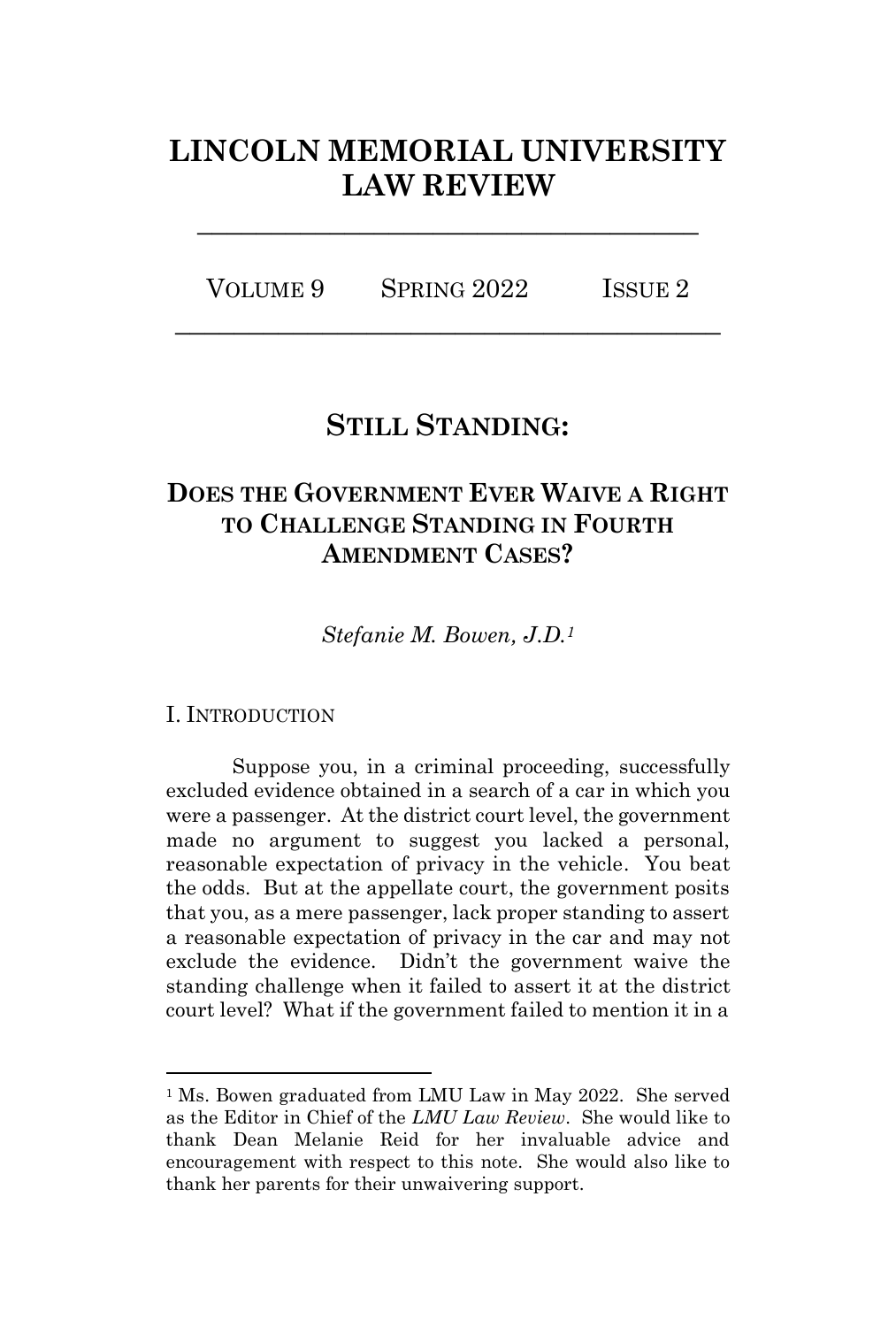# **LINCOLN MEMORIAL UNIVERSITY LAW REVIEW**

**\_\_\_\_\_\_\_\_\_\_\_\_\_\_\_\_\_\_\_\_\_\_\_\_\_\_\_\_\_\_\_\_\_\_**

VOLUME 9 SPRING 2022 ISSUE 2 **\_\_\_\_\_\_\_\_\_\_\_\_\_\_\_\_\_\_\_\_\_\_\_\_\_\_\_\_\_\_\_\_\_\_\_\_\_**

## **STILL STANDING:**

## **DOES THE GOVERNMENT EVER WAIVE A RIGHT TO CHALLENGE STANDING IN FOURTH AMENDMENT CASES?**

*Stefanie M. Bowen, J.D.<sup>1</sup>*

I. INTRODUCTION

Suppose you, in a criminal proceeding, successfully excluded evidence obtained in a search of a car in which you were a passenger. At the district court level, the government made no argument to suggest you lacked a personal, reasonable expectation of privacy in the vehicle. You beat the odds. But at the appellate court, the government posits that you, as a mere passenger, lack proper standing to assert a reasonable expectation of privacy in the car and may not exclude the evidence. Didn't the government waive the standing challenge when it failed to assert it at the district court level? What if the government failed to mention it in a

<sup>&</sup>lt;sup>1</sup> Ms. Bowen graduated from LMU Law in May 2022. She served as the Editor in Chief of the *LMU Law Review*. She would like to thank Dean Melanie Reid for her invaluable advice and encouragement with respect to this note. She would also like to thank her parents for their unwaivering support.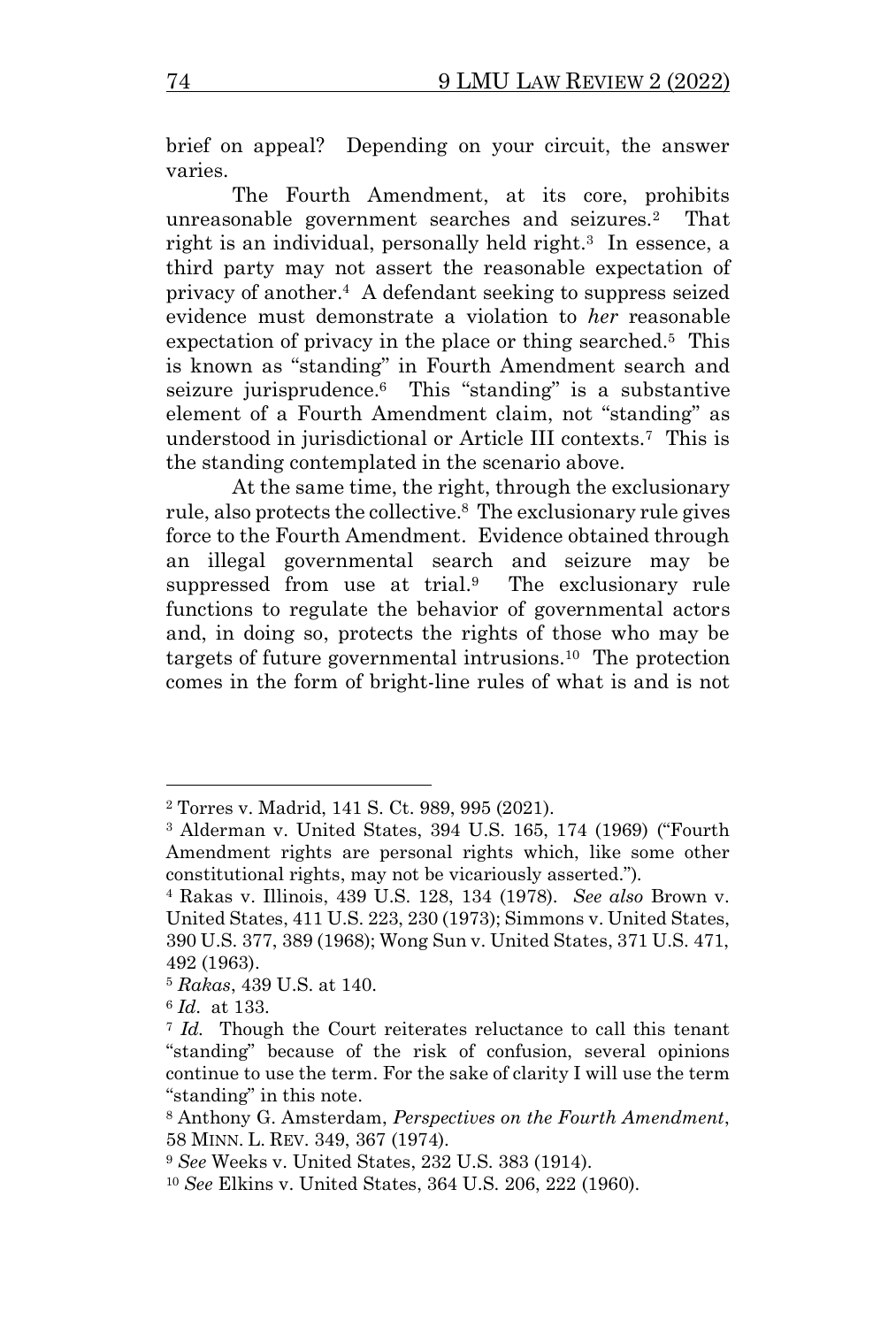brief on appeal? Depending on your circuit, the answer varies.

The Fourth Amendment, at its core, prohibits unreasonable government searches and seizures.<sup>2</sup> That right is an individual, personally held right.<sup>3</sup> In essence, a third party may not assert the reasonable expectation of privacy of another.<sup>4</sup> A defendant seeking to suppress seized evidence must demonstrate a violation to *her* reasonable expectation of privacy in the place or thing searched.<sup>5</sup> This is known as "standing" in Fourth Amendment search and seizure jurisprudence.<sup>6</sup> This "standing" is a substantive element of a Fourth Amendment claim, not "standing" as understood in jurisdictional or Article III contexts. 7 This is the standing contemplated in the scenario above.

At the same time, the right, through the exclusionary rule, also protects the collective.<sup>8</sup> The exclusionary rule gives force to the Fourth Amendment. Evidence obtained through an illegal governmental search and seizure may be suppressed from use at trial.<sup>9</sup> The exclusionary rule functions to regulate the behavior of governmental actors and, in doing so, protects the rights of those who may be targets of future governmental intrusions.<sup>10</sup> The protection comes in the form of bright-line rules of what is and is not

<sup>2</sup> Torres v. Madrid, 141 S. Ct. 989, 995 (2021).

<sup>3</sup> Alderman v. United States, 394 U.S. 165, 174 (1969) ("Fourth Amendment rights are personal rights which, like some other constitutional rights, may not be vicariously asserted.").

<sup>4</sup> Rakas v. Illinois, 439 U.S. 128, 134 (1978). *See also* Brown v. United States, 411 U.S. 223, 230 (1973); Simmons v. United States, 390 U.S. 377, 389 (1968); Wong Sun v. United States, 371 U.S. 471, 492 (1963).

<sup>5</sup> *Rakas*, 439 U.S. at 140.

<sup>6</sup> *Id*. at 133.

<sup>7</sup> *Id.* Though the Court reiterates reluctance to call this tenant "standing" because of the risk of confusion, several opinions continue to use the term. For the sake of clarity I will use the term "standing" in this note.

<sup>8</sup> Anthony G. Amsterdam, *Perspectives on the Fourth Amendment*, 58 MINN. L. REV. 349, 367 (1974).

<sup>9</sup> *See* Weeks v. United States, 232 U.S. 383 (1914).

<sup>10</sup> *See* Elkins v. United States, 364 U.S. 206, 222 (1960).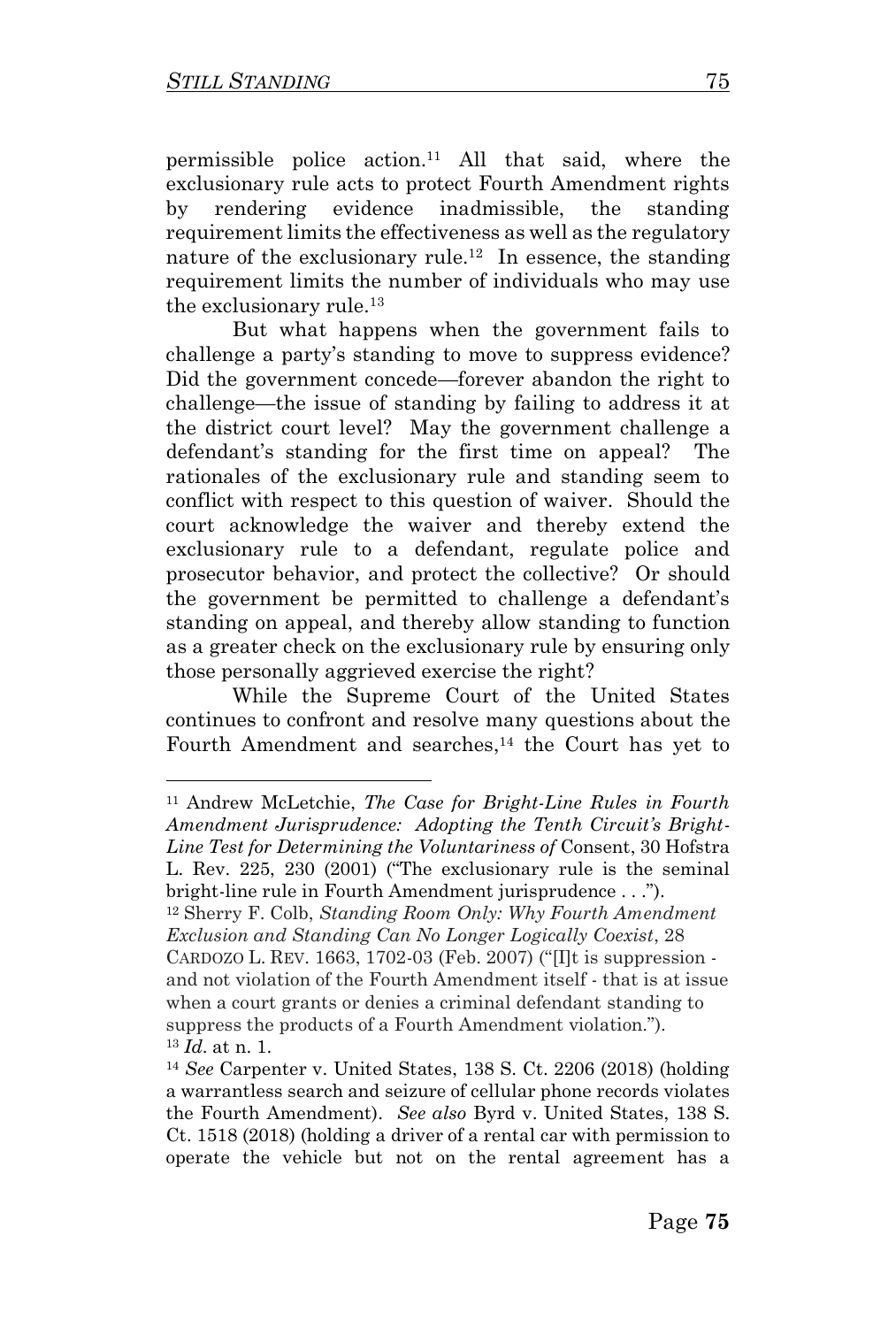permissible police action.<sup>11</sup> All that said, where the exclusionary rule acts to protect Fourth Amendment rights by rendering evidence inadmissible, the standing requirement limits the effectiveness as well as the regulatory nature of the exclusionary rule.<sup>12</sup> In essence, the standing requirement limits the number of individuals who may use the exclusionary rule.<sup>13</sup>

But what happens when the government fails to challenge a party's standing to move to suppress evidence? Did the government concede—forever abandon the right to challenge—the issue of standing by failing to address it at the district court level? May the government challenge a defendant's standing for the first time on appeal? The rationales of the exclusionary rule and standing seem to conflict with respect to this question of waiver. Should the court acknowledge the waiver and thereby extend the exclusionary rule to a defendant, regulate police and prosecutor behavior, and protect the collective? Or should the government be permitted to challenge a defendant's standing on appeal, and thereby allow standing to function as a greater check on the exclusionary rule by ensuring only those personally aggrieved exercise the right?

While the Supreme Court of the United States continues to confront and resolve many questions about the Fourth Amendment and searches, <sup>14</sup> the Court has yet to

<sup>11</sup> Andrew McLetchie, *The Case for Bright-Line Rules in Fourth Amendment Jurisprudence: Adopting the Tenth Circuit's Bright-Line Test for Determining the Voluntariness of* Consent, 30 Hofstra L. Rev. 225, 230 (2001) ("The exclusionary rule is the seminal bright-line rule in Fourth Amendment jurisprudence . . .").

<sup>12</sup> Sherry F. Colb, *Standing Room Only: Why Fourth Amendment Exclusion and Standing Can No Longer Logically Coexist*, 28 CARDOZO L. REV. 1663, 1702-03 (Feb. 2007) ("[I]t is suppression -

and not violation of the Fourth Amendment itself - that is at issue when a court grants or denies a criminal defendant standing to suppress the products of a Fourth Amendment violation."). <sup>13</sup> *Id*. at n. 1.

<sup>14</sup> *See* Carpenter v. United States, 138 S. Ct. 2206 (2018) (holding a warrantless search and seizure of cellular phone records violates the Fourth Amendment). *See also* Byrd v. United States, 138 S. Ct. 1518 (2018) (holding a driver of a rental car with permission to operate the vehicle but not on the rental agreement has a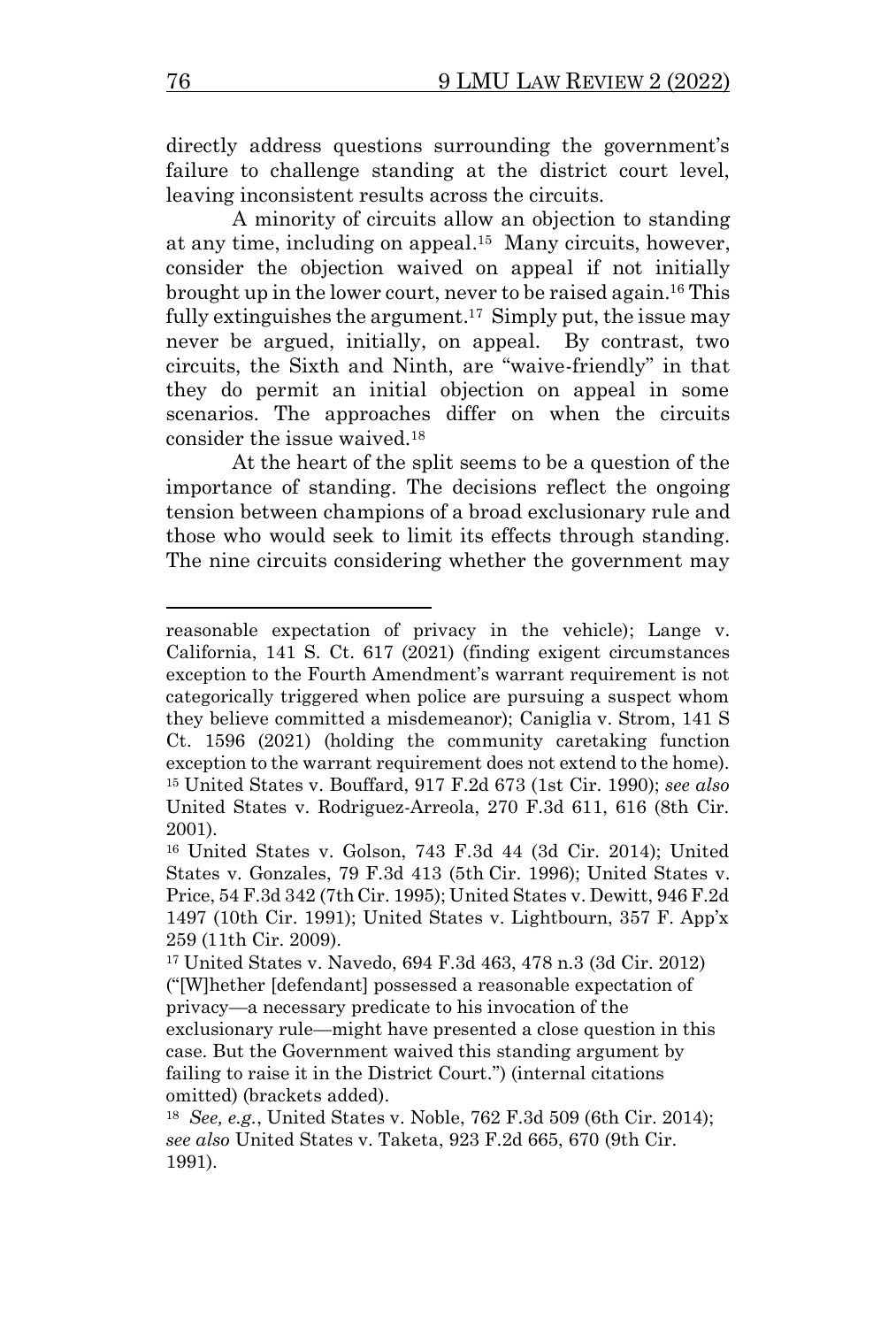directly address questions surrounding the government's failure to challenge standing at the district court level, leaving inconsistent results across the circuits.

A minority of circuits allow an objection to standing at any time, including on appeal. 15 Many circuits, however, consider the objection waived on appeal if not initially brought up in the lower court, never to be raised again. <sup>16</sup> This fully extinguishes the argument.<sup>17</sup> Simply put, the issue may never be argued, initially, on appeal. By contrast, two circuits, the Sixth and Ninth, are "waive-friendly" in that they do permit an initial objection on appeal in some scenarios. The approaches differ on when the circuits consider the issue waived.<sup>18</sup>

At the heart of the split seems to be a question of the importance of standing. The decisions reflect the ongoing tension between champions of a broad exclusionary rule and those who would seek to limit its effects through standing. The nine circuits considering whether the government may

reasonable expectation of privacy in the vehicle); Lange v. California, 141 S. Ct. 617 (2021) (finding exigent circumstances exception to the Fourth Amendment's warrant requirement is not categorically triggered when police are pursuing a suspect whom they believe committed a misdemeanor); Caniglia v. Strom, 141 S Ct. 1596 (2021) (holding the community caretaking function exception to the warrant requirement does not extend to the home). <sup>15</sup> United States v. Bouffard, 917 F.2d 673 (1st Cir. 1990); *see also*  United States v. Rodriguez-Arreola, 270 F.3d 611, 616 (8th Cir. 2001).

<sup>16</sup> United States v. Golson, 743 F.3d 44 (3d Cir. 2014); United States v. Gonzales, 79 F.3d 413 (5th Cir. 1996); United States v. Price, 54 F.3d 342 (7thCir. 1995); United States v. Dewitt, 946 F.2d 1497 (10th Cir. 1991); United States v. Lightbourn, 357 F. App'x 259 (11th Cir. 2009).

<sup>17</sup> United States v. Navedo, 694 F.3d 463, 478 n.3 (3d Cir. 2012) ("[W]hether [defendant] possessed a reasonable expectation of privacy—a necessary predicate to his invocation of the exclusionary rule—might have presented a close question in this case. But the Government waived this standing argument by failing to raise it in the District Court.") (internal citations omitted) (brackets added).

<sup>18</sup> *See, e.g.*, United States v. Noble, 762 F.3d 509 (6th Cir. 2014); *see also* United States v. Taketa, 923 F.2d 665, 670 (9th Cir. 1991).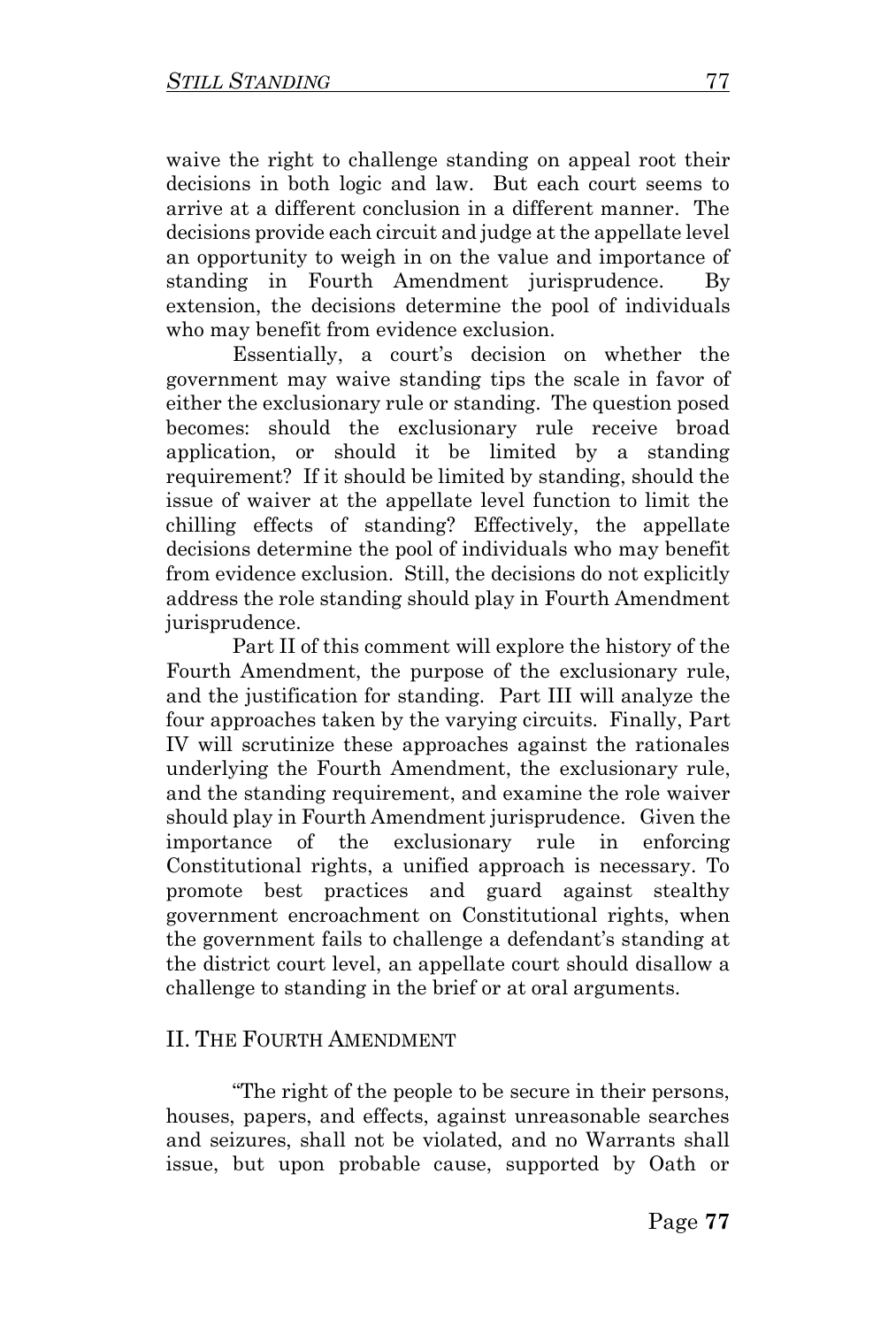waive the right to challenge standing on appeal root their decisions in both logic and law. But each court seems to arrive at a different conclusion in a different manner. The decisions provide each circuit and judge at the appellate level an opportunity to weigh in on the value and importance of standing in Fourth Amendment jurisprudence. By extension, the decisions determine the pool of individuals who may benefit from evidence exclusion.

Essentially, a court's decision on whether the government may waive standing tips the scale in favor of either the exclusionary rule or standing. The question posed becomes: should the exclusionary rule receive broad application, or should it be limited by a standing requirement? If it should be limited by standing, should the issue of waiver at the appellate level function to limit the chilling effects of standing? Effectively, the appellate decisions determine the pool of individuals who may benefit from evidence exclusion. Still, the decisions do not explicitly address the role standing should play in Fourth Amendment jurisprudence.

Part II of this comment will explore the history of the Fourth Amendment, the purpose of the exclusionary rule, and the justification for standing. Part III will analyze the four approaches taken by the varying circuits. Finally, Part IV will scrutinize these approaches against the rationales underlying the Fourth Amendment, the exclusionary rule, and the standing requirement, and examine the role waiver should play in Fourth Amendment jurisprudence*.* Given the importance of the exclusionary rule in enforcing Constitutional rights, a unified approach is necessary. To promote best practices and guard against stealthy government encroachment on Constitutional rights, when the government fails to challenge a defendant's standing at the district court level, an appellate court should disallow a challenge to standing in the brief or at oral arguments.

#### II. THE FOURTH AMENDMENT

"The right of the people to be secure in their persons, houses, papers, and effects, against unreasonable searches and seizures, shall not be violated, and no Warrants shall issue, but upon probable cause, supported by Oath or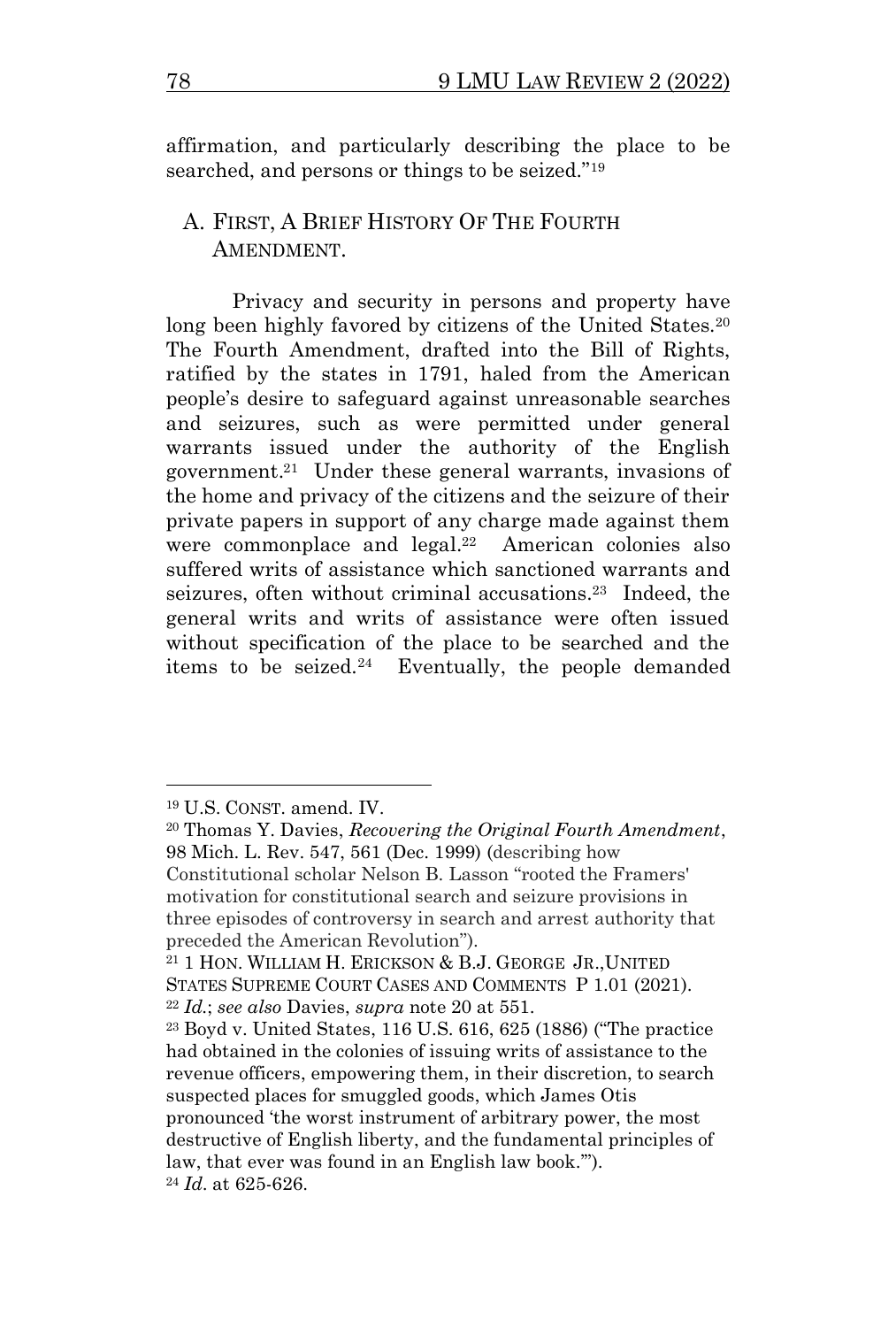affirmation, and particularly describing the place to be searched, and persons or things to be seized."<sup>19</sup>

## A. FIRST, A BRIEF HISTORY OF THE FOURTH AMENDMENT.

Privacy and security in persons and property have long been highly favored by citizens of the United States.<sup>20</sup> The Fourth Amendment, drafted into the Bill of Rights, ratified by the states in 1791, haled from the American people's desire to safeguard against unreasonable searches and seizures, such as were permitted under general warrants issued under the authority of the English government. 21 Under these general warrants, invasions of the home and privacy of the citizens and the seizure of their private papers in support of any charge made against them were commonplace and legal.<sup>22</sup> American colonies also suffered writs of assistance which sanctioned warrants and seizures, often without criminal accusations. 23 Indeed, the general writs and writs of assistance were often issued without specification of the place to be searched and the items to be seized.<sup>24</sup> Eventually, the people demanded

motivation for constitutional search and seizure provisions in three episodes of controversy in search and arrest authority that preceded the American Revolution").

<sup>19</sup> U.S. CONST. amend. IV.

<sup>20</sup> Thomas Y. Davies, *Recovering the Original Fourth Amendment*, 98 Mich. L. Rev. 547, 561 (Dec. 1999) (describing how Constitutional scholar Nelson B. Lasson "rooted the Framers'

<sup>21</sup> 1 HON. WILLIAM H. ERICKSON & B.J. GEORGE JR.,UNITED STATES SUPREME COURT CASES AND COMMENTS P 1.01 (2021). <sup>22</sup> *Id.*; *see also* Davies, *supra* note 20 at 551.

<sup>23</sup> Boyd v. United States, 116 U.S. 616, 625 (1886) ("The practice had obtained in the colonies of issuing writs of assistance to the revenue officers, empowering them, in their discretion, to search suspected places for smuggled goods, which James Otis pronounced 'the worst instrument of arbitrary power, the most destructive of English liberty, and the fundamental principles of law, that ever was found in an English law book.'"). <sup>24</sup> *Id*. at 625-626.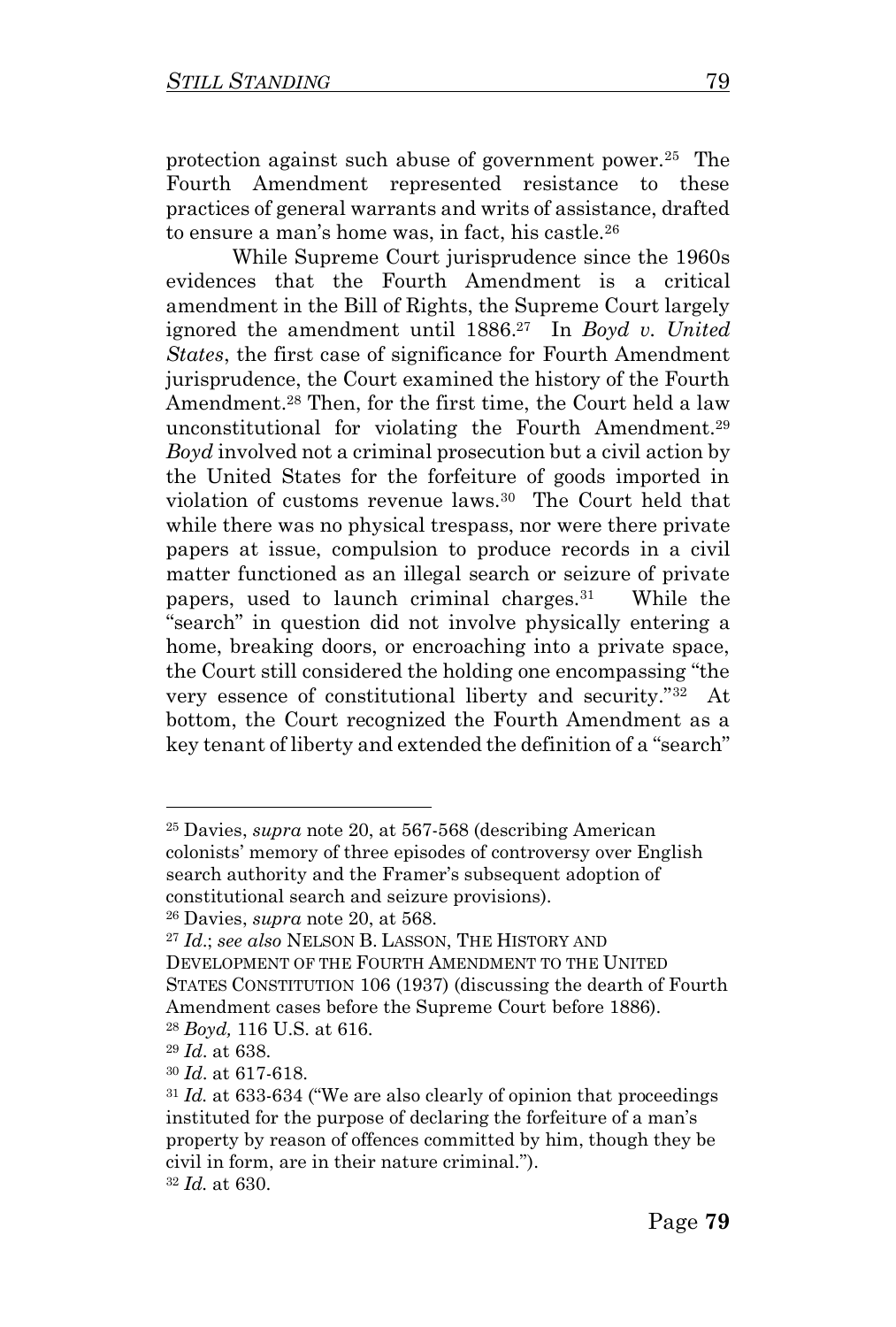protection against such abuse of government power.<sup>25</sup> The Fourth Amendment represented resistance to these practices of general warrants and writs of assistance, drafted to ensure a man's home was, in fact, his castle.<sup>26</sup>

While Supreme Court jurisprudence since the 1960s evidences that the Fourth Amendment is a critical amendment in the Bill of Rights, the Supreme Court largely ignored the amendment until 1886. 27 In *Boyd v. United States*, the first case of significance for Fourth Amendment jurisprudence, the Court examined the history of the Fourth Amendment.<sup>28</sup> Then, for the first time, the Court held a law unconstitutional for violating the Fourth Amendment.<sup>29</sup> *Boyd* involved not a criminal prosecution but a civil action by the United States for the forfeiture of goods imported in violation of customs revenue laws.<sup>30</sup> The Court held that while there was no physical trespass, nor were there private papers at issue, compulsion to produce records in a civil matter functioned as an illegal search or seizure of private papers, used to launch criminal charges.<sup>31</sup> While the "search" in question did not involve physically entering a home, breaking doors, or encroaching into a private space, the Court still considered the holding one encompassing "the very essence of constitutional liberty and security."<sup>32</sup> At bottom, the Court recognized the Fourth Amendment as a key tenant of liberty and extended the definition of a "search"

<sup>25</sup> Davies, *supra* note 20, at 567-568 (describing American colonists' memory of three episodes of controversy over English search authority and the Framer's subsequent adoption of constitutional search and seizure provisions).

<sup>26</sup> Davies, *supra* note 20, at 568.

<sup>27</sup> *Id*.; *see also* NELSON B. LASSON, THE HISTORY AND DEVELOPMENT OF THE FOURTH AMENDMENT TO THE UNITED STATES CONSTITUTION 106 (1937) (discussing the dearth of Fourth Amendment cases before the Supreme Court before 1886).

<sup>28</sup> *Boyd,* 116 U.S. at 616.

<sup>29</sup> *Id*. at 638.

<sup>30</sup> *Id*. at 617-618.

<sup>31</sup> *Id.* at 633-634 ("We are also clearly of opinion that proceedings instituted for the purpose of declaring the forfeiture of a man's property by reason of offences committed by him, though they be civil in form, are in their nature criminal."). <sup>32</sup> *Id.* at 630.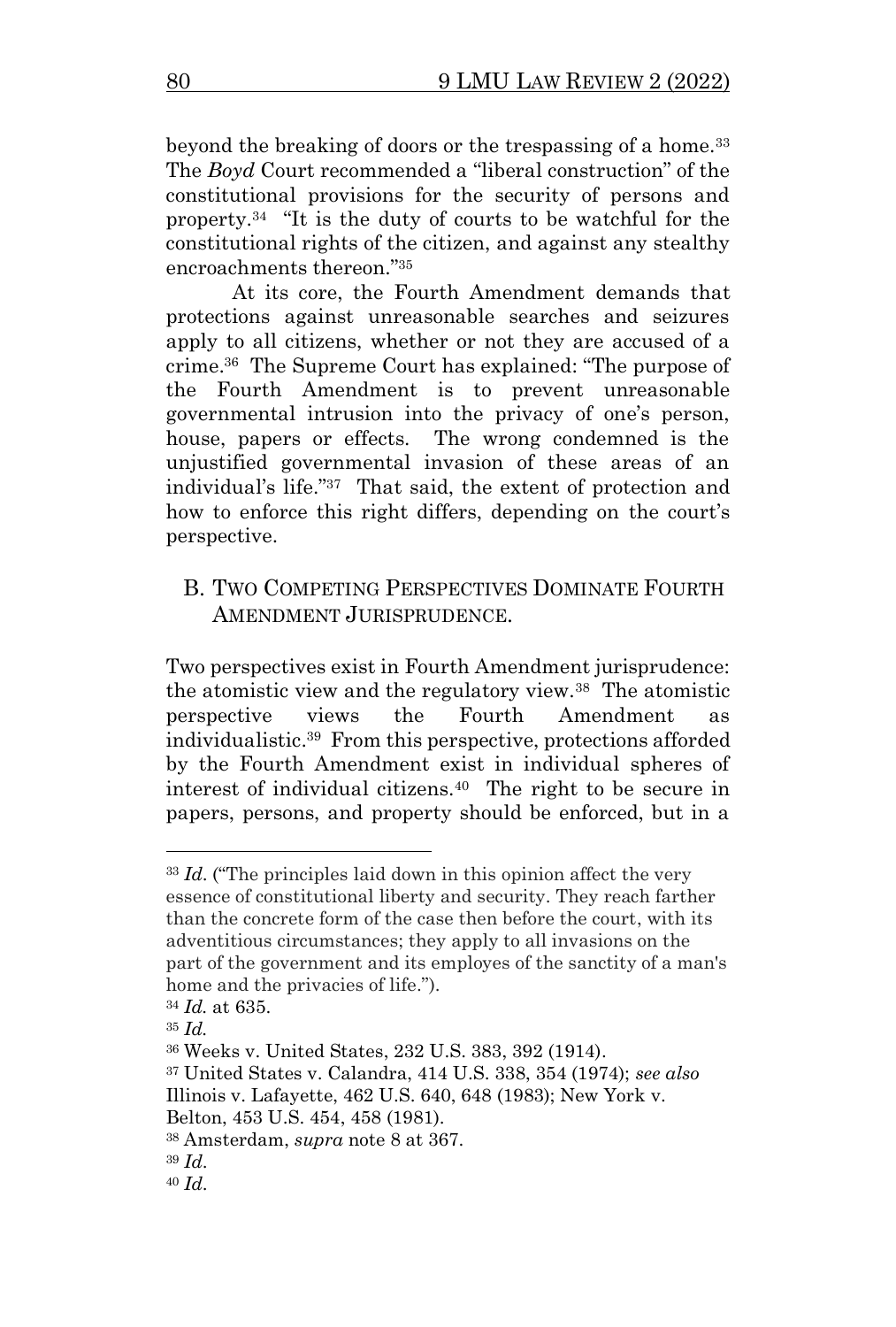beyond the breaking of doors or the trespassing of a home.<sup>33</sup> The *Boyd* Court recommended a "liberal construction" of the constitutional provisions for the security of persons and property.<sup>34</sup> "It is the duty of courts to be watchful for the constitutional rights of the citizen, and against any stealthy encroachments thereon."<sup>35</sup>

At its core, the Fourth Amendment demands that protections against unreasonable searches and seizures apply to all citizens, whether or not they are accused of a crime. 36 The Supreme Court has explained: "The purpose of the Fourth Amendment is to prevent unreasonable governmental intrusion into the privacy of one's person, house, papers or effects. The wrong condemned is the unjustified governmental invasion of these areas of an individual's life."<sup>37</sup> That said, the extent of protection and how to enforce this right differs, depending on the court's perspective.

#### B. TWO COMPETING PERSPECTIVES DOMINATE FOURTH AMENDMENT JURISPRUDENCE.

Two perspectives exist in Fourth Amendment jurisprudence: the atomistic view and the regulatory view.<sup>38</sup> The atomistic perspective views the Fourth Amendment as individualistic.<sup>39</sup> From this perspective, protections afforded by the Fourth Amendment exist in individual spheres of interest of individual citizens.<sup>40</sup> The right to be secure in papers, persons, and property should be enforced, but in a

<sup>33</sup> *Id*. ("The principles laid down in this opinion affect the very essence of constitutional liberty and security. They reach farther than the concrete form of the case then before the court, with its adventitious circumstances; they apply to all invasions on the part of the government and its employes of the sanctity of a man's home and the privacies of life.").

<sup>34</sup> *Id.* at 635.

<sup>35</sup> *Id.* 

<sup>36</sup> Weeks v. United States, 232 U.S. 383, 392 (1914).

<sup>37</sup> United States v. Calandra, 414 U.S. 338, 354 (1974); *see also* Illinois v. Lafayette, 462 U.S. 640, 648 (1983); New York v.

Belton, 453 U.S. 454, 458 (1981).

<sup>38</sup> Amsterdam, *supra* note 8 at 367.

<sup>39</sup> *Id*.

<sup>40</sup> *Id*.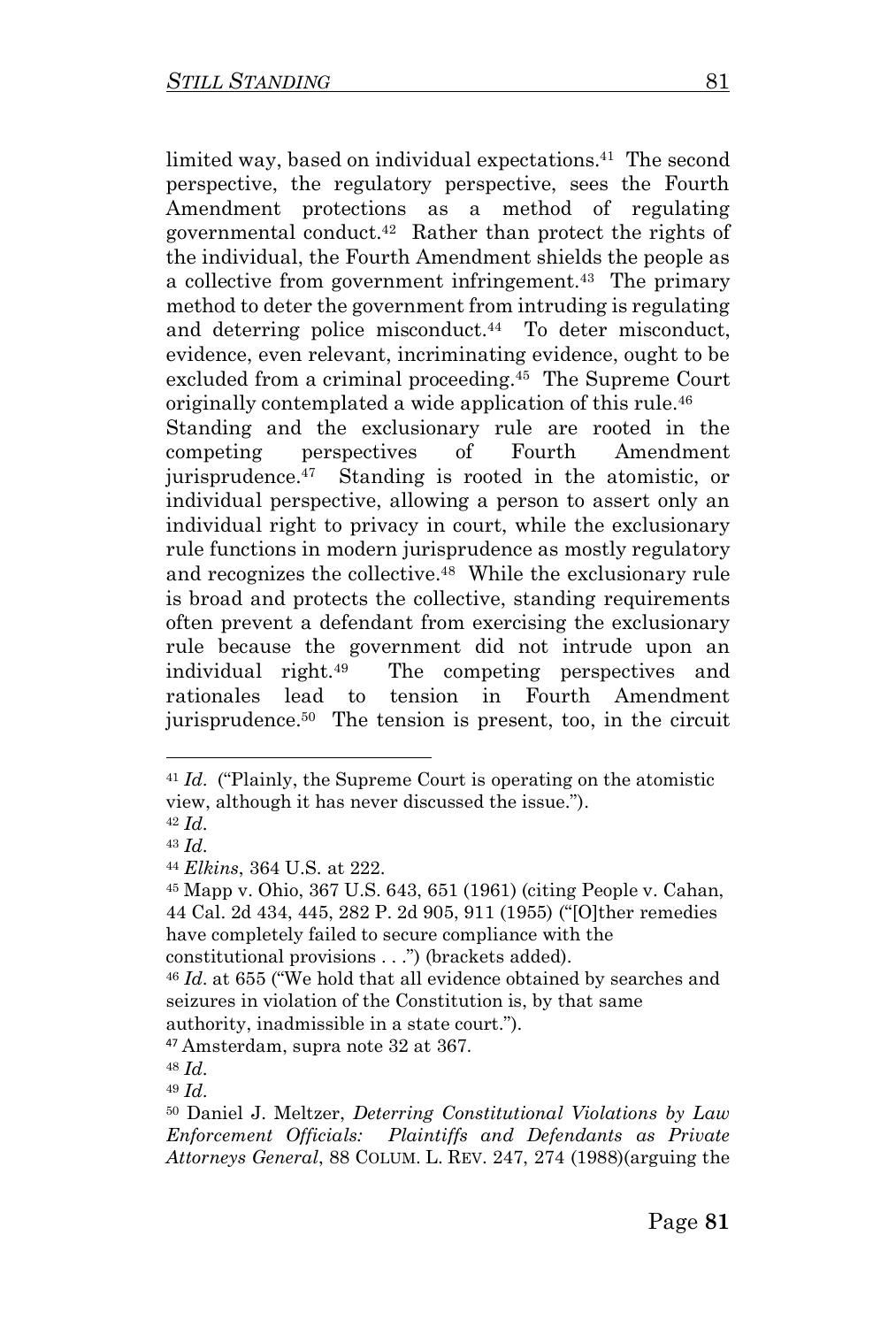limited way, based on individual expectations.<sup>41</sup> The second perspective, the regulatory perspective, sees the Fourth Amendment protections as a method of regulating governmental conduct.<sup>42</sup> Rather than protect the rights of the individual, the Fourth Amendment shields the people as a collective from government infringement.<sup>43</sup> The primary method to deter the government from intruding is regulating and deterring police misconduct.<sup>44</sup> To deter misconduct, evidence, even relevant, incriminating evidence, ought to be excluded from a criminal proceeding.<sup>45</sup> The Supreme Court originally contemplated a wide application of this rule.<sup>46</sup> Standing and the exclusionary rule are rooted in the competing perspectives of Fourth Amendment jurisprudence.<sup>47</sup> Standing is rooted in the atomistic, or individual perspective, allowing a person to assert only an individual right to privacy in court, while the exclusionary rule functions in modern jurisprudence as mostly regulatory and recognizes the collective.<sup>48</sup> While the exclusionary rule is broad and protects the collective, standing requirements often prevent a defendant from exercising the exclusionary rule because the government did not intrude upon an individual right.<sup>49</sup> The competing perspectives and rationales lead to tension in Fourth Amendment

jurisprudence.<sup>50</sup> The tension is present, too, in the circuit

<sup>41</sup> *Id*. ("Plainly, the Supreme Court is operating on the atomistic view, although it has never discussed the issue.").

<sup>42</sup> *Id*.

<sup>43</sup> *Id*.

<sup>44</sup> *Elkins*, 364 U.S. at 222.

<sup>45</sup> Mapp v. Ohio, 367 U.S. 643, 651 (1961) (citing People v. Cahan, 44 Cal. 2d 434, 445, 282 P. 2d 905, 911 (1955) ("[O]ther remedies have completely failed to secure compliance with the

constitutional provisions . . .") (brackets added).

<sup>46</sup> *Id*. at 655 ("We hold that all evidence obtained by searches and seizures in violation of the Constitution is, by that same authority, inadmissible in a state court.").

<sup>47</sup> Amsterdam, supra note 32 at 367.

<sup>48</sup> *Id*.

<sup>49</sup> *Id*.

<sup>50</sup> Daniel J. Meltzer, *Deterring Constitutional Violations by Law Enforcement Officials: Plaintiffs and Defendants as Private Attorneys General*, 88 COLUM. L. REV. 247, 274 (1988)(arguing the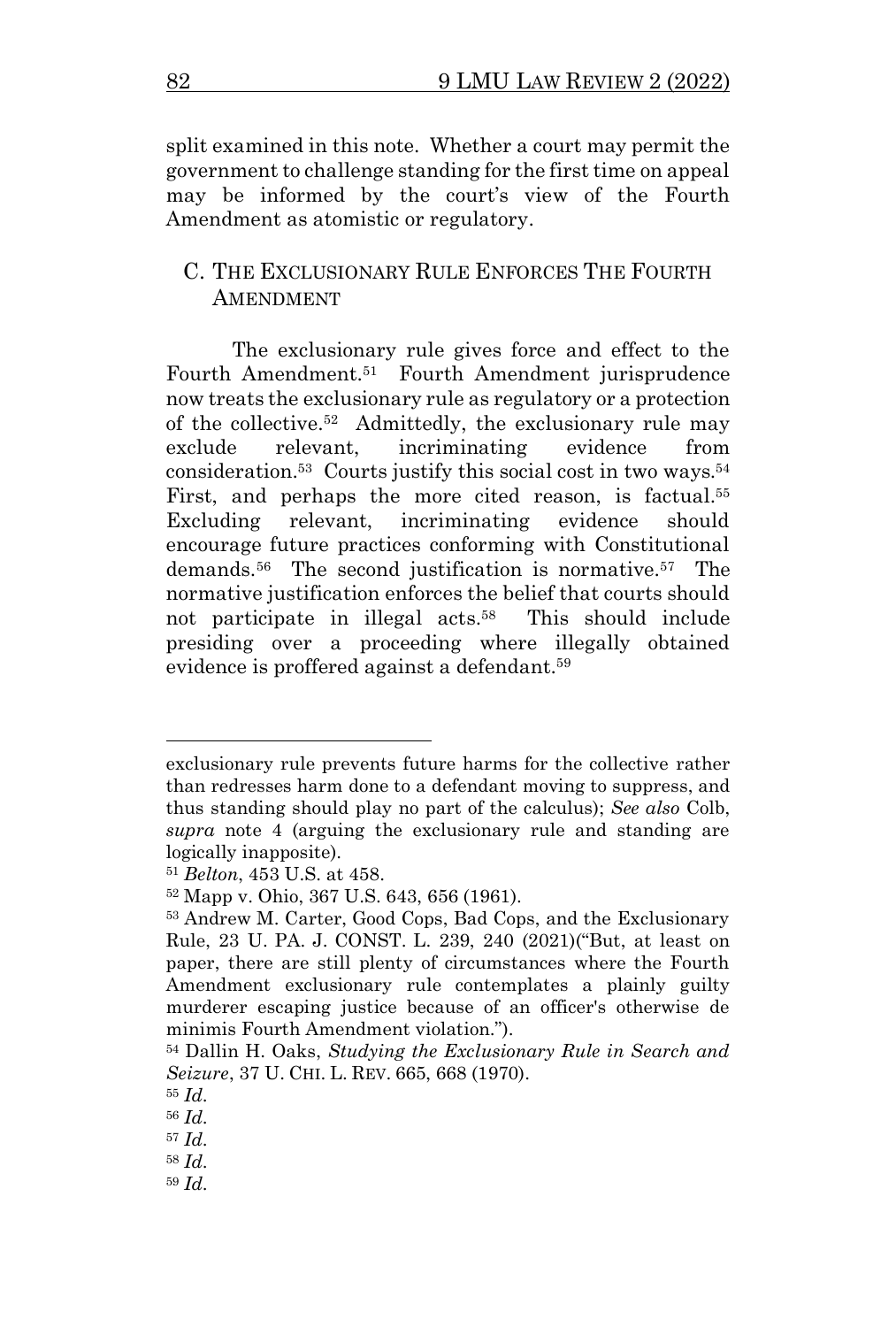split examined in this note. Whether a court may permit the government to challenge standing for the first time on appeal may be informed by the court's view of the Fourth Amendment as atomistic or regulatory.

#### C. THE EXCLUSIONARY RULE ENFORCES THE FOURTH **AMENDMENT**

The exclusionary rule gives force and effect to the Fourth Amendment.<sup>51</sup> Fourth Amendment jurisprudence now treats the exclusionary rule as regulatory or a protection of the collective.<sup>52</sup> Admittedly, the exclusionary rule may exclude relevant, incriminating evidence from consideration.<sup>53</sup> Courts justify this social cost in two ways.<sup>54</sup> First, and perhaps the more cited reason, is factual.<sup>55</sup> Excluding relevant, incriminating evidence should encourage future practices conforming with Constitutional demands. 56 The second justification is normative.<sup>57</sup> The normative justification enforces the belief that courts should not participate in illegal acts.<sup>58</sup> This should include presiding over a proceeding where illegally obtained evidence is proffered against a defendant.<sup>59</sup>

exclusionary rule prevents future harms for the collective rather than redresses harm done to a defendant moving to suppress, and thus standing should play no part of the calculus); *See also* Colb, *supra* note 4 (arguing the exclusionary rule and standing are logically inapposite).

<sup>51</sup> *Belton*, 453 U.S. at 458.

<sup>52</sup> Mapp v. Ohio, 367 U.S. 643, 656 (1961).

<sup>53</sup> Andrew M. Carter, Good Cops, Bad Cops, and the Exclusionary Rule, 23 U. PA. J. CONST. L. 239, 240 (2021)("But, at least on paper, there are still plenty of circumstances where the Fourth Amendment exclusionary rule contemplates a plainly guilty murderer escaping justice because of an officer's otherwise de minimis Fourth Amendment violation.").

<sup>54</sup> Dallin H. Oaks, *Studying the Exclusionary Rule in Search and Seizure*, 37 U. CHI. L. REV. 665, 668 (1970).

<sup>55</sup> *Id*.

<sup>56</sup> *Id*.

<sup>57</sup> *Id*.

<sup>58</sup> *Id*.

<sup>59</sup> *Id*.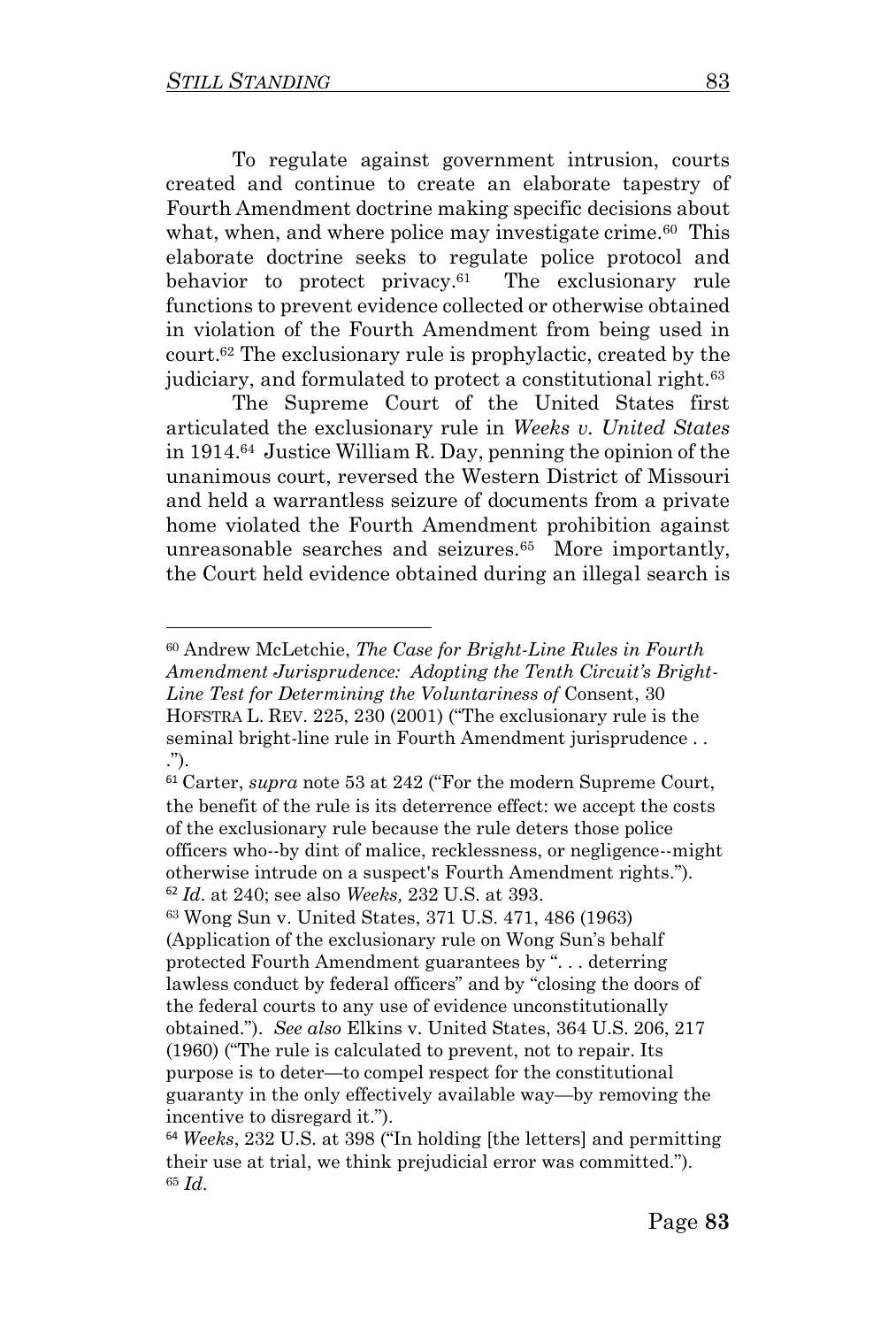To regulate against government intrusion, courts created and continue to create an elaborate tapestry of Fourth Amendment doctrine making specific decisions about what, when, and where police may investigate crime.<sup>60</sup> This elaborate doctrine seeks to regulate police protocol and behavior to protect privacy.<sup>61</sup> The exclusionary rule functions to prevent evidence collected or otherwise obtained in violation of the Fourth Amendment from being used in court.<sup>62</sup> The exclusionary rule is prophylactic, created by the judiciary, and formulated to protect a constitutional right.<sup>63</sup>

The Supreme Court of the United States first articulated the exclusionary rule in *Weeks v. United States* in 1914.<sup>64</sup> Justice William R. Day, penning the opinion of the unanimous court, reversed the Western District of Missouri and held a warrantless seizure of documents from a private home violated the Fourth Amendment prohibition against unreasonable searches and seizures.<sup>65</sup> More importantly, the Court held evidence obtained during an illegal search is

<sup>60</sup> Andrew McLetchie, *The Case for Bright-Line Rules in Fourth Amendment Jurisprudence: Adopting the Tenth Circuit's Bright-Line Test for Determining the Voluntariness of* Consent, 30 HOFSTRA L. REV. 225, 230 (2001) ("The exclusionary rule is the seminal bright-line rule in Fourth Amendment jurisprudence . . .").

<sup>61</sup> Carter, *supra* note 53 at 242 ("For the modern Supreme Court, the benefit of the rule is its deterrence effect: we accept the costs of the exclusionary rule because the rule deters those police officers who--by dint of malice, recklessness, or negligence--might otherwise intrude on a suspect's Fourth Amendment rights."). <sup>62</sup> *Id*. at 240; see also *Weeks,* 232 U.S. at 393.

<sup>63</sup> Wong Sun v. United States, 371 U.S. 471, 486 (1963) (Application of the exclusionary rule on Wong Sun's behalf protected Fourth Amendment guarantees by ". . . deterring lawless conduct by federal officers" and by "closing the doors of the federal courts to any use of evidence unconstitutionally obtained."). *See also* Elkins v. United States, 364 U.S. 206, 217 (1960) ("The rule is calculated to prevent, not to repair. Its purpose is to deter—to compel respect for the constitutional guaranty in the only effectively available way—by removing the incentive to disregard it.").

<sup>64</sup> *Weeks*, 232 U.S. at 398 ("In holding [the letters] and permitting their use at trial, we think prejudicial error was committed."). <sup>65</sup> *Id*.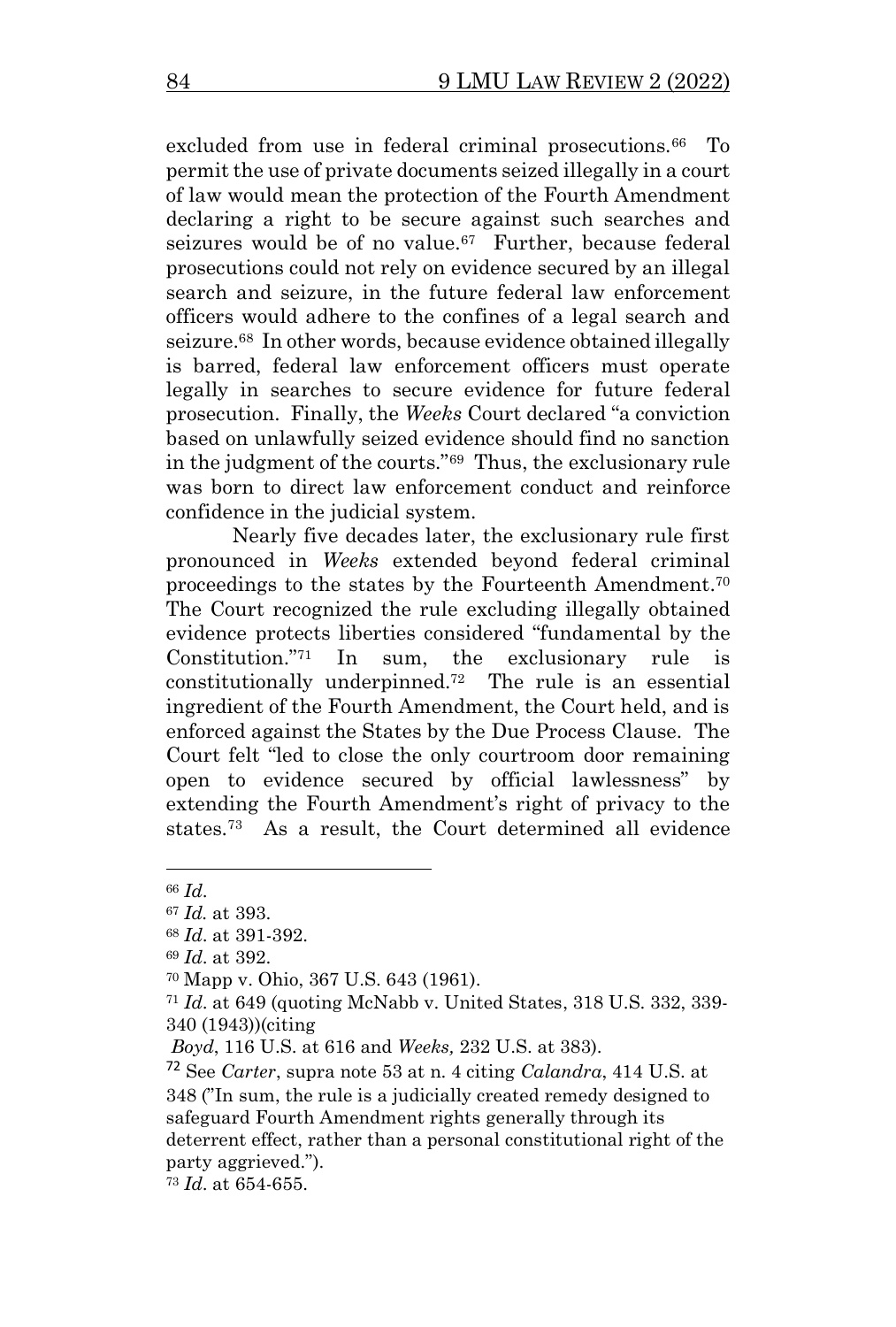excluded from use in federal criminal prosecutions.<sup>66</sup> To permit the use of private documents seized illegally in a court of law would mean the protection of the Fourth Amendment declaring a right to be secure against such searches and seizures would be of no value.<sup>67</sup> Further, because federal prosecutions could not rely on evidence secured by an illegal search and seizure, in the future federal law enforcement officers would adhere to the confines of a legal search and seizure.<sup>68</sup> In other words, because evidence obtained illegally is barred, federal law enforcement officers must operate legally in searches to secure evidence for future federal prosecution. Finally, the *Weeks* Court declared "a conviction based on unlawfully seized evidence should find no sanction in the judgment of the courts."<sup>69</sup> Thus, the exclusionary rule was born to direct law enforcement conduct and reinforce confidence in the judicial system.

Nearly five decades later, the exclusionary rule first pronounced in *Weeks* extended beyond federal criminal proceedings to the states by the Fourteenth Amendment. 70 The Court recognized the rule excluding illegally obtained evidence protects liberties considered "fundamental by the Constitution. $i^{71}$  In sum, the exclusionary rule constitutionally underpinned.<sup>72</sup> The rule is an essential ingredient of the Fourth Amendment, the Court held, and is enforced against the States by the Due Process Clause. The Court felt "led to close the only courtroom door remaining open to evidence secured by official lawlessness" by extending the Fourth Amendment's right of privacy to the states.<sup>73</sup> As a result, the Court determined all evidence

<sup>66</sup> *Id*.

<sup>67</sup> *Id.* at 393.

<sup>68</sup> *Id*. at 391-392.

<sup>69</sup> *Id*. at 392.

<sup>70</sup> Mapp v. Ohio, 367 U.S. 643 (1961).

<sup>71</sup> *Id*. at 649 (quoting McNabb v. United States, 318 U.S. 332, 339- 340 (1943))(citing

*Boyd*, 116 U.S. at 616 and *Weeks,* 232 U.S. at 383).

<sup>72</sup> See *Carter*, supra note 53 at n. 4 citing *Calandra*, 414 U.S. at 348 ("In sum, the rule is a judicially created remedy designed to safeguard Fourth Amendment rights generally through its deterrent effect, rather than a personal constitutional right of the party aggrieved.").

<sup>73</sup> *Id*. at 654-655.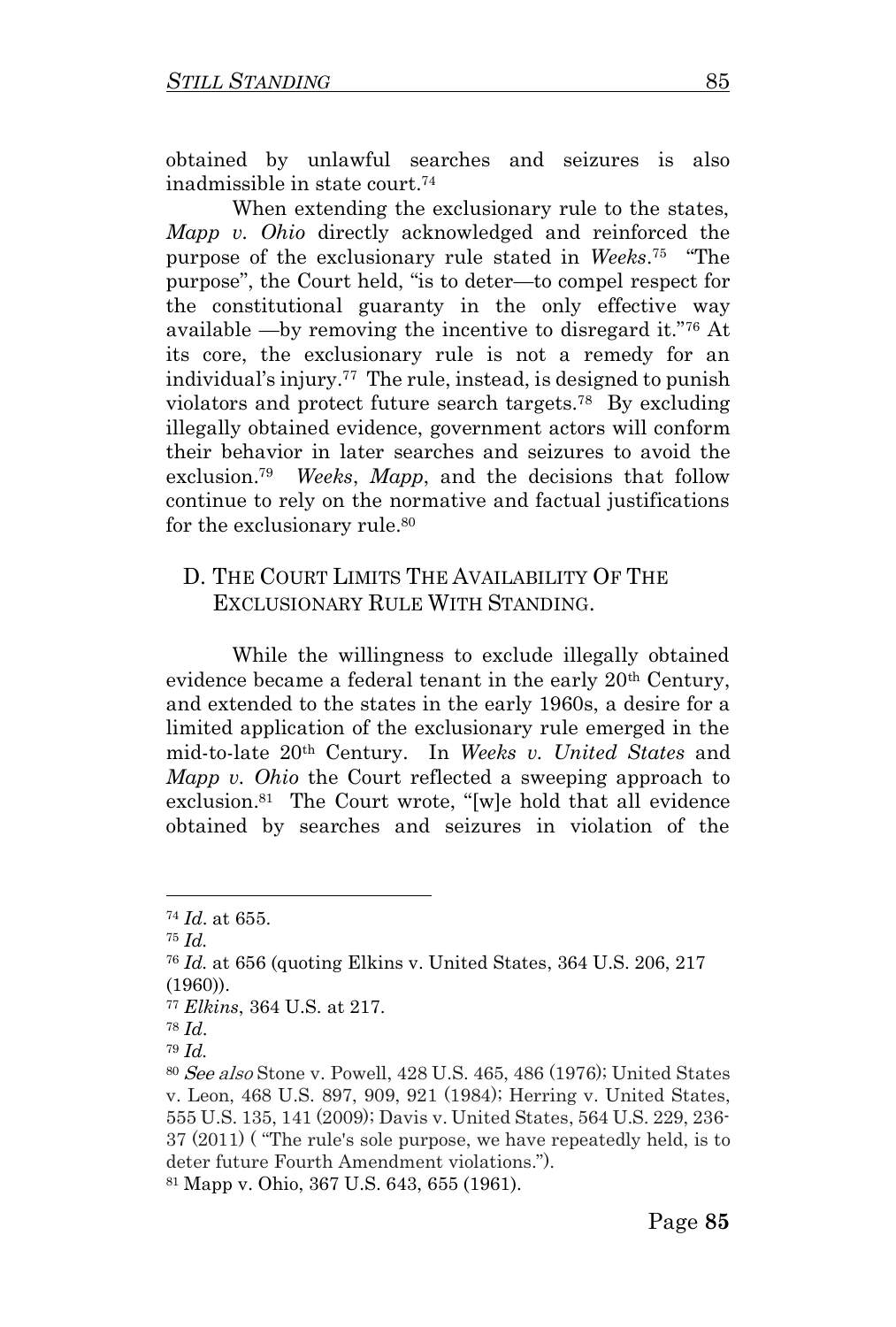obtained by unlawful searches and seizures is also inadmissible in state court.<sup>74</sup>

When extending the exclusionary rule to the states, *Mapp v. Ohio* directly acknowledged and reinforced the purpose of the exclusionary rule stated in *Weeks*. 75 "The purpose", the Court held, "is to deter—to compel respect for the constitutional guaranty in the only effective way available —by removing the incentive to disregard it."<sup>76</sup> At its core, the exclusionary rule is not a remedy for an individual's injury.<sup>77</sup> The rule, instead, is designed to punish violators and protect future search targets.<sup>78</sup> By excluding illegally obtained evidence, government actors will conform their behavior in later searches and seizures to avoid the exclusion. 79 *Weeks*, *Mapp*, and the decisions that follow continue to rely on the normative and factual justifications for the exclusionary rule.<sup>80</sup>

### D. THE COURT LIMITS THE AVAILABILITY OF THE EXCLUSIONARY RULE WITH STANDING.

While the willingness to exclude illegally obtained evidence became a federal tenant in the early 20<sup>th</sup> Century, and extended to the states in the early 1960s, a desire for a limited application of the exclusionary rule emerged in the mid-to-late 20th Century. In *Weeks v. United States* and *Mapp v. Ohio* the Court reflected a sweeping approach to exclusion. 81 The Court wrote, "[w]e hold that all evidence obtained by searches and seizures in violation of the

<sup>74</sup> *Id*. at 655.

<sup>75</sup> *Id.* 

<sup>76</sup> *Id.* at 656 (quoting Elkins v. United States, 364 U.S. 206, 217 (1960)).

<sup>77</sup> *Elkins*, 364 U.S. at 217.

<sup>78</sup> *Id*.

<sup>79</sup> *Id.* 

<sup>80</sup> See also Stone v. Powell, 428 U.S. 465, 486 (1976); United States v. Leon, 468 U.S. 897, 909, 921 (1984); Herring v. United States, 555 U.S. 135, 141 (2009); Davis v. United States, 564 U.S. 229, 236- 37 (2011) ( "The rule's sole purpose, we have repeatedly held, is to deter future Fourth Amendment violations."). <sup>81</sup> Mapp v. Ohio, 367 U.S. 643, 655 (1961).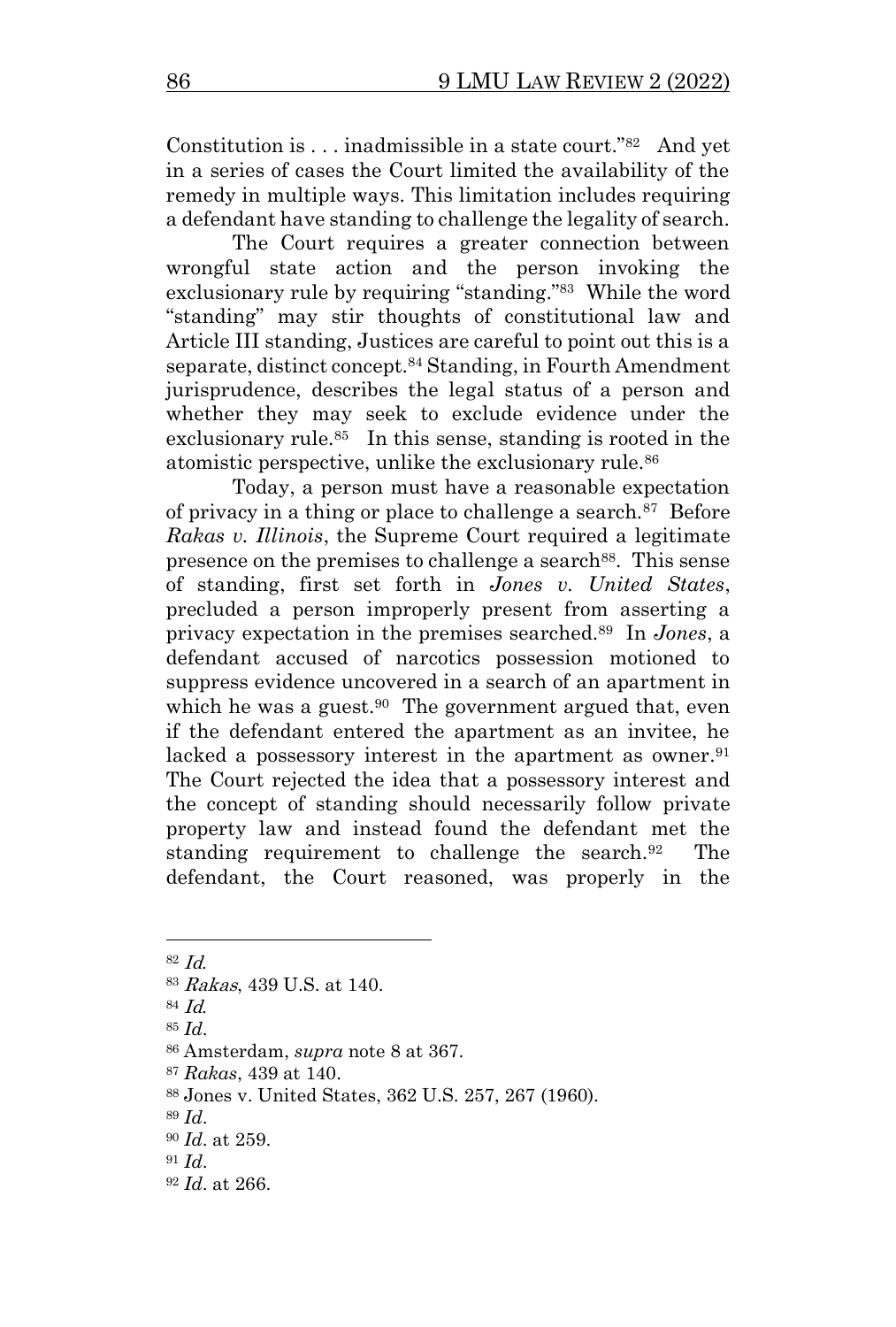Constitution is . . . inadmissible in a state court."<sup>82</sup> And yet in a series of cases the Court limited the availability of the remedy in multiple ways. This limitation includes requiring a defendant have standing to challenge the legality of search.

The Court requires a greater connection between wrongful state action and the person invoking the exclusionary rule by requiring "standing."<sup>83</sup> While the word "standing" may stir thoughts of constitutional law and Article III standing, Justices are careful to point out this is a separate, distinct concept.<sup>84</sup> Standing, in Fourth Amendment jurisprudence, describes the legal status of a person and whether they may seek to exclude evidence under the exclusionary rule.<sup>85</sup> In this sense, standing is rooted in the atomistic perspective, unlike the exclusionary rule.<sup>86</sup>

Today, a person must have a reasonable expectation of privacy in a thing or place to challenge a search.<sup>87</sup> Before *Rakas v. Illinois*, the Supreme Court required a legitimate presence on the premises to challenge a search<sup>88</sup>. This sense of standing, first set forth in *Jones v. United States*, precluded a person improperly present from asserting a privacy expectation in the premises searched.<sup>89</sup> In *Jones*, a defendant accused of narcotics possession motioned to suppress evidence uncovered in a search of an apartment in which he was a guest.<sup>90</sup> The government argued that, even if the defendant entered the apartment as an invitee, he lacked a possessory interest in the apartment as owner.<sup>91</sup> The Court rejected the idea that a possessory interest and the concept of standing should necessarily follow private property law and instead found the defendant met the standing requirement to challenge the search.<sup>92</sup> The defendant, the Court reasoned, was properly in the

<sup>82</sup> Id.

<sup>83</sup> Rakas, 439 U.S. at 140.

<sup>84</sup> Id.

<sup>85</sup> *Id*.

<sup>86</sup> Amsterdam, *supra* note 8 at 367.

<sup>87</sup> *Rakas*, 439 at 140.

<sup>88</sup> Jones v. United States, 362 U.S. 257, 267 (1960).

<sup>89</sup> *Id*.

<sup>90</sup> *Id*. at 259.

<sup>91</sup> *Id*.

<sup>92</sup> *Id*. at 266.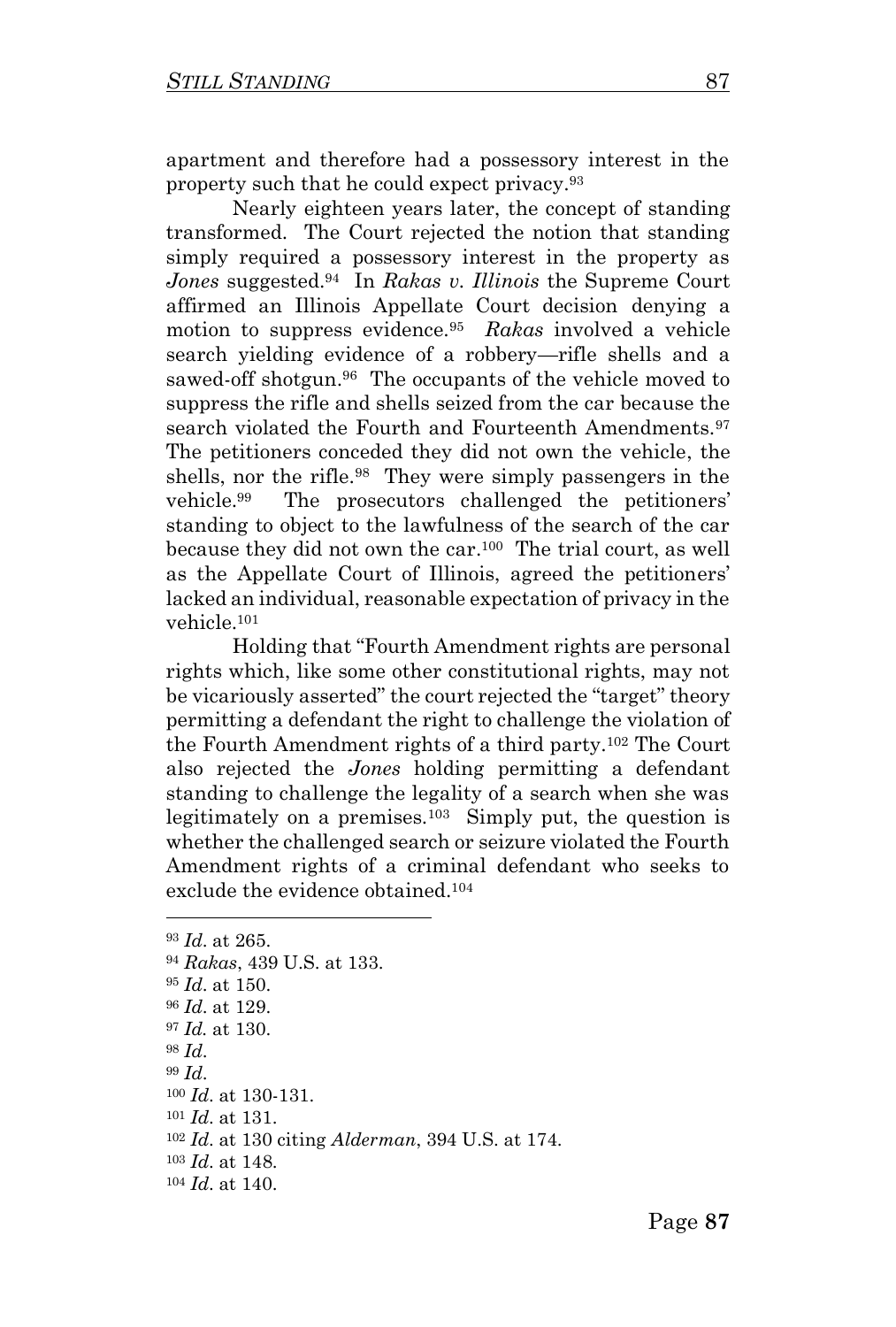apartment and therefore had a possessory interest in the property such that he could expect privacy.<sup>93</sup>

Nearly eighteen years later, the concept of standing transformed. The Court rejected the notion that standing simply required a possessory interest in the property as *Jones* suggested.<sup>94</sup> In *Rakas v. Illinois* the Supreme Court affirmed an Illinois Appellate Court decision denying a motion to suppress evidence.<sup>95</sup> *Rakas* involved a vehicle search yielding evidence of a robbery—rifle shells and a sawed-off shotgun.<sup>96</sup> The occupants of the vehicle moved to suppress the rifle and shells seized from the car because the search violated the Fourth and Fourteenth Amendments.<sup>97</sup> The petitioners conceded they did not own the vehicle, the shells, nor the rifle.<sup>98</sup> They were simply passengers in the vehicle.<sup>99</sup> The prosecutors challenged the petitioners' standing to object to the lawfulness of the search of the car because they did not own the car.<sup>100</sup> The trial court, as well as the Appellate Court of Illinois, agreed the petitioners' lacked an individual, reasonable expectation of privacy in the vehicle.<sup>101</sup>

Holding that "Fourth Amendment rights are personal rights which, like some other constitutional rights, may not be vicariously asserted" the court rejected the "target" theory permitting a defendant the right to challenge the violation of the Fourth Amendment rights of a third party.<sup>102</sup> The Court also rejected the *Jones* holding permitting a defendant standing to challenge the legality of a search when she was legitimately on a premises.<sup>103</sup> Simply put, the question is whether the challenged search or seizure violated the Fourth Amendment rights of a criminal defendant who seeks to exclude the evidence obtained.<sup>104</sup>

<sup>93</sup> *Id*. at 265. <sup>94</sup> *Rakas*, 439 U.S. at 133. <sup>95</sup> *Id*. at 150. <sup>96</sup> *Id*. at 129. <sup>97</sup> *Id.* at 130. <sup>98</sup> *Id*. <sup>99</sup> *Id*. <sup>100</sup> *Id*. at 130-131. <sup>101</sup> *Id*. at 131. <sup>102</sup> *Id*. at 130 citing *Alderman*, 394 U.S. at 174. <sup>103</sup> *Id*. at 148. <sup>104</sup> *Id*. at 140.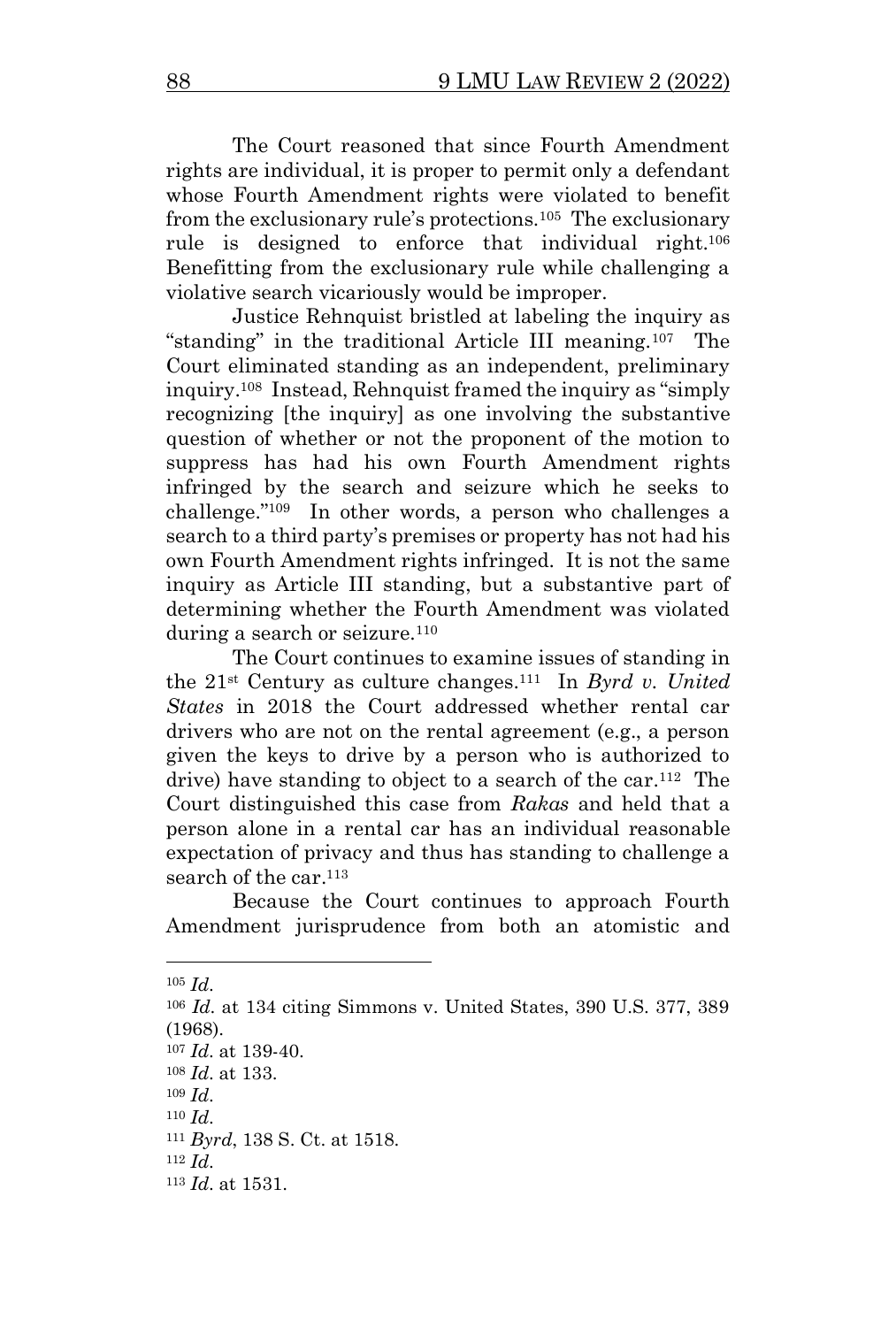The Court reasoned that since Fourth Amendment rights are individual, it is proper to permit only a defendant whose Fourth Amendment rights were violated to benefit from the exclusionary rule's protections.<sup>105</sup> The exclusionary rule is designed to enforce that individual right.<sup>106</sup> Benefitting from the exclusionary rule while challenging a violative search vicariously would be improper.

Justice Rehnquist bristled at labeling the inquiry as "standing" in the traditional Article III meaning.<sup>107</sup> The Court eliminated standing as an independent, preliminary inquiry.<sup>108</sup> Instead, Rehnquist framed the inquiry as "simply recognizing [the inquiry] as one involving the substantive question of whether or not the proponent of the motion to suppress has had his own Fourth Amendment rights infringed by the search and seizure which he seeks to challenge."<sup>109</sup> In other words, a person who challenges a search to a third party's premises or property has not had his own Fourth Amendment rights infringed. It is not the same inquiry as Article III standing, but a substantive part of determining whether the Fourth Amendment was violated during a search or seizure.<sup>110</sup>

The Court continues to examine issues of standing in the 21st Century as culture changes. 111 In *Byrd v. United States* in 2018 the Court addressed whether rental car drivers who are not on the rental agreement (e.g., a person given the keys to drive by a person who is authorized to drive) have standing to object to a search of the car.<sup>112</sup> The Court distinguished this case from *Rakas* and held that a person alone in a rental car has an individual reasonable expectation of privacy and thus has standing to challenge a search of the car.<sup>113</sup>

Because the Court continues to approach Fourth Amendment jurisprudence from both an atomistic and

<sup>105</sup> *Id*.

<sup>106</sup> *Id*. at 134 citing Simmons v. United States, 390 U.S. 377, 389 (1968).

<sup>107</sup> *Id*. at 139-40.

<sup>108</sup> *Id*. at 133.

<sup>109</sup> *Id*.

<sup>110</sup> *Id*.

<sup>111</sup> *Byrd*, 138 S. Ct. at 1518.

<sup>112</sup> *Id*.

<sup>113</sup> *Id*. at 1531.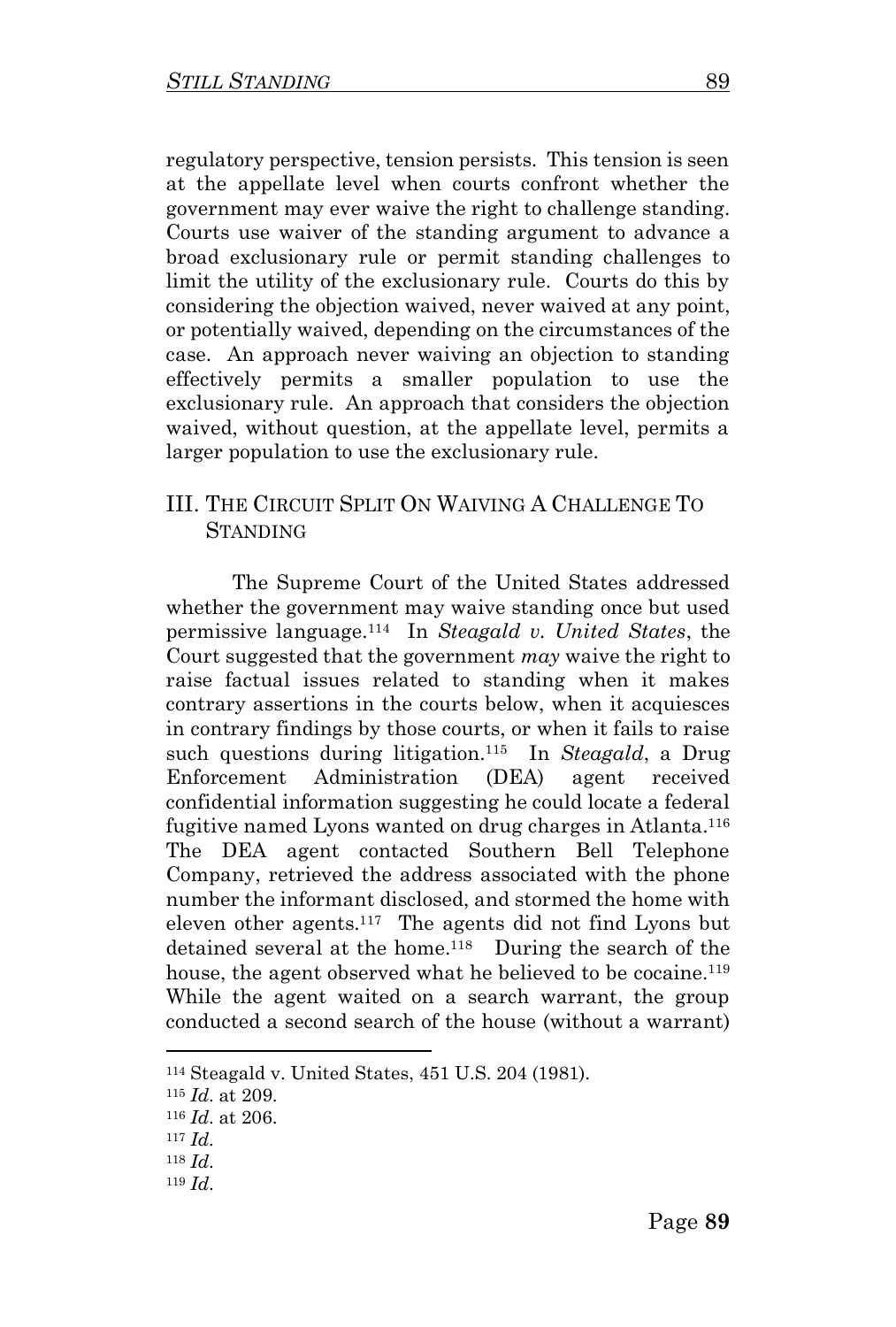regulatory perspective, tension persists. This tension is seen at the appellate level when courts confront whether the government may ever waive the right to challenge standing. Courts use waiver of the standing argument to advance a broad exclusionary rule or permit standing challenges to limit the utility of the exclusionary rule. Courts do this by considering the objection waived, never waived at any point, or potentially waived, depending on the circumstances of the case. An approach never waiving an objection to standing effectively permits a smaller population to use the exclusionary rule. An approach that considers the objection waived, without question, at the appellate level, permits a larger population to use the exclusionary rule.

## III. THE CIRCUIT SPLIT ON WAIVING A CHALLENGE TO **STANDING**

The Supreme Court of the United States addressed whether the government may waive standing once but used permissive language.<sup>114</sup> In *Steagald v. United States*, the Court suggested that the government *may* waive the right to raise factual issues related to standing when it makes contrary assertions in the courts below, when it acquiesces in contrary findings by those courts, or when it fails to raise such questions during litigation.<sup>115</sup> In *Steagald*, a Drug Enforcement Administration (DEA) agent received confidential information suggesting he could locate a federal fugitive named Lyons wanted on drug charges in Atlanta.<sup>116</sup> The DEA agent contacted Southern Bell Telephone Company, retrieved the address associated with the phone number the informant disclosed, and stormed the home with eleven other agents.<sup>117</sup> The agents did not find Lyons but detained several at the home.<sup>118</sup> During the search of the house, the agent observed what he believed to be cocaine.<sup>119</sup> While the agent waited on a search warrant, the group conducted a second search of the house (without a warrant)

<sup>114</sup> Steagald v. United States, 451 U.S. 204 (1981).

<sup>115</sup> *Id*. at 209.

<sup>116</sup> *Id*. at 206.

<sup>117</sup> *Id*.

<sup>118</sup> *Id*.

<sup>119</sup> *Id*.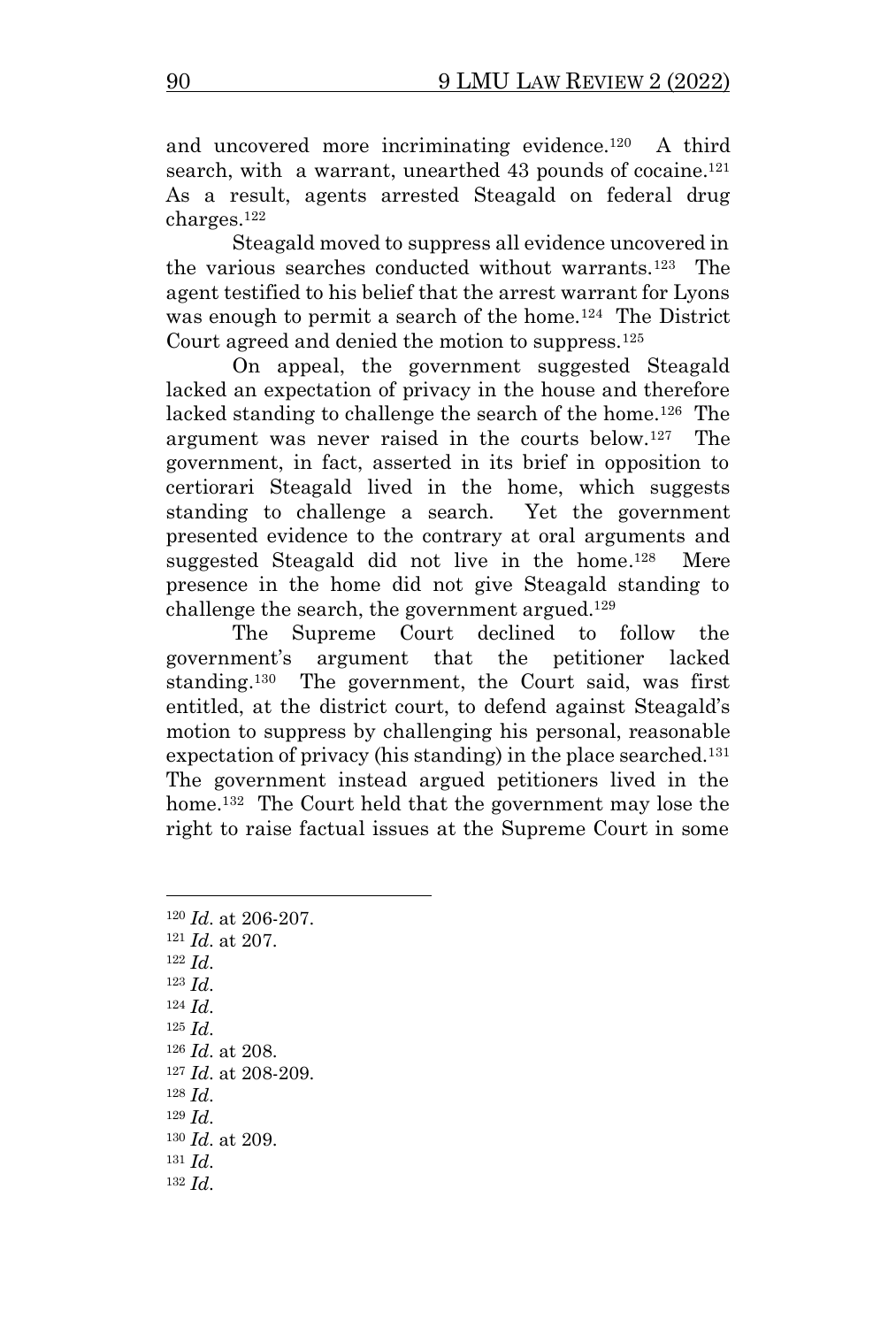and uncovered more incriminating evidence.<sup>120</sup> A third search, with a warrant, unearthed 43 pounds of cocaine.<sup>121</sup> As a result, agents arrested Steagald on federal drug charges.<sup>122</sup>

Steagald moved to suppress all evidence uncovered in the various searches conducted without warrants.<sup>123</sup> The agent testified to his belief that the arrest warrant for Lyons was enough to permit a search of the home.<sup>124</sup> The District Court agreed and denied the motion to suppress.<sup>125</sup>

On appeal, the government suggested Steagald lacked an expectation of privacy in the house and therefore lacked standing to challenge the search of the home.<sup>126</sup> The argument was never raised in the courts below.<sup>127</sup> The government, in fact, asserted in its brief in opposition to certiorari Steagald lived in the home, which suggests standing to challenge a search. Yet the government presented evidence to the contrary at oral arguments and suggested Steagald did not live in the home. 128 Mere presence in the home did not give Steagald standing to challenge the search, the government argued.<sup>129</sup>

The Supreme Court declined to follow the government's argument that the petitioner lacked standing.<sup>130</sup> The government, the Court said, was first entitled, at the district court, to defend against Steagald's motion to suppress by challenging his personal, reasonable expectation of privacy (his standing) in the place searched.<sup>131</sup> The government instead argued petitioners lived in the home.<sup>132</sup> The Court held that the government may lose the right to raise factual issues at the Supreme Court in some

<sup>120</sup> *Id*. at 206-207. <sup>121</sup> *Id*. at 207. <sup>122</sup> *Id*. <sup>123</sup> *Id*. <sup>124</sup> *Id*. <sup>125</sup> *Id*. <sup>126</sup> *Id*. at 208. <sup>127</sup> *Id*. at 208-209. <sup>128</sup> *Id*. <sup>129</sup> *Id*. <sup>130</sup> *Id*. at 209. <sup>131</sup> *Id*. <sup>132</sup> *Id*.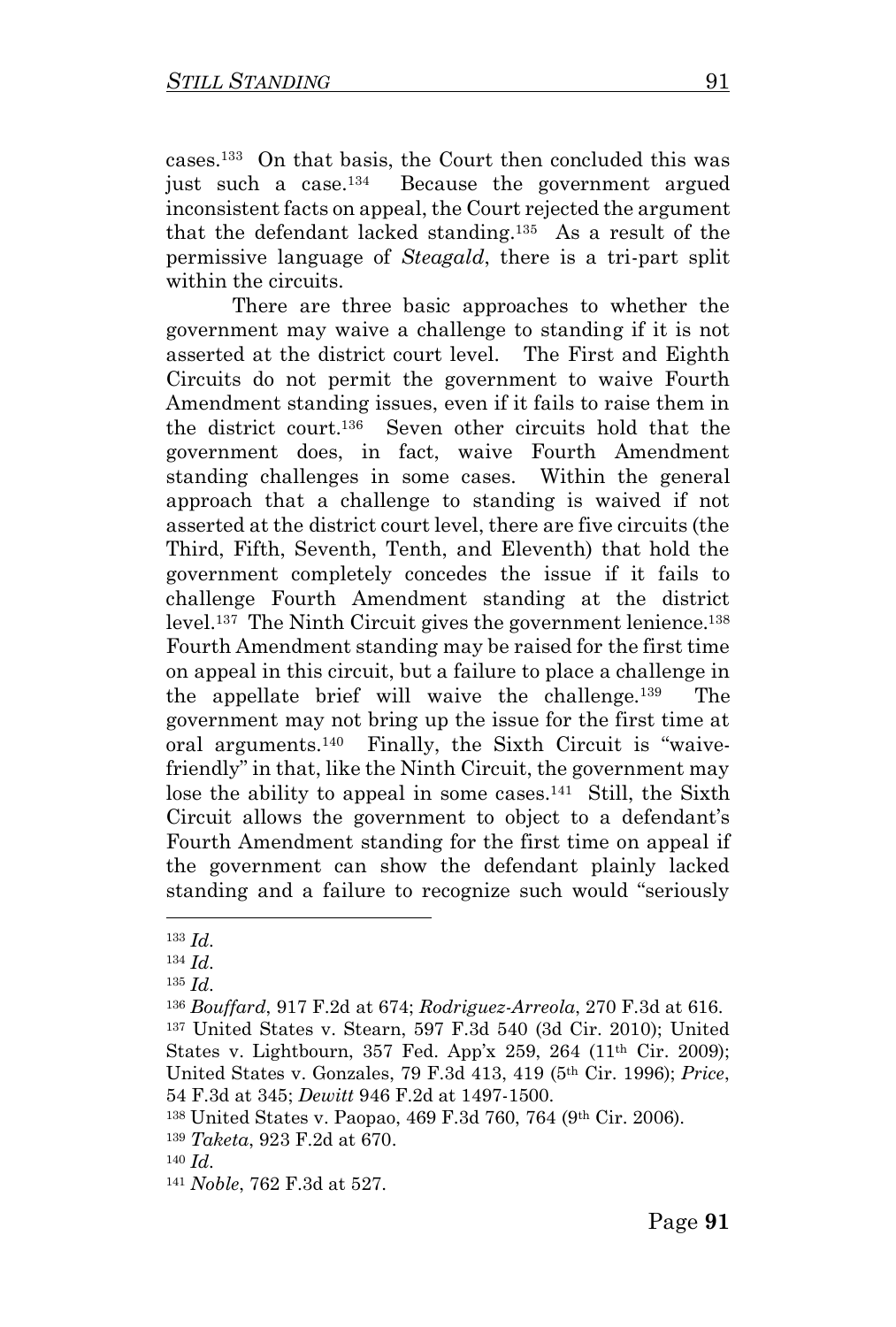cases.<sup>133</sup> On that basis, the Court then concluded this was just such a case.<sup>134</sup> Because the government argued inconsistent facts on appeal, the Court rejected the argument that the defendant lacked standing.<sup>135</sup> As a result of the permissive language of *Steagald*, there is a tri-part split within the circuits.

There are three basic approaches to whether the government may waive a challenge to standing if it is not asserted at the district court level. The First and Eighth Circuits do not permit the government to waive Fourth Amendment standing issues, even if it fails to raise them in the district court.<sup>136</sup> Seven other circuits hold that the government does, in fact, waive Fourth Amendment standing challenges in some cases. Within the general approach that a challenge to standing is waived if not asserted at the district court level, there are five circuits (the Third, Fifth, Seventh, Tenth, and Eleventh) that hold the government completely concedes the issue if it fails to challenge Fourth Amendment standing at the district level.<sup>137</sup> The Ninth Circuit gives the government lenience.<sup>138</sup> Fourth Amendment standing may be raised for the first time on appeal in this circuit, but a failure to place a challenge in the appellate brief will waive the challenge.<sup>139</sup> The government may not bring up the issue for the first time at oral arguments.<sup>140</sup> Finally, the Sixth Circuit is "waivefriendly" in that, like the Ninth Circuit, the government may lose the ability to appeal in some cases.<sup>141</sup> Still, the Sixth Circuit allows the government to object to a defendant's Fourth Amendment standing for the first time on appeal if the government can show the defendant plainly lacked standing and a failure to recognize such would "seriously

<sup>133</sup> *Id*.

<sup>134</sup> *Id*.

<sup>135</sup> *Id*.

<sup>136</sup> *Bouffard*, 917 F.2d at 674; *Rodriguez-Arreola*, 270 F.3d at 616. <sup>137</sup> United States v. Stearn, 597 F.3d 540 (3d Cir. 2010); United States v. Lightbourn, 357 Fed. App'x 259, 264 (11<sup>th</sup> Cir. 2009); United States v. Gonzales, 79 F.3d 413, 419 (5th Cir. 1996); *Price*, 54 F.3d at 345; *Dewitt* 946 F.2d at 1497-1500.

<sup>138</sup> United States v. Paopao, 469 F.3d 760, 764 (9th Cir. 2006).

<sup>139</sup> *Taketa*, 923 F.2d at 670.

<sup>140</sup> *Id*.

<sup>141</sup> *Noble*, 762 F.3d at 527.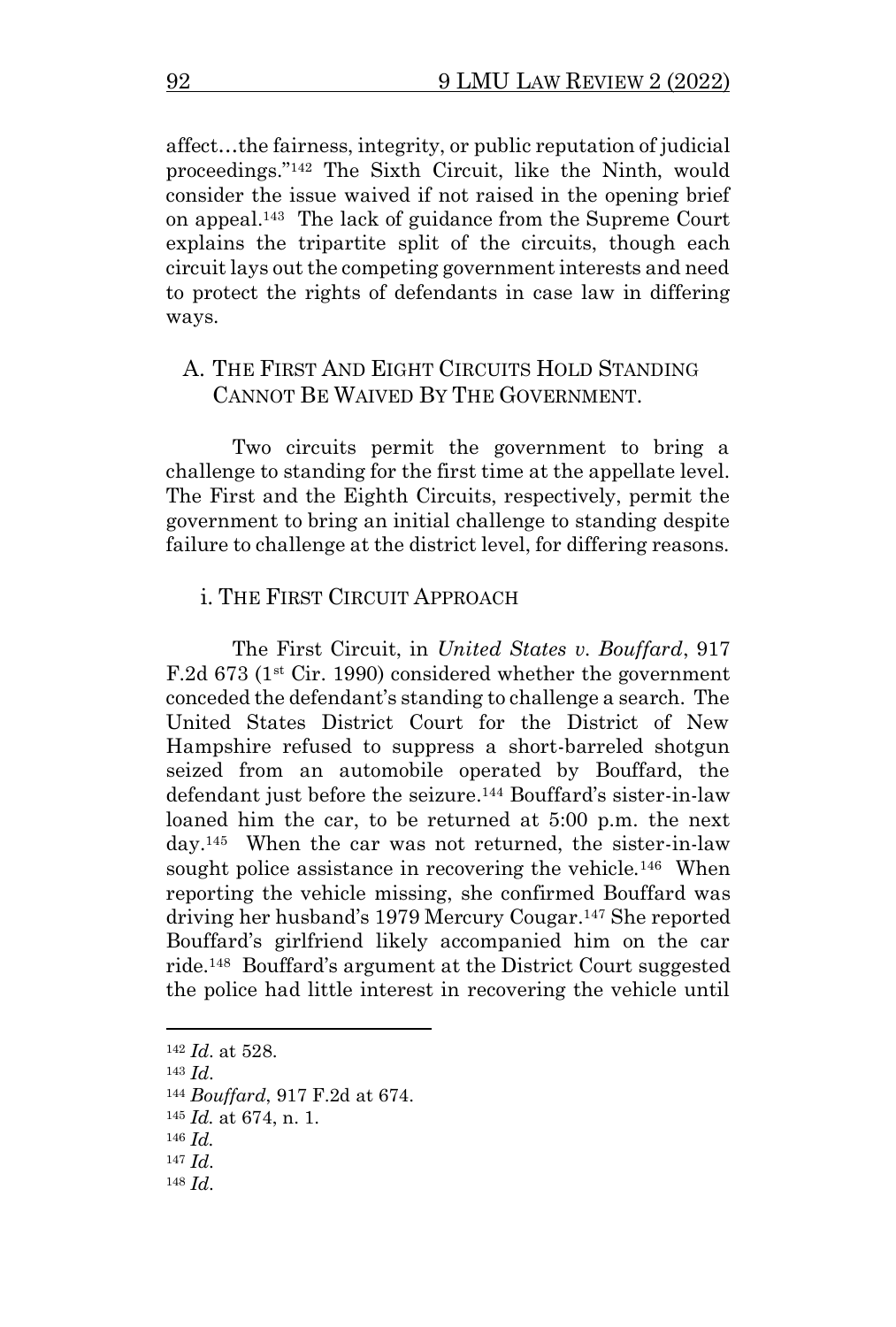affect…the fairness, integrity, or public reputation of judicial proceedings."<sup>142</sup> The Sixth Circuit, like the Ninth, would consider the issue waived if not raised in the opening brief on appeal.<sup>143</sup> The lack of guidance from the Supreme Court explains the tripartite split of the circuits, though each circuit lays out the competing government interests and need to protect the rights of defendants in case law in differing ways.

#### A. THE FIRST AND EIGHT CIRCUITS HOLD STANDING CANNOT BE WAIVED BY THE GOVERNMENT.

Two circuits permit the government to bring a challenge to standing for the first time at the appellate level. The First and the Eighth Circuits, respectively, permit the government to bring an initial challenge to standing despite failure to challenge at the district level, for differing reasons.

#### i. THE FIRST CIRCUIT APPROACH

The First Circuit, in *United States v. Bouffard*, 917 F.2d  $673$  (1<sup>st</sup> Cir. 1990) considered whether the government conceded the defendant's standing to challenge a search. The United States District Court for the District of New Hampshire refused to suppress a short-barreled shotgun seized from an automobile operated by Bouffard, the defendant just before the seizure. <sup>144</sup> Bouffard's sister-in-law loaned him the car, to be returned at 5:00 p.m. the next day.<sup>145</sup> When the car was not returned, the sister-in-law sought police assistance in recovering the vehicle.<sup>146</sup> When reporting the vehicle missing, she confirmed Bouffard was driving her husband's 1979 Mercury Cougar.<sup>147</sup> She reported Bouffard's girlfriend likely accompanied him on the car ride.<sup>148</sup> Bouffard's argument at the District Court suggested the police had little interest in recovering the vehicle until

<sup>142</sup> *Id*. at 528.

<sup>143</sup> *Id*.

<sup>144</sup> *Bouffard*, 917 F.2d at 674.

<sup>145</sup> *Id.* at 674, n. 1.

<sup>146</sup> *Id.* 

<sup>147</sup> *Id*.

<sup>148</sup> *Id*.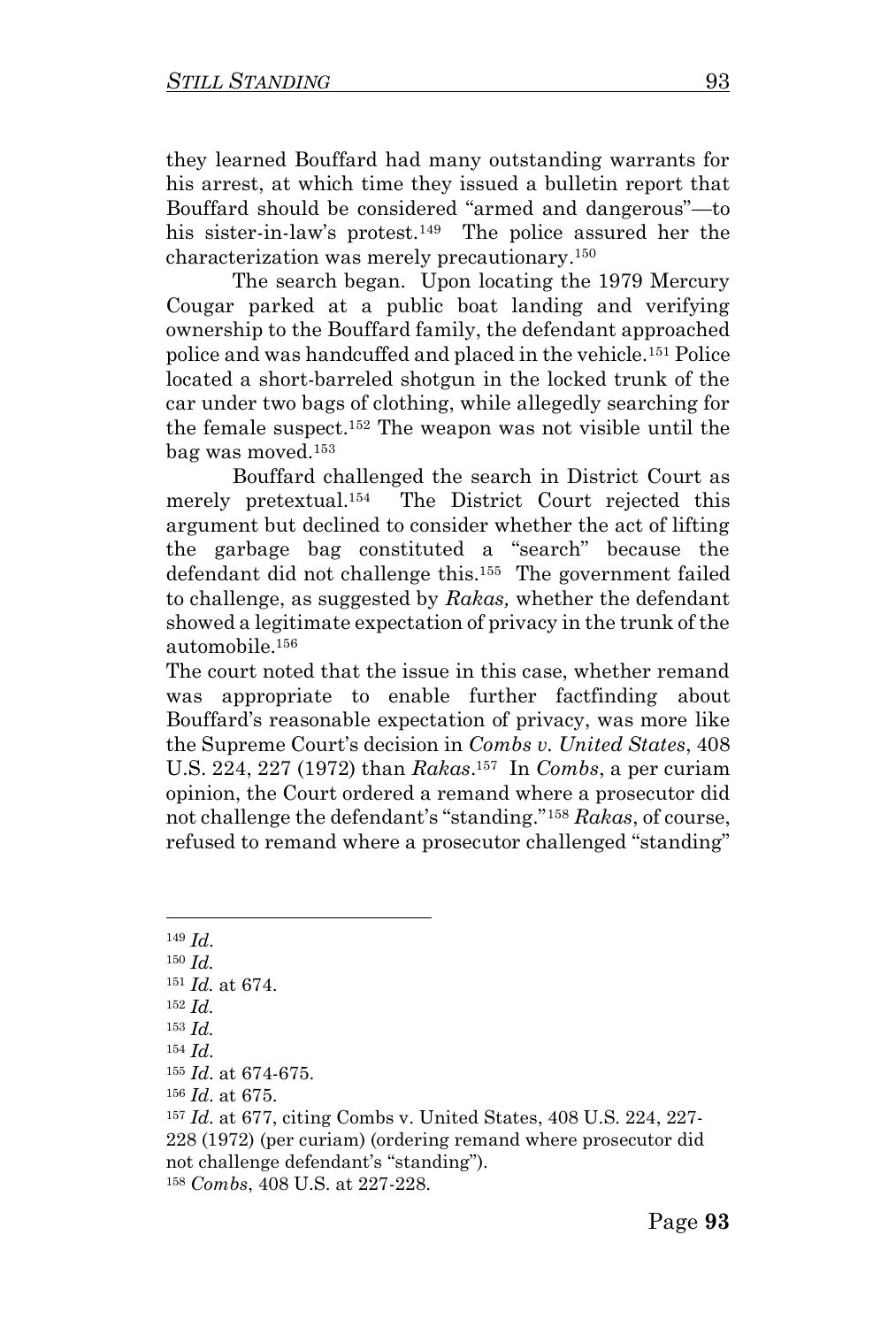they learned Bouffard had many outstanding warrants for his arrest, at which time they issued a bulletin report that Bouffard should be considered "armed and dangerous"—to his sister-in-law's protest.<sup>149</sup> The police assured her the characterization was merely precautionary. 150

The search began. Upon locating the 1979 Mercury Cougar parked at a public boat landing and verifying ownership to the Bouffard family, the defendant approached police and was handcuffed and placed in the vehicle.<sup>151</sup> Police located a short-barreled shotgun in the locked trunk of the car under two bags of clothing, while allegedly searching for the female suspect.<sup>152</sup> The weapon was not visible until the bag was moved.<sup>153</sup>

Bouffard challenged the search in District Court as merely pretextual.<sup>154</sup> The District Court rejected this argument but declined to consider whether the act of lifting the garbage bag constituted a "search" because the defendant did not challenge this. 155 The government failed to challenge, as suggested by *Rakas,* whether the defendant showed a legitimate expectation of privacy in the trunk of the automobile.<sup>156</sup>

The court noted that the issue in this case, whether remand was appropriate to enable further factfinding about Bouffard's reasonable expectation of privacy, was more like the Supreme Court's decision in *Combs v. United States*, 408 U.S. 224, 227 (1972) than *Rakas*. 157 In *Combs*, a per curiam opinion, the Court ordered a remand where a prosecutor did not challenge the defendant's "standing."<sup>158</sup> *Rakas*, of course, refused to remand where a prosecutor challenged "standing"

<sup>149</sup> *Id*.

<sup>150</sup> *Id.* 

<sup>151</sup> *Id.* at 674.

 $152$  *Id.* 

<sup>153</sup> *Id.* 

<sup>154</sup> *Id*.

<sup>155</sup> *Id*. at 674-675.

<sup>156</sup> *Id*. at 675.

<sup>157</sup> *Id*. at 677, citing Combs v. United States, 408 U.S. 224, 227- 228 (1972) (per curiam) (ordering remand where prosecutor did not challenge defendant's "standing"). <sup>158</sup> *Combs*, 408 U.S. at 227-228.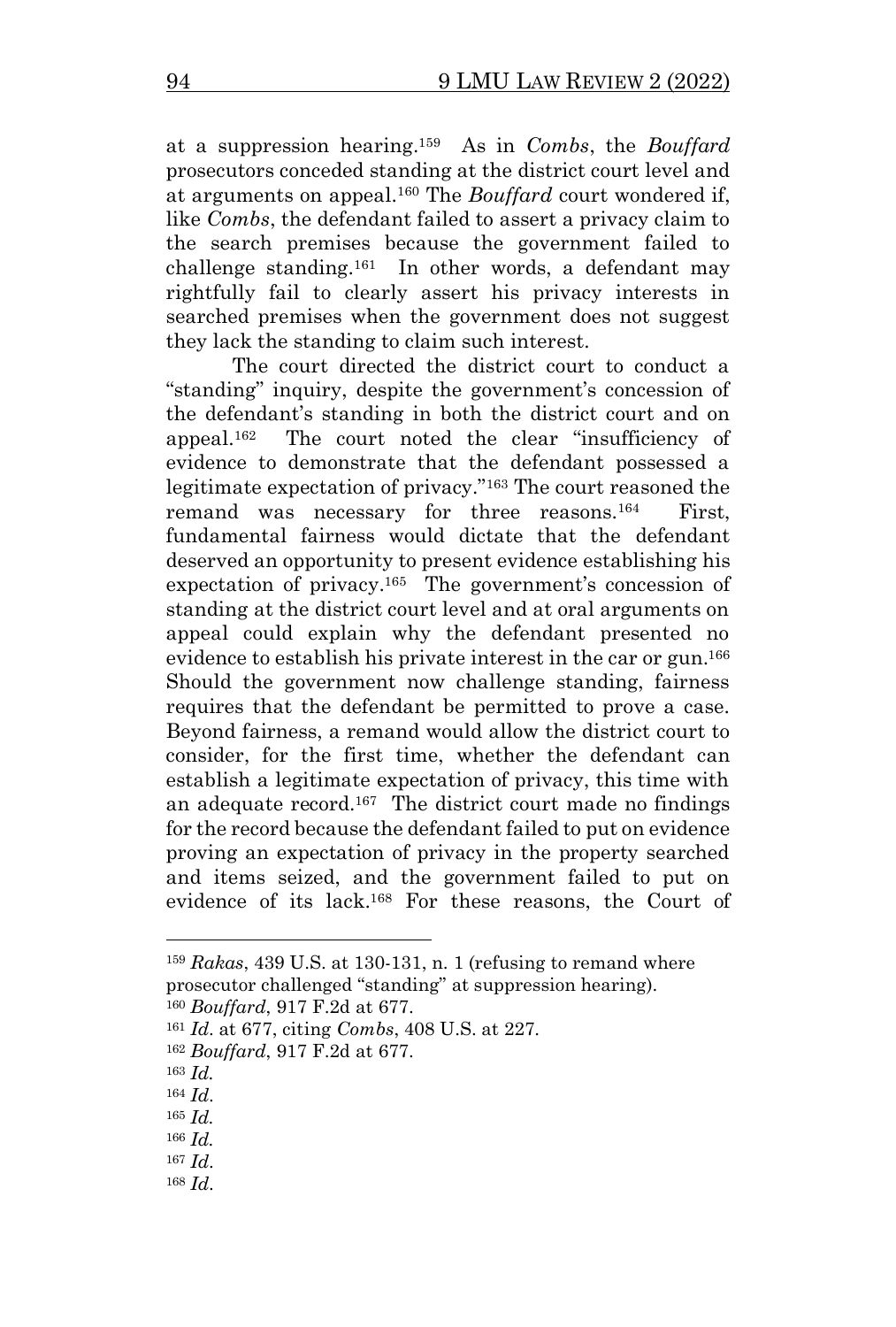at a suppression hearing.<sup>159</sup> As in *Combs*, the *Bouffard* prosecutors conceded standing at the district court level and at arguments on appeal.<sup>160</sup> The *Bouffard* court wondered if, like *Combs*, the defendant failed to assert a privacy claim to the search premises because the government failed to challenge standing.<sup>161</sup> In other words, a defendant may rightfully fail to clearly assert his privacy interests in searched premises when the government does not suggest they lack the standing to claim such interest.

The court directed the district court to conduct a "standing" inquiry, despite the government's concession of the defendant's standing in both the district court and on appeal.<sup>162</sup> The court noted the clear "insufficiency of evidence to demonstrate that the defendant possessed a legitimate expectation of privacy."<sup>163</sup> The court reasoned the remand was necessary for three reasons.<sup>164</sup> First, fundamental fairness would dictate that the defendant deserved an opportunity to present evidence establishing his expectation of privacy.<sup>165</sup> The government's concession of standing at the district court level and at oral arguments on appeal could explain why the defendant presented no evidence to establish his private interest in the car or gun.<sup>166</sup> Should the government now challenge standing, fairness requires that the defendant be permitted to prove a case. Beyond fairness, a remand would allow the district court to consider, for the first time, whether the defendant can establish a legitimate expectation of privacy, this time with an adequate record.<sup>167</sup> The district court made no findings for the record because the defendant failed to put on evidence proving an expectation of privacy in the property searched and items seized, and the government failed to put on evidence of its lack.<sup>168</sup> For these reasons, the Court of

<sup>160</sup> *Bouffard*, 917 F.2d at 677.

<sup>165</sup> *Id.*

- <sup>167</sup> *Id*.
- <sup>168</sup> *Id*.

<sup>159</sup> *Rakas*, 439 U.S. at 130-131, n. 1 (refusing to remand where prosecutor challenged "standing" at suppression hearing).

<sup>161</sup> *Id*. at 677, citing *Combs*, 408 U.S. at 227.

<sup>162</sup> *Bouffard*, 917 F.2d at 677.

<sup>163</sup> *Id.*

<sup>164</sup> *Id*.

<sup>166</sup> *Id.*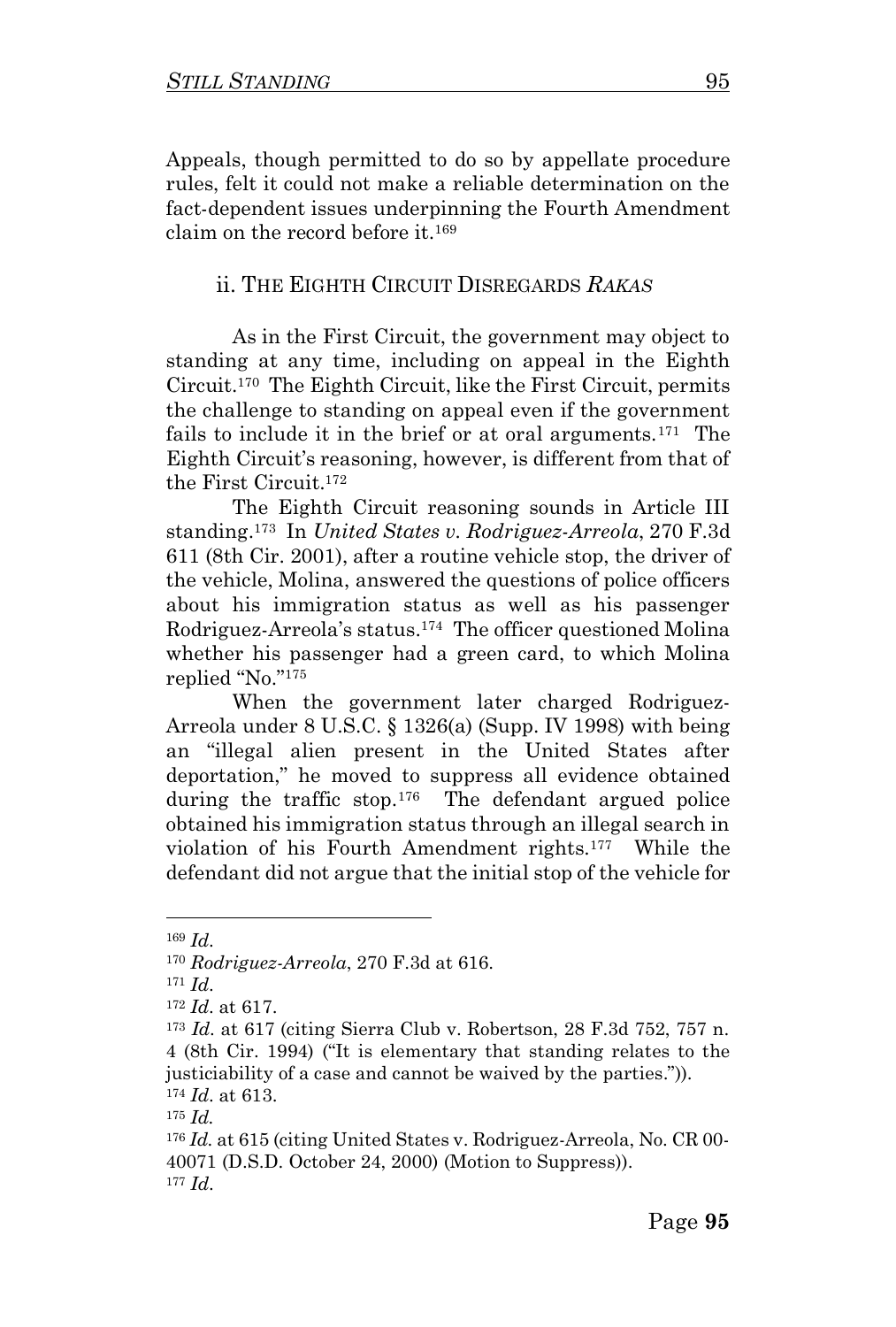Appeals, though permitted to do so by appellate procedure rules, felt it could not make a reliable determination on the fact-dependent issues underpinning the Fourth Amendment claim on the record before it.<sup>169</sup>

#### ii. THE EIGHTH CIRCUIT DISREGARDS *RAKAS*

As in the First Circuit, the government may object to standing at any time, including on appeal in the Eighth Circuit. 170 The Eighth Circuit, like the First Circuit, permits the challenge to standing on appeal even if the government fails to include it in the brief or at oral arguments.<sup>171</sup> The Eighth Circuit's reasoning, however, is different from that of the First Circuit.<sup>172</sup>

The Eighth Circuit reasoning sounds in Article III standing.<sup>173</sup> In *United States v. Rodriguez-Arreola*, 270 F.3d 611 (8th Cir. 2001), after a routine vehicle stop, the driver of the vehicle, Molina, answered the questions of police officers about his immigration status as well as his passenger Rodriguez-Arreola's status. 174 The officer questioned Molina whether his passenger had a green card, to which Molina replied "No."<sup>175</sup>

When the government later charged Rodriguez-Arreola under 8 U.S.C. § 1326(a) (Supp. IV 1998) with being an "illegal alien present in the United States after deportation," he moved to suppress all evidence obtained during the traffic stop. 176 The defendant argued police obtained his immigration status through an illegal search in violation of his Fourth Amendment rights.<sup>177</sup> While the defendant did not argue that the initial stop of the vehicle for

<sup>169</sup> *Id*.

<sup>170</sup> *Rodriguez-Arreola*, 270 F.3d at 616.

<sup>171</sup> *Id*.

<sup>172</sup> *Id*. at 617.

<sup>173</sup> *Id*. at 617 (citing Sierra Club v. Robertson, 28 F.3d 752, 757 n. 4 (8th Cir. 1994) ("It is elementary that standing relates to the justiciability of a case and cannot be waived by the parties.")). <sup>174</sup> *Id*. at 613.

<sup>175</sup> *Id.*

<sup>176</sup> *Id.* at 615 (citing United States v. Rodriguez-Arreola, No. CR 00- 40071 (D.S.D. October 24, 2000) (Motion to Suppress)). <sup>177</sup> *Id*.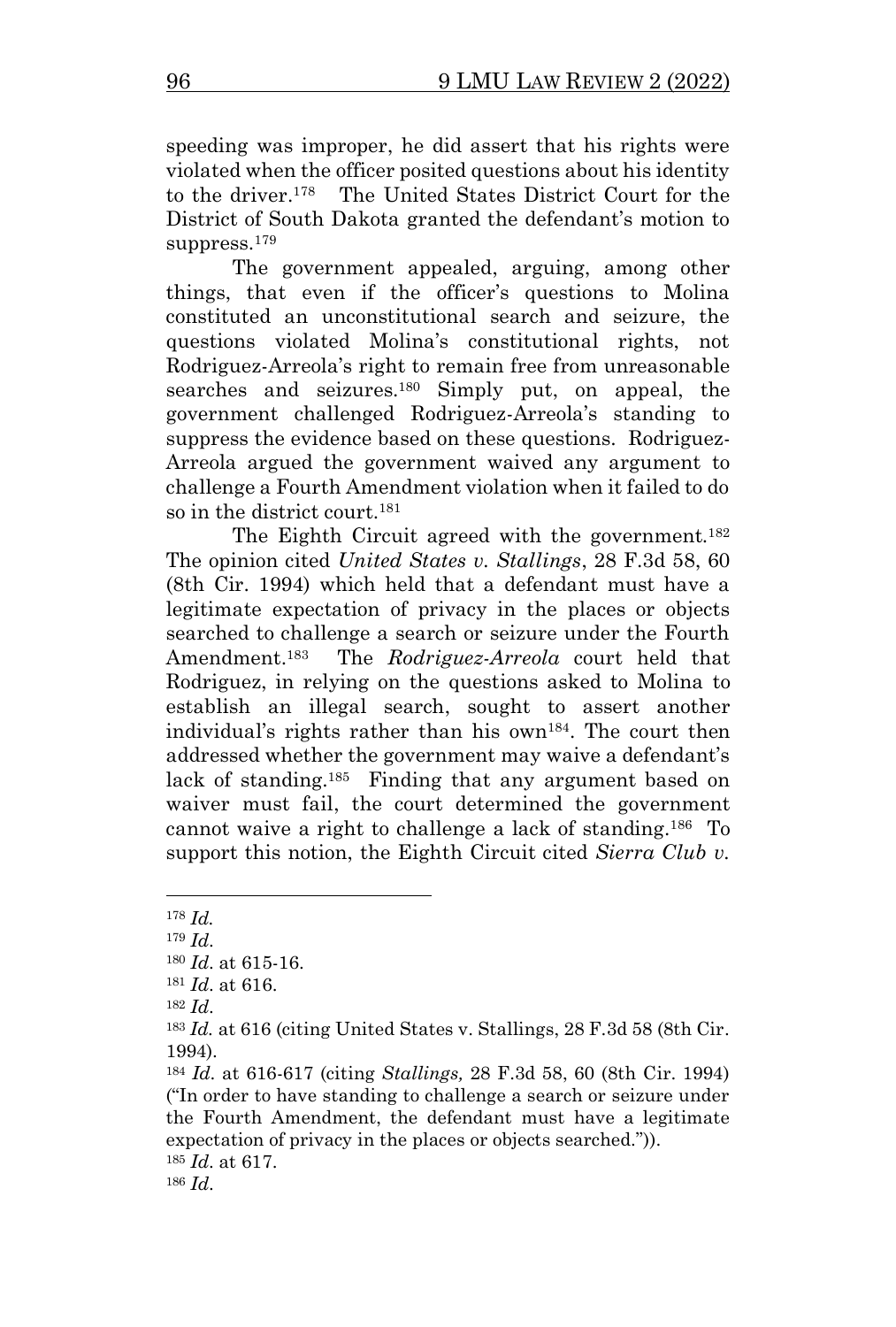speeding was improper, he did assert that his rights were violated when the officer posited questions about his identity to the driver. 178 The United States District Court for the District of South Dakota granted the defendant's motion to suppress.<sup>179</sup>

The government appealed, arguing, among other things, that even if the officer's questions to Molina constituted an unconstitutional search and seizure, the questions violated Molina's constitutional rights, not Rodriguez-Arreola's right to remain free from unreasonable searches and seizures.<sup>180</sup> Simply put, on appeal, the government challenged Rodriguez-Arreola's standing to suppress the evidence based on these questions. Rodriguez-Arreola argued the government waived any argument to challenge a Fourth Amendment violation when it failed to do so in the district court.<sup>181</sup>

The Eighth Circuit agreed with the government.<sup>182</sup> The opinion cited *United States v. Stallings*, 28 F.3d 58, 60 (8th Cir. 1994) which held that a defendant must have a legitimate expectation of privacy in the places or objects searched to challenge a search or seizure under the Fourth Amendment. 183 The *Rodriguez-Arreola* court held that Rodriguez, in relying on the questions asked to Molina to establish an illegal search, sought to assert another individual's rights rather than his own<sup>184</sup> . The court then addressed whether the government may waive a defendant's lack of standing.<sup>185</sup> Finding that any argument based on waiver must fail, the court determined the government cannot waive a right to challenge a lack of standing.<sup>186</sup> To support this notion, the Eighth Circuit cited *Sierra Club v.* 

<sup>178</sup> *Id.*

<sup>179</sup> *Id*.

<sup>180</sup> *Id*. at 615-16.

<sup>181</sup> *Id*. at 616.

<sup>182</sup> *Id*.

<sup>183</sup> *Id.* at 616 (citing United States v. Stallings, 28 F.3d 58 (8th Cir. 1994).

<sup>184</sup> *Id*. at 616-617 (citing *Stallings,* 28 F.3d 58, 60 (8th Cir. 1994) ("In order to have standing to challenge a search or seizure under the Fourth Amendment, the defendant must have a legitimate expectation of privacy in the places or objects searched.")). <sup>185</sup> *Id*. at 617.

<sup>186</sup> *Id*.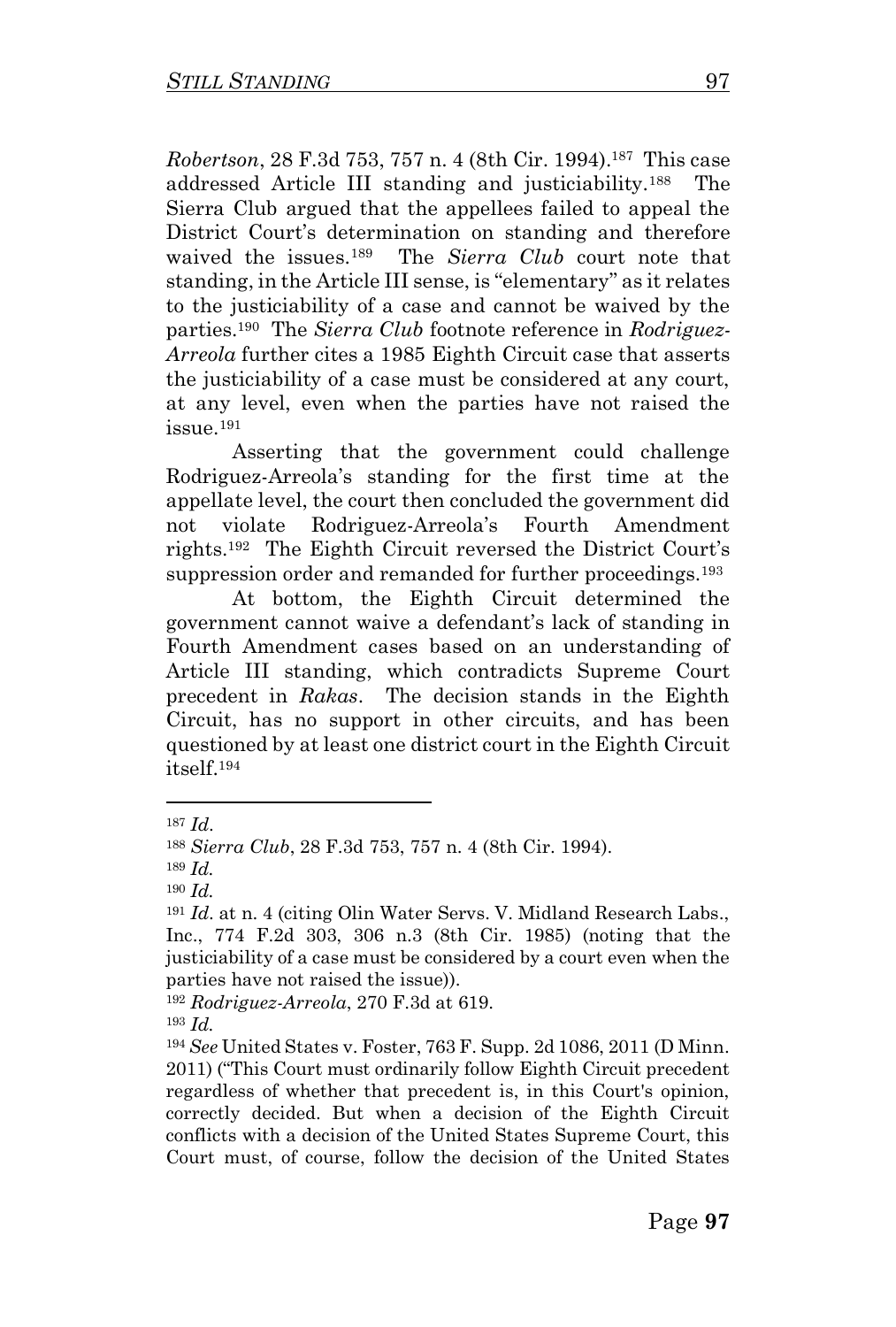*Robertson*, 28 F.3d 753, 757 n. 4 (8th Cir. 1994).<sup>187</sup> This case addressed Article III standing and justiciability.<sup>188</sup> The Sierra Club argued that the appellees failed to appeal the District Court's determination on standing and therefore waived the issues.<sup>189</sup> The *Sierra Club* court note that standing, in the Article III sense, is "elementary" as it relates to the justiciability of a case and cannot be waived by the parties.<sup>190</sup> The *Sierra Club* footnote reference in *Rodriguez-Arreola* further cites a 1985 Eighth Circuit case that asserts the justiciability of a case must be considered at any court, at any level, even when the parties have not raised the issue.<sup>191</sup>

Asserting that the government could challenge Rodriguez-Arreola's standing for the first time at the appellate level, the court then concluded the government did not violate Rodriguez-Arreola's Fourth Amendment rights.<sup>192</sup> The Eighth Circuit reversed the District Court's suppression order and remanded for further proceedings.<sup>193</sup>

At bottom, the Eighth Circuit determined the government cannot waive a defendant's lack of standing in Fourth Amendment cases based on an understanding of Article III standing, which contradicts Supreme Court precedent in *Rakas*. The decision stands in the Eighth Circuit, has no support in other circuits, and has been questioned by at least one district court in the Eighth Circuit itself.<sup>194</sup>

<sup>187</sup> *Id*.

<sup>188</sup> *Sierra Club*, 28 F.3d 753, 757 n. 4 (8th Cir. 1994).

<sup>189</sup> *Id.* 

<sup>190</sup> *Id.* 

<sup>191</sup> *Id*. at n. 4 (citing Olin Water Servs. V. Midland Research Labs., Inc., 774 F.2d 303, 306 n.3 (8th Cir. 1985) (noting that the justiciability of a case must be considered by a court even when the parties have not raised the issue)).

<sup>192</sup> *Rodriguez-Arreola*, 270 F.3d at 619.

<sup>193</sup> *Id.*

<sup>194</sup> *See* United States v. Foster, 763 F. Supp. 2d 1086, 2011 (D Minn. 2011) ("This Court must ordinarily follow Eighth Circuit precedent regardless of whether that precedent is, in this Court's opinion, correctly decided. But when a decision of the Eighth Circuit conflicts with a decision of the United States Supreme Court, this Court must, of course, follow the decision of the United States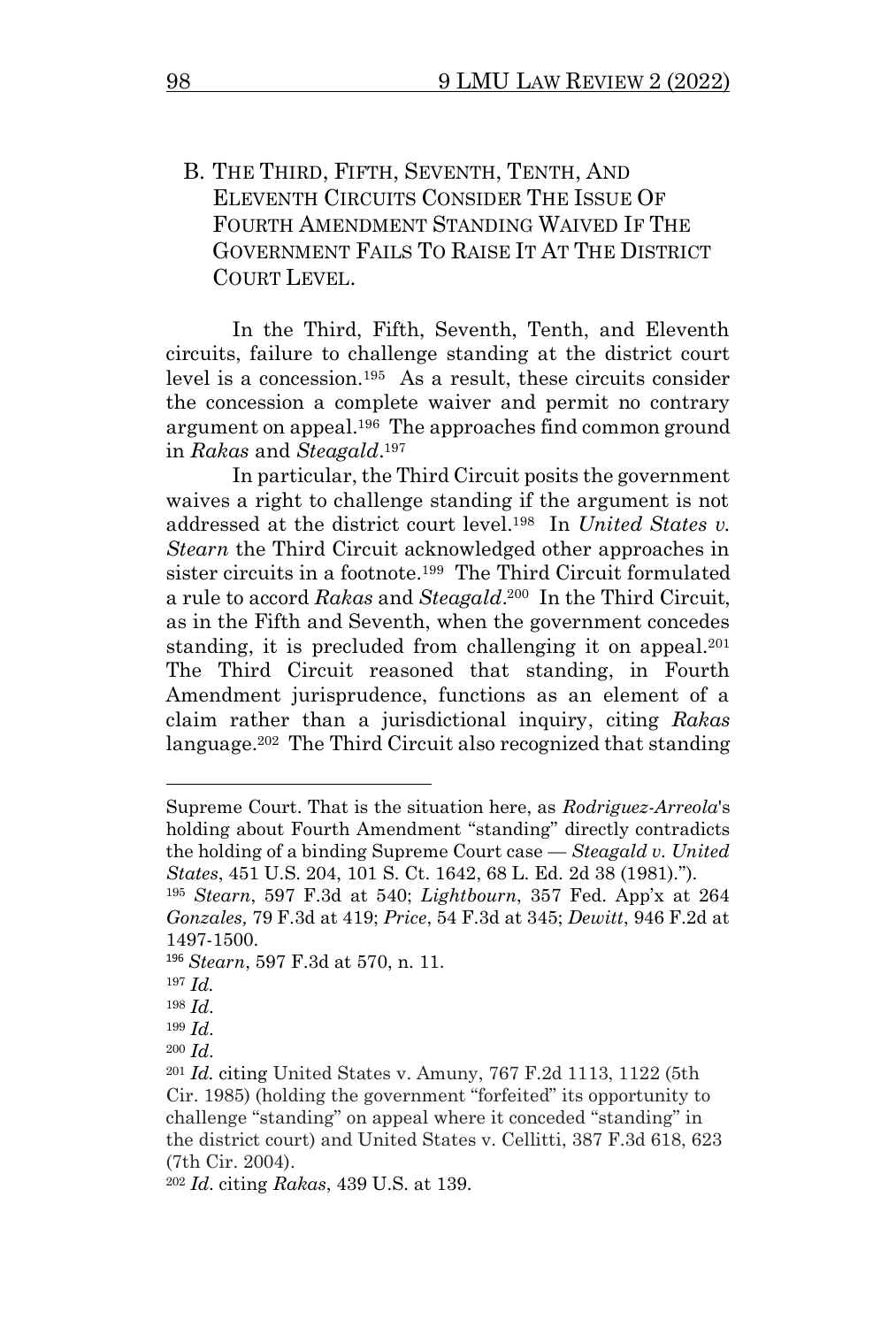B. THE THIRD, FIFTH, SEVENTH, TENTH, AND ELEVENTH CIRCUITS CONSIDER THE ISSUE OF FOURTH AMENDMENT STANDING WAIVED IF THE GOVERNMENT FAILS TO RAISE IT AT THE DISTRICT COURT LEVEL.

In the Third, Fifth, Seventh, Tenth, and Eleventh circuits, failure to challenge standing at the district court level is a concession.<sup>195</sup> As a result, these circuits consider the concession a complete waiver and permit no contrary argument on appeal.<sup>196</sup> The approaches find common ground in *Rakas* and *Steagald*. 197

In particular, the Third Circuit posits the government waives a right to challenge standing if the argument is not addressed at the district court level.<sup>198</sup> In *United States v. Stearn* the Third Circuit acknowledged other approaches in sister circuits in a footnote. 199 The Third Circuit formulated a rule to accord *Rakas* and *Steagald*. 200 In the Third Circuit, as in the Fifth and Seventh, when the government concedes standing, it is precluded from challenging it on appeal.<sup>201</sup> The Third Circuit reasoned that standing, in Fourth Amendment jurisprudence, functions as an element of a claim rather than a jurisdictional inquiry, citing *Rakas* language.<sup>202</sup> The Third Circuit also recognized that standing

<sup>196</sup> *Stearn*, 597 F.3d at 570, n. 11.

Supreme Court. That is the situation here, as *Rodriguez-Arreola*'s holding about Fourth Amendment "standing" directly contradicts the holding of a binding Supreme Court case — *Steagald v. United States*, 451 U.S. 204, 101 S. Ct. 1642, 68 L. Ed. 2d 38 (1981).").

<sup>195</sup> *Stearn*, 597 F.3d at 540; *Lightbourn*, 357 Fed. App'x at 264 *Gonzales,* 79 F.3d at 419; *Price*, 54 F.3d at 345; *Dewitt*, 946 F.2d at 1497-1500.

 $197$  *Id.* 

<sup>198</sup> *Id*.

<sup>199</sup> *Id*.

<sup>200</sup> *Id*.

<sup>201</sup> *Id.* citing United States v. Amuny, 767 F.2d 1113, 1122 (5th Cir. 1985) (holding the government "forfeited" its opportunity to challenge "standing" on appeal where it conceded "standing" in the district court) and United States v. Cellitti, 387 F.3d 618, 623 (7th Cir. 2004).

<sup>202</sup> *Id*. citing *Rakas*, 439 U.S. at 139.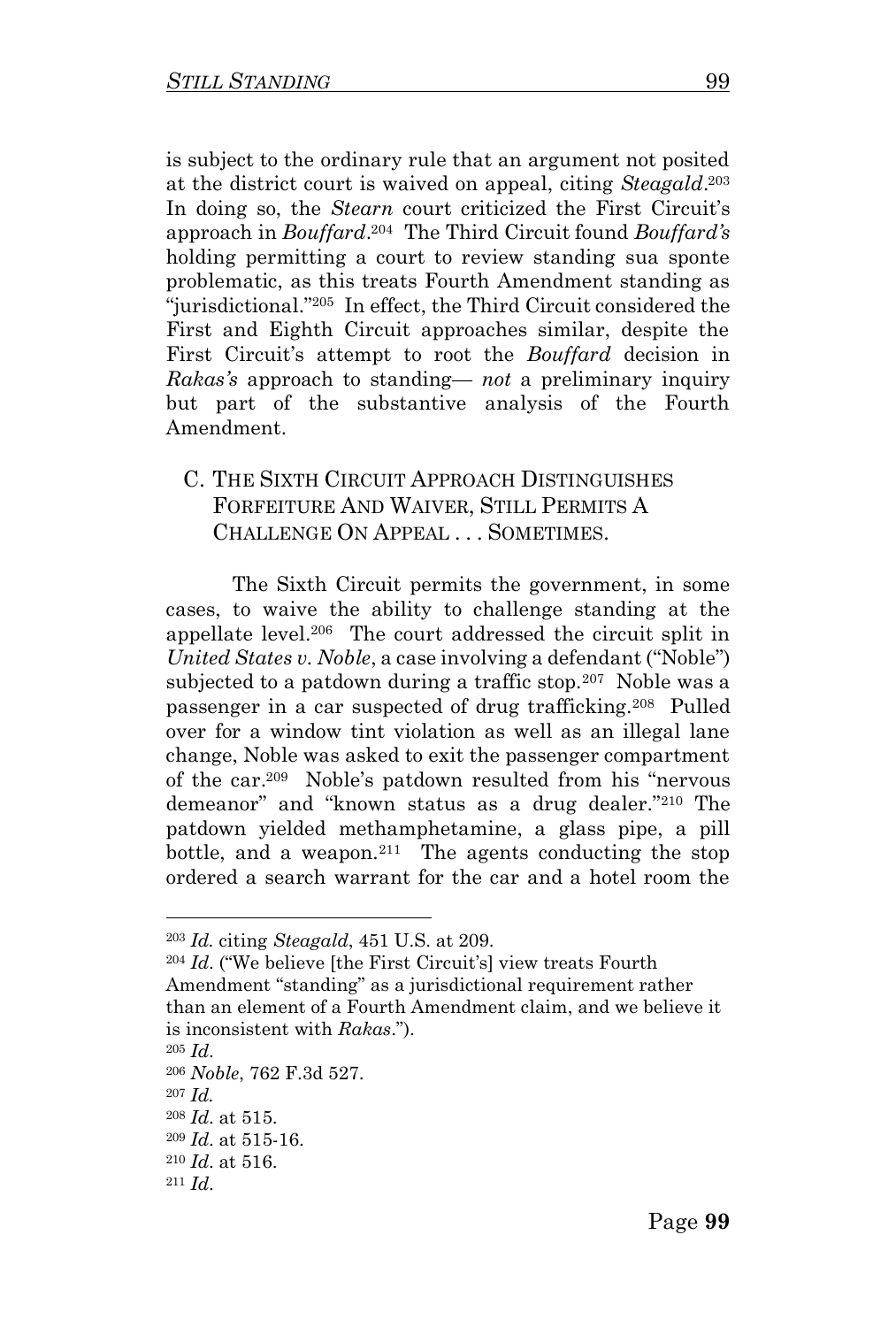is subject to the ordinary rule that an argument not posited at the district court is waived on appeal, citing *Steagald*. 203 In doing so, the *Stearn* court criticized the First Circuit's approach in *Bouffard*. 204 The Third Circuit found *Bouffard's* holding permitting a court to review standing sua sponte problematic, as this treats Fourth Amendment standing as "jurisdictional."<sup>205</sup> In effect, the Third Circuit considered the First and Eighth Circuit approaches similar, despite the First Circuit's attempt to root the *Bouffard* decision in *Rakas's* approach to standing— *not* a preliminary inquiry but part of the substantive analysis of the Fourth Amendment.

## C. THE SIXTH CIRCUIT APPROACH DISTINGUISHES FORFEITURE AND WAIVER, STILL PERMITS A CHALLENGE ON APPEAL . . . SOMETIMES.

The Sixth Circuit permits the government, in some cases, to waive the ability to challenge standing at the appellate level.<sup>206</sup> The court addressed the circuit split in *United States v. Noble*, a case involving a defendant ("Noble") subjected to a patdown during a traffic stop.<sup>207</sup> Noble was a passenger in a car suspected of drug trafficking.<sup>208</sup> Pulled over for a window tint violation as well as an illegal lane change, Noble was asked to exit the passenger compartment of the car.<sup>209</sup> Noble's patdown resulted from his "nervous demeanor" and "known status as a drug dealer."<sup>210</sup> The patdown yielded methamphetamine, a glass pipe, a pill bottle, and a weapon.<sup>211</sup> The agents conducting the stop ordered a search warrant for the car and a hotel room the

<sup>204</sup> *Id*. ("We believe [the First Circuit's] view treats Fourth Amendment "standing" as a jurisdictional requirement rather than an element of a Fourth Amendment claim, and we believe it is inconsistent with *Rakas*.").

<sup>203</sup> *Id.* citing *Steagald*, 451 U.S. at 209.

<sup>205</sup> *Id*.

<sup>206</sup> *Noble*, 762 F.3d 527.

<sup>207</sup> *Id.* 

<sup>208</sup> *Id*. at 515.

<sup>209</sup> *Id*. at 515-16.

<sup>210</sup> *Id*. at 516.

<sup>211</sup> *Id*.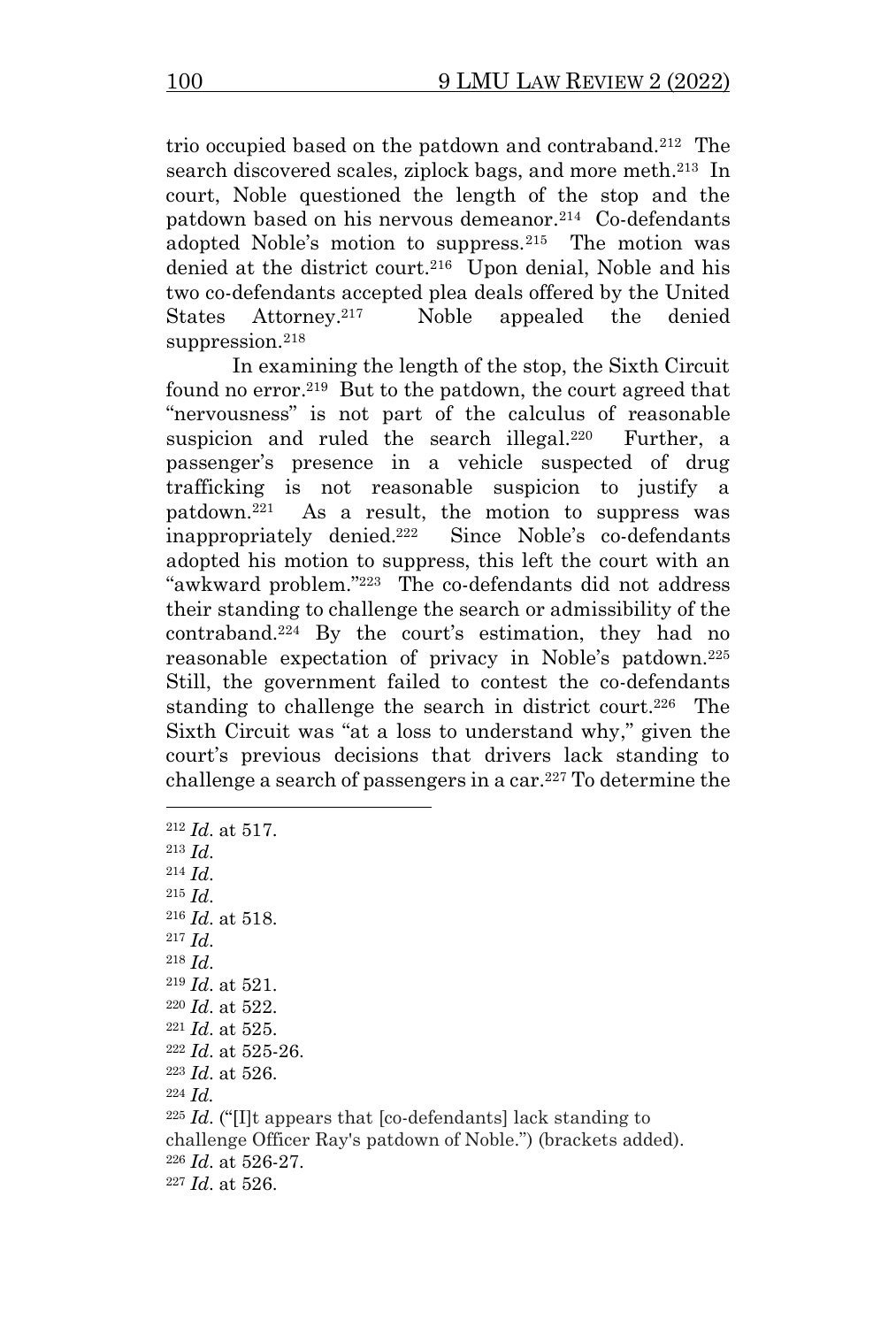trio occupied based on the patdown and contraband.<sup>212</sup> The search discovered scales, ziplock bags, and more meth. 213 In court, Noble questioned the length of the stop and the patdown based on his nervous demeanor.<sup>214</sup> Co-defendants adopted Noble's motion to suppress.<sup>215</sup> The motion was denied at the district court.<sup>216</sup> Upon denial, Noble and his two co-defendants accepted plea deals offered by the United States Attorney.<sup>217</sup> Noble appealed the denied suppression.<sup>218</sup>

In examining the length of the stop, the Sixth Circuit found no error.<sup>219</sup> But to the patdown, the court agreed that "nervousness" is not part of the calculus of reasonable suspicion and ruled the search illegal.<sup>220</sup> Further, a passenger's presence in a vehicle suspected of drug trafficking is not reasonable suspicion to justify a patdown.<sup>221</sup> As a result, the motion to suppress was inappropriately denied. 222 Since Noble's co-defendants adopted his motion to suppress, this left the court with an "awkward problem."<sup>223</sup> The co-defendants did not address their standing to challenge the search or admissibility of the contraband.<sup>224</sup> By the court's estimation, they had no reasonable expectation of privacy in Noble's patdown.<sup>225</sup> Still, the government failed to contest the co-defendants standing to challenge the search in district court.<sup>226</sup> The Sixth Circuit was "at a loss to understand why," given the court's previous decisions that drivers lack standing to challenge a search of passengers in a car.<sup>227</sup> To determine the

 *Id*. at 517. <sup>213</sup> *Id*.  $Id$ <sub> $\cdot$ </sub> <sup>215</sup> *Id*. *Id*. at 518. <sup>217</sup> *Id*. <sup>218</sup> *Id*. *Id*. at 521. *Id*. at 522. *Id*. at 525. *Id*. at 525-26. *Id*. at 526. <sup>224</sup> *Id. Id*. ("[I]t appears that [co-defendants] lack standing to challenge Officer Ray's patdown of Noble.") (brackets added). *Id*. at 526-27. *Id*. at 526.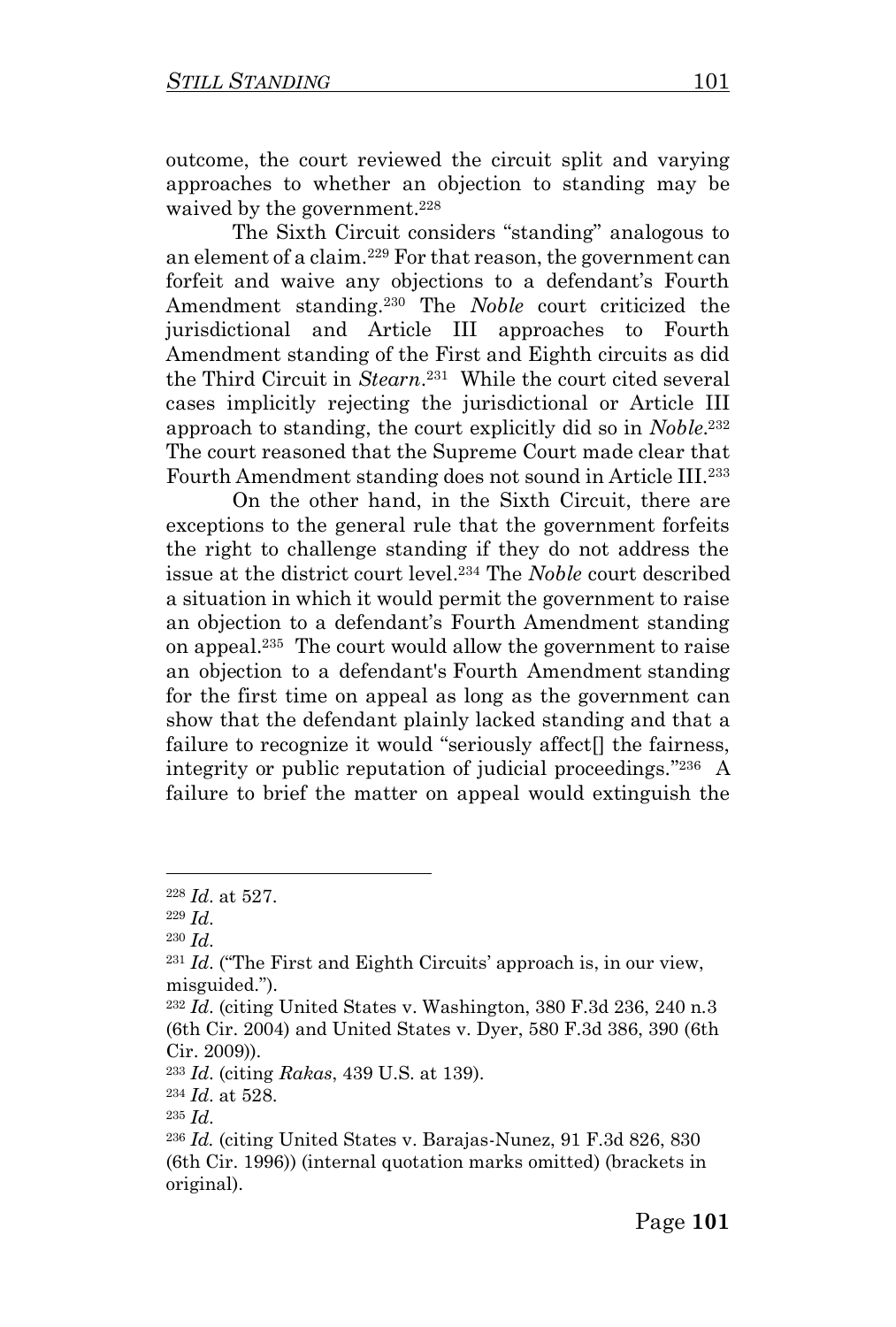outcome, the court reviewed the circuit split and varying approaches to whether an objection to standing may be waived by the government.<sup>228</sup>

The Sixth Circuit considers "standing" analogous to an element of a claim.<sup>229</sup> For that reason, the government can forfeit and waive any objections to a defendant's Fourth Amendment standing.<sup>230</sup> The *Noble* court criticized the jurisdictional and Article III approaches to Fourth Amendment standing of the First and Eighth circuits as did the Third Circuit in *Stearn*. 231 While the court cited several cases implicitly rejecting the jurisdictional or Article III approach to standing, the court explicitly did so in *Noble*.<sup>232</sup> The court reasoned that the Supreme Court made clear that Fourth Amendment standing does not sound in Article III.<sup>233</sup>

On the other hand, in the Sixth Circuit, there are exceptions to the general rule that the government forfeits the right to challenge standing if they do not address the issue at the district court level.<sup>234</sup> The *Noble* court described a situation in which it would permit the government to raise an objection to a defendant's Fourth Amendment standing on appeal.<sup>235</sup> The court would allow the government to raise an objection to a defendant's Fourth Amendment standing for the first time on appeal as long as the government can show that the defendant plainly lacked standing and that a failure to recognize it would "seriously affect<sup>[]</sup> the fairness, integrity or public reputation of judicial proceedings." 236 A failure to brief the matter on appeal would extinguish the

<sup>228</sup> *Id*. at 527.

<sup>229</sup> *Id*.

<sup>230</sup> *Id*.

<sup>231</sup> *Id*. ("The First and Eighth Circuits' approach is, in our view, misguided.").

<sup>232</sup> *Id*. (citing United States v. Washington, 380 F.3d 236, 240 n.3 (6th Cir. 2004) and United States v. Dyer, 580 F.3d 386, 390 (6th Cir. 2009)).

<sup>233</sup> *Id*. (citing *Rakas*, 439 U.S. at 139).

<sup>234</sup> *Id*. at 528.

<sup>235</sup> *Id*.

<sup>236</sup> *Id.* (citing United States v. Barajas-Nunez, 91 F.3d 826, 830 (6th Cir. 1996)) (internal quotation marks omitted) (brackets in original).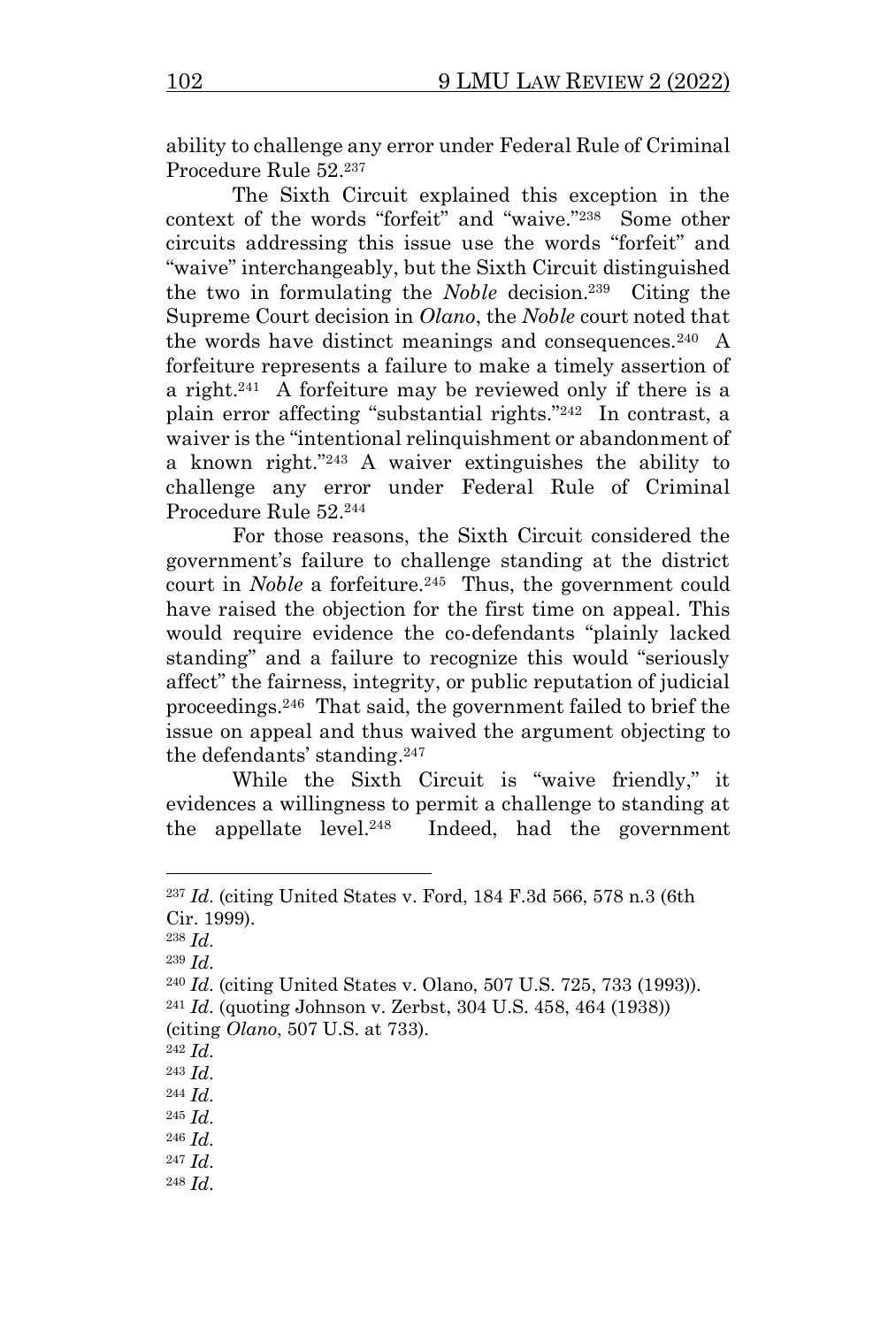ability to challenge any error under Federal Rule of Criminal Procedure Rule 52.<sup>237</sup>

The Sixth Circuit explained this exception in the context of the words "forfeit" and "waive."<sup>238</sup> Some other circuits addressing this issue use the words "forfeit" and "waive" interchangeably, but the Sixth Circuit distinguished the two in formulating the *Noble* decision.<sup>239</sup> Citing the Supreme Court decision in *Olano*, the *Noble* court noted that the words have distinct meanings and consequences.<sup>240</sup> A forfeiture represents a failure to make a timely assertion of a right.<sup>241</sup> A forfeiture may be reviewed only if there is a plain error affecting "substantial rights."<sup>242</sup> In contrast, a waiver is the "intentional relinquishment or abandonment of a known right."<sup>243</sup> A waiver extinguishes the ability to challenge any error under Federal Rule of Criminal Procedure Rule 52.<sup>244</sup>

For those reasons, the Sixth Circuit considered the government's failure to challenge standing at the district court in *Noble* a forfeiture.<sup>245</sup> Thus, the government could have raised the objection for the first time on appeal. This would require evidence the co-defendants "plainly lacked standing" and a failure to recognize this would "seriously affect" the fairness, integrity, or public reputation of judicial proceedings.<sup>246</sup> That said, the government failed to brief the issue on appeal and thus waived the argument objecting to the defendants' standing. 247

While the Sixth Circuit is "waive friendly," it evidences a willingness to permit a challenge to standing at the appellate level.<sup>248</sup> Indeed, had the government

- <sup>247</sup> *Id*.
- <sup>248</sup> *Id*.

<sup>237</sup> *Id*. (citing United States v. Ford, 184 F.3d 566, 578 n.3 (6th Cir. 1999).

<sup>238</sup> *Id*.

<sup>239</sup> *Id*.

<sup>240</sup> *Id*. (citing United States v. Olano, 507 U.S. 725, 733 (1993)).

<sup>241</sup> *Id*. (quoting Johnson v. Zerbst, 304 U.S. 458, 464 (1938)) (citing *Olano*, 507 U.S. at 733).

<sup>242</sup> *Id*.

<sup>243</sup> *Id*.

<sup>244</sup> *Id*.

<sup>245</sup> *Id*.

<sup>246</sup> *Id*.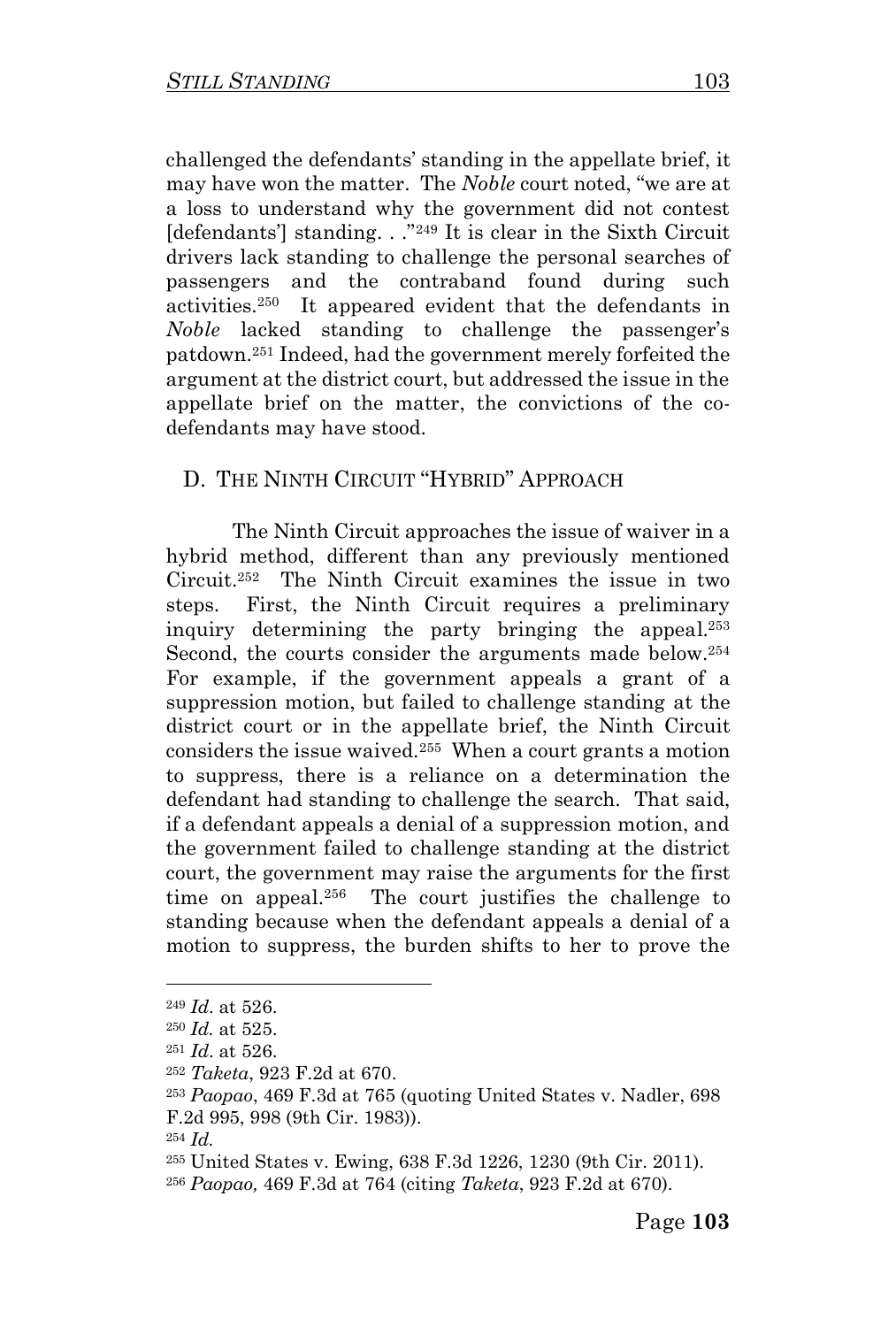challenged the defendants' standing in the appellate brief, it may have won the matter. The *Noble* court noted, "we are at a loss to understand why the government did not contest [defendants] standing. . ."<sup>249</sup> It is clear in the Sixth Circuit drivers lack standing to challenge the personal searches of passengers and the contraband found during such activities.<sup>250</sup> It appeared evident that the defendants in *Noble* lacked standing to challenge the passenger's patdown.<sup>251</sup> Indeed, had the government merely forfeited the argument at the district court, but addressed the issue in the appellate brief on the matter, the convictions of the codefendants may have stood.

#### D. THE NINTH CIRCUIT "HYBRID" APPROACH

The Ninth Circuit approaches the issue of waiver in a hybrid method, different than any previously mentioned Circuit.<sup>252</sup> The Ninth Circuit examines the issue in two steps. First, the Ninth Circuit requires a preliminary inquiry determining the party bringing the appeal. 253 Second, the courts consider the arguments made below.<sup>254</sup> For example, if the government appeals a grant of a suppression motion, but failed to challenge standing at the district court or in the appellate brief, the Ninth Circuit considers the issue waived.<sup>255</sup> When a court grants a motion to suppress, there is a reliance on a determination the defendant had standing to challenge the search. That said, if a defendant appeals a denial of a suppression motion, and the government failed to challenge standing at the district court, the government may raise the arguments for the first time on appeal.<sup>256</sup> The court justifies the challenge to standing because when the defendant appeals a denial of a motion to suppress, the burden shifts to her to prove the

<sup>249</sup> *Id*. at 526.

<sup>250</sup> *Id.* at 525.

<sup>251</sup> *Id*. at 526.

<sup>252</sup> *Taketa*, 923 F.2d at 670.

<sup>253</sup> *Paopao*, 469 F.3d at 765 (quoting United States v. Nadler, 698 F.2d 995, 998 (9th Cir. 1983)).

<sup>254</sup> *Id.* 

<sup>255</sup> United States v. Ewing, 638 F.3d 1226, 1230 (9th Cir. 2011).

<sup>256</sup> *Paopao,* 469 F.3d at 764 (citing *Taketa*, 923 F.2d at 670).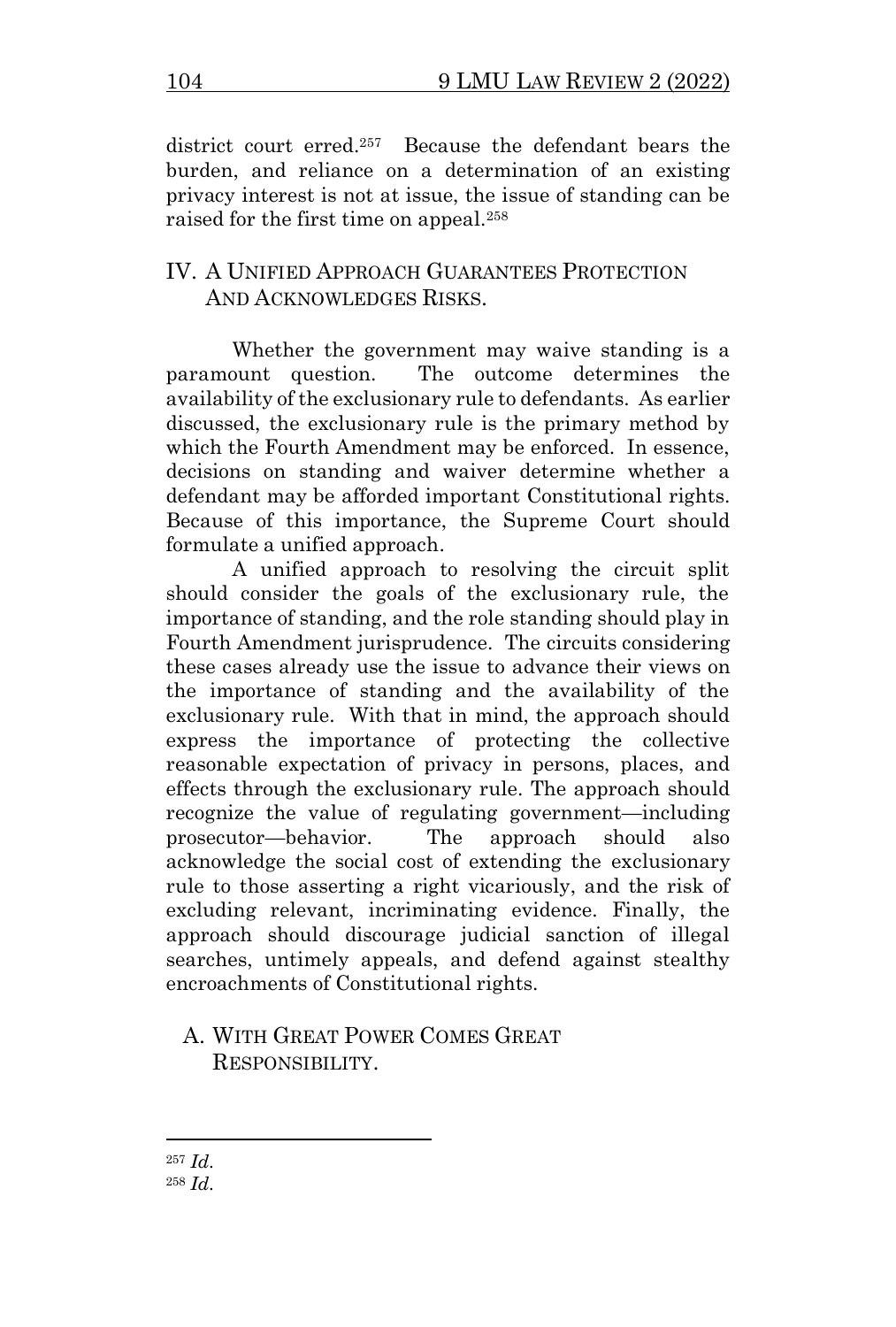district court erred. 257 Because the defendant bears the burden, and reliance on a determination of an existing privacy interest is not at issue, the issue of standing can be raised for the first time on appeal.<sup>258</sup>

## IV. A UNIFIED APPROACH GUARANTEES PROTECTION AND ACKNOWLEDGES RISKS.

Whether the government may waive standing is a paramount question. The outcome determines the availability of the exclusionary rule to defendants. As earlier discussed, the exclusionary rule is the primary method by which the Fourth Amendment may be enforced. In essence, decisions on standing and waiver determine whether a defendant may be afforded important Constitutional rights. Because of this importance, the Supreme Court should formulate a unified approach.

A unified approach to resolving the circuit split should consider the goals of the exclusionary rule, the importance of standing, and the role standing should play in Fourth Amendment jurisprudence. The circuits considering these cases already use the issue to advance their views on the importance of standing and the availability of the exclusionary rule. With that in mind, the approach should express the importance of protecting the collective reasonable expectation of privacy in persons, places, and effects through the exclusionary rule. The approach should recognize the value of regulating government—including prosecutor—behavior. The approach should also acknowledge the social cost of extending the exclusionary rule to those asserting a right vicariously, and the risk of excluding relevant, incriminating evidence. Finally, the approach should discourage judicial sanction of illegal searches, untimely appeals, and defend against stealthy encroachments of Constitutional rights.

## A. WITH GREAT POWER COMES GREAT RESPONSIBILITY.

<sup>257</sup> *Id*. <sup>258</sup> *Id*.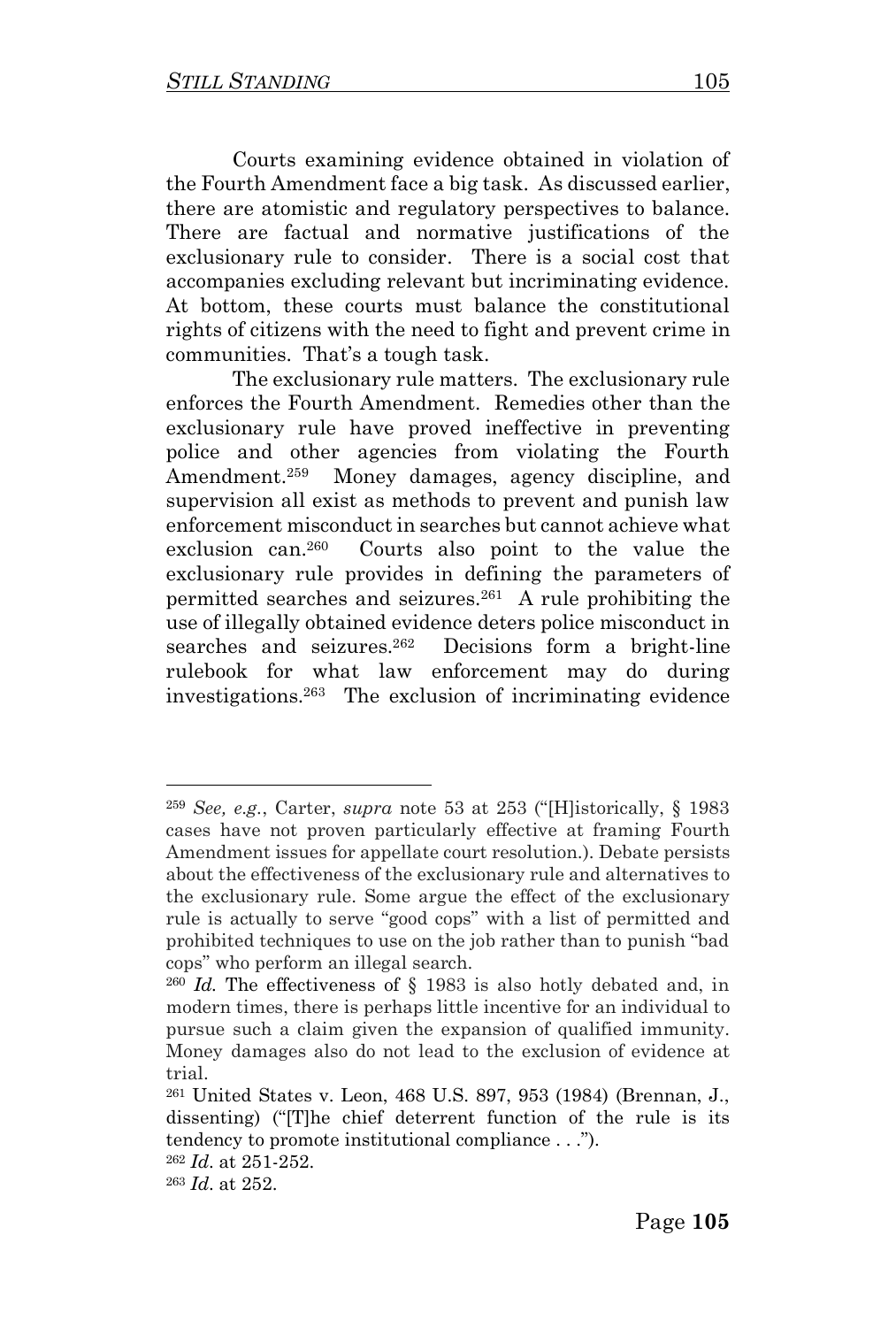Courts examining evidence obtained in violation of the Fourth Amendment face a big task. As discussed earlier, there are atomistic and regulatory perspectives to balance. There are factual and normative justifications of the exclusionary rule to consider. There is a social cost that accompanies excluding relevant but incriminating evidence. At bottom, these courts must balance the constitutional rights of citizens with the need to fight and prevent crime in communities. That's a tough task.

The exclusionary rule matters. The exclusionary rule enforces the Fourth Amendment. Remedies other than the exclusionary rule have proved ineffective in preventing police and other agencies from violating the Fourth Amendment.<sup>259</sup> Money damages, agency discipline, and supervision all exist as methods to prevent and punish law enforcement misconduct in searches but cannot achieve what exclusion can.<sup>260</sup> Courts also point to the value the exclusionary rule provides in defining the parameters of permitted searches and seizures.<sup>261</sup> A rule prohibiting the use of illegally obtained evidence deters police misconduct in searches and seizures.<sup>262</sup> Decisions form a bright-line rulebook for what law enforcement may do during investigations.<sup>263</sup> The exclusion of incriminating evidence

<sup>259</sup> *See, e.g.*, Carter, *supra* note 53 at 253 ("[H]istorically, § 1983 cases have not proven particularly effective at framing Fourth Amendment issues for appellate court resolution.). Debate persists about the effectiveness of the exclusionary rule and alternatives to the exclusionary rule. Some argue the effect of the exclusionary rule is actually to serve "good cops" with a list of permitted and prohibited techniques to use on the job rather than to punish "bad cops" who perform an illegal search.

<sup>260</sup> *Id.* The effectiveness of § 1983 is also hotly debated and, in modern times, there is perhaps little incentive for an individual to pursue such a claim given the expansion of qualified immunity. Money damages also do not lead to the exclusion of evidence at trial.

<sup>261</sup> United States v. Leon, 468 U.S. 897, 953 (1984) (Brennan, J., dissenting) ("[T]he chief deterrent function of the rule is its tendency to promote institutional compliance . . .").

<sup>262</sup> *Id*. at 251-252.

<sup>263</sup> *Id*. at 252.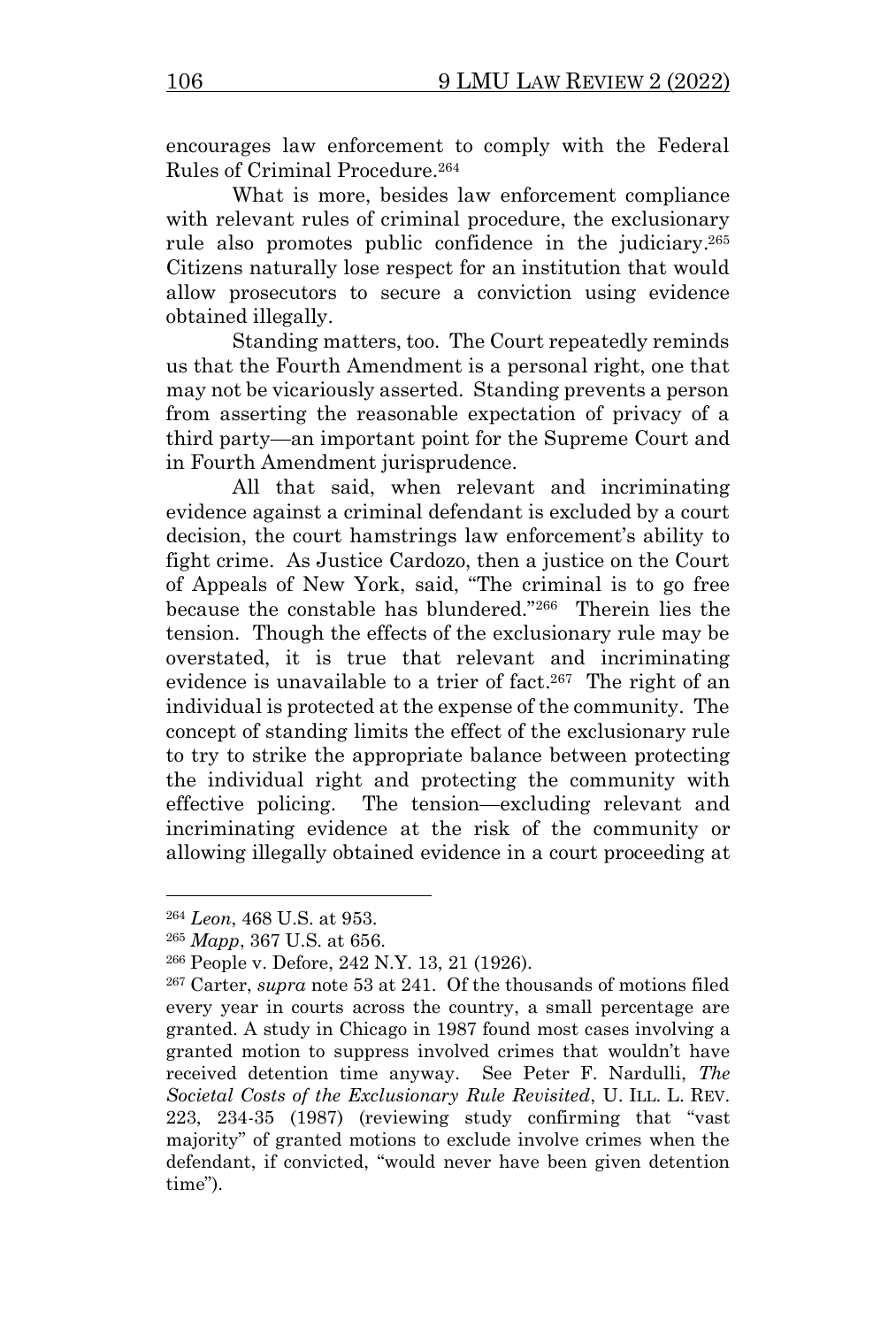encourages law enforcement to comply with the Federal Rules of Criminal Procedure.<sup>264</sup>

What is more, besides law enforcement compliance with relevant rules of criminal procedure, the exclusionary rule also promotes public confidence in the judiciary. 265 Citizens naturally lose respect for an institution that would allow prosecutors to secure a conviction using evidence obtained illegally.

Standing matters, too. The Court repeatedly reminds us that the Fourth Amendment is a personal right, one that may not be vicariously asserted. Standing prevents a person from asserting the reasonable expectation of privacy of a third party—an important point for the Supreme Court and in Fourth Amendment jurisprudence.

All that said, when relevant and incriminating evidence against a criminal defendant is excluded by a court decision, the court hamstrings law enforcement's ability to fight crime. As Justice Cardozo, then a justice on the Court of Appeals of New York, said, "The criminal is to go free because the constable has blundered."<sup>266</sup> Therein lies the tension. Though the effects of the exclusionary rule may be overstated, it is true that relevant and incriminating evidence is unavailable to a trier of fact. 267 The right of an individual is protected at the expense of the community. The concept of standing limits the effect of the exclusionary rule to try to strike the appropriate balance between protecting the individual right and protecting the community with effective policing. The tension—excluding relevant and incriminating evidence at the risk of the community or allowing illegally obtained evidence in a court proceeding at

<sup>264</sup> *Leon*, 468 U.S. at 953.

<sup>265</sup> *Mapp*, 367 U.S. at 656.

<sup>266</sup> People v. Defore, 242 N.Y. 13, 21 (1926).

<sup>267</sup> Carter, *supra* note 53 at 241. Of the thousands of motions filed every year in courts across the country, a small percentage are granted. A study in Chicago in 1987 found most cases involving a granted motion to suppress involved crimes that wouldn't have received detention time anyway. See Peter F. Nardulli, *The Societal Costs of the Exclusionary Rule Revisited*, U. ILL. L. REV. 223, 234-35 (1987) (reviewing study confirming that "vast majority" of granted motions to exclude involve crimes when the defendant, if convicted, "would never have been given detention time").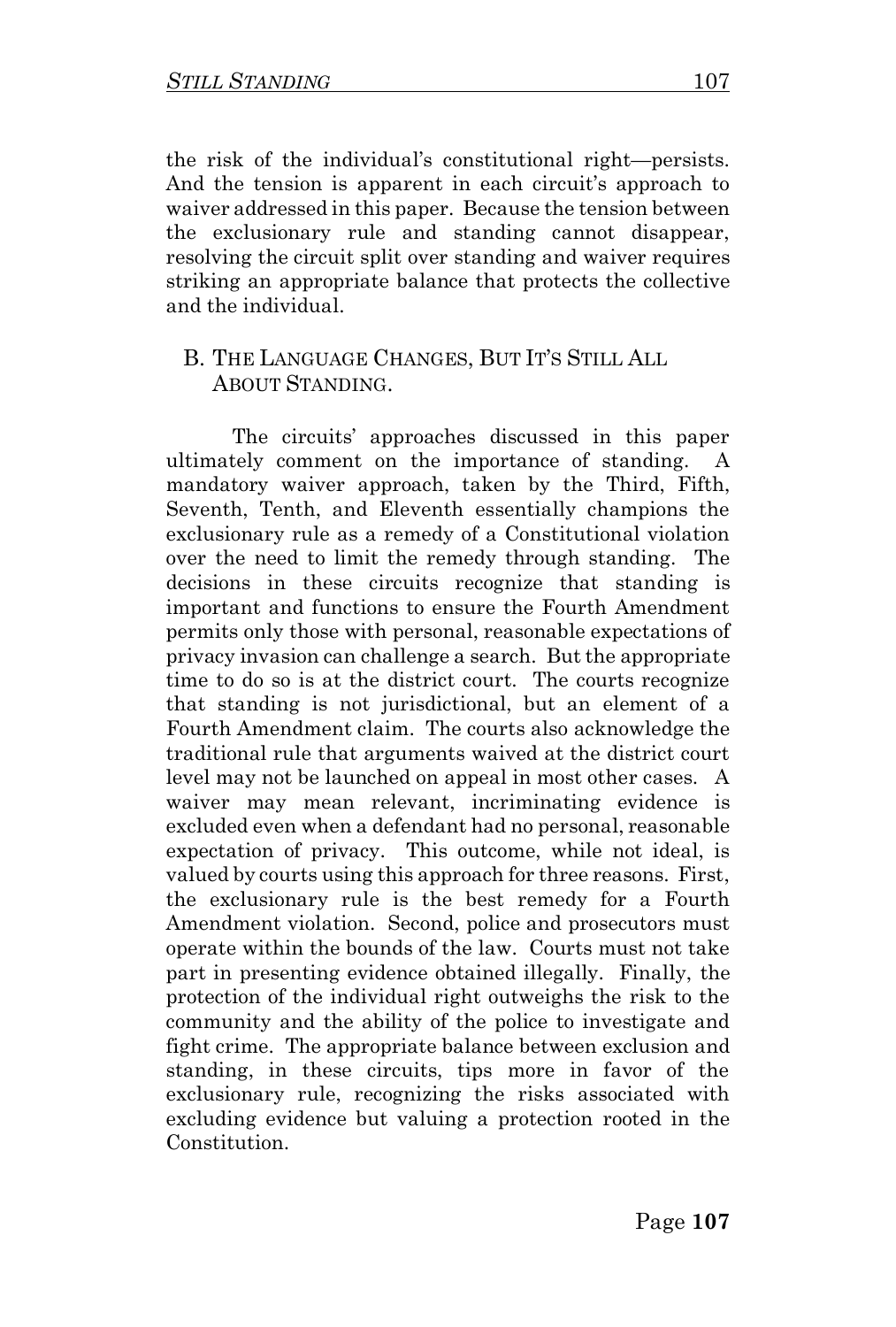the risk of the individual's constitutional right—persists. And the tension is apparent in each circuit's approach to waiver addressed in this paper. Because the tension between the exclusionary rule and standing cannot disappear, resolving the circuit split over standing and waiver requires striking an appropriate balance that protects the collective and the individual.

## B. THE LANGUAGE CHANGES, BUT IT'S STILL ALL ABOUT STANDING.

The circuits' approaches discussed in this paper ultimately comment on the importance of standing. A mandatory waiver approach, taken by the Third, Fifth, Seventh, Tenth, and Eleventh essentially champions the exclusionary rule as a remedy of a Constitutional violation over the need to limit the remedy through standing. The decisions in these circuits recognize that standing is important and functions to ensure the Fourth Amendment permits only those with personal, reasonable expectations of privacy invasion can challenge a search. But the appropriate time to do so is at the district court. The courts recognize that standing is not jurisdictional, but an element of a Fourth Amendment claim. The courts also acknowledge the traditional rule that arguments waived at the district court level may not be launched on appeal in most other cases. A waiver may mean relevant, incriminating evidence is excluded even when a defendant had no personal, reasonable expectation of privacy. This outcome, while not ideal, is valued by courts using this approach for three reasons. First, the exclusionary rule is the best remedy for a Fourth Amendment violation. Second, police and prosecutors must operate within the bounds of the law. Courts must not take part in presenting evidence obtained illegally. Finally, the protection of the individual right outweighs the risk to the community and the ability of the police to investigate and fight crime. The appropriate balance between exclusion and standing, in these circuits, tips more in favor of the exclusionary rule, recognizing the risks associated with excluding evidence but valuing a protection rooted in the Constitution.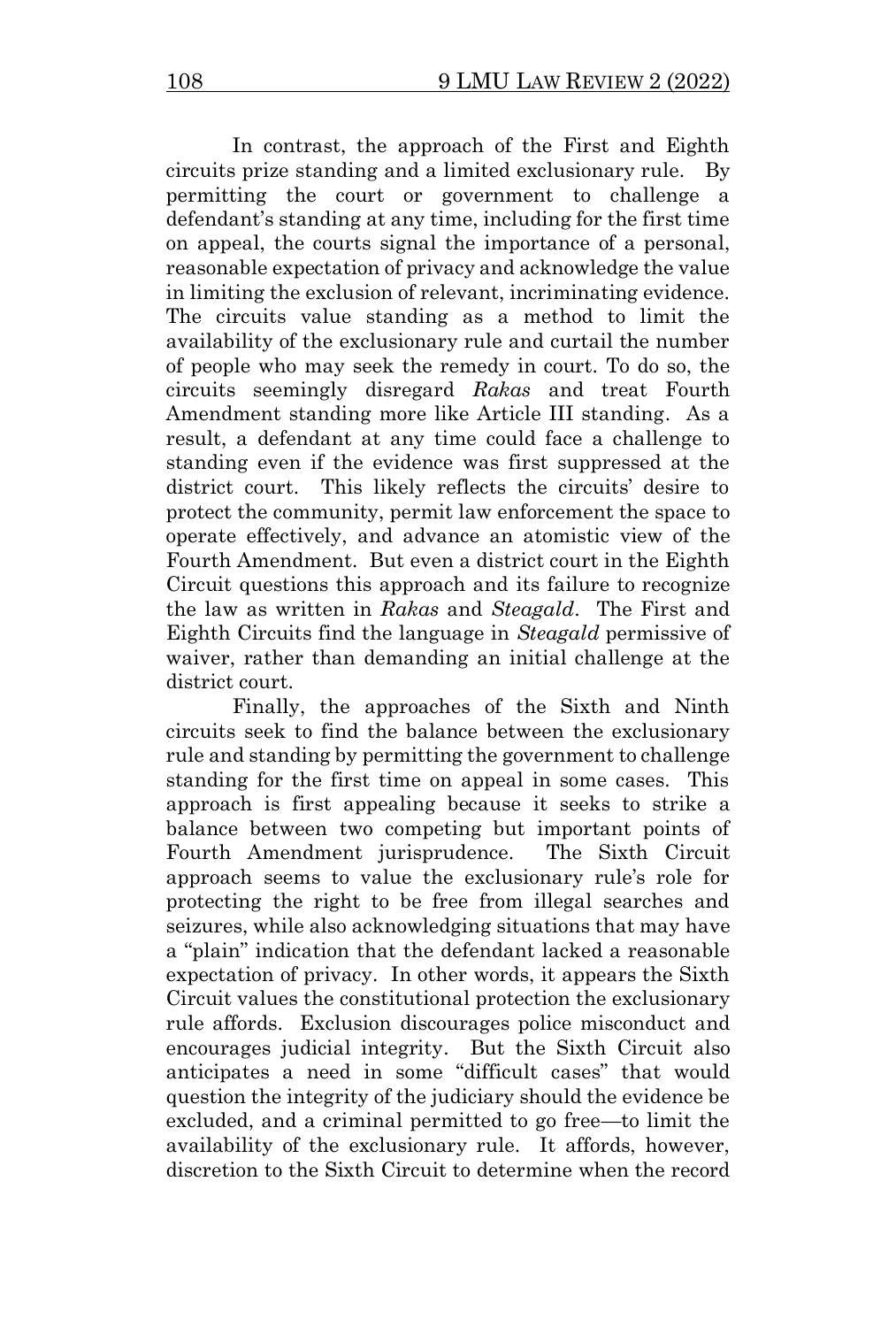In contrast, the approach of the First and Eighth circuits prize standing and a limited exclusionary rule. By permitting the court or government to challenge a defendant's standing at any time, including for the first time on appeal, the courts signal the importance of a personal, reasonable expectation of privacy and acknowledge the value in limiting the exclusion of relevant, incriminating evidence. The circuits value standing as a method to limit the availability of the exclusionary rule and curtail the number of people who may seek the remedy in court. To do so, the circuits seemingly disregard *Rakas* and treat Fourth Amendment standing more like Article III standing. As a result, a defendant at any time could face a challenge to standing even if the evidence was first suppressed at the district court. This likely reflects the circuits' desire to protect the community, permit law enforcement the space to operate effectively, and advance an atomistic view of the Fourth Amendment. But even a district court in the Eighth Circuit questions this approach and its failure to recognize the law as written in *Rakas* and *Steagald*. The First and Eighth Circuits find the language in *Steagald* permissive of waiver, rather than demanding an initial challenge at the district court.

Finally, the approaches of the Sixth and Ninth circuits seek to find the balance between the exclusionary rule and standing by permitting the government to challenge standing for the first time on appeal in some cases. This approach is first appealing because it seeks to strike a balance between two competing but important points of Fourth Amendment jurisprudence. The Sixth Circuit approach seems to value the exclusionary rule's role for protecting the right to be free from illegal searches and seizures, while also acknowledging situations that may have a "plain" indication that the defendant lacked a reasonable expectation of privacy. In other words, it appears the Sixth Circuit values the constitutional protection the exclusionary rule affords. Exclusion discourages police misconduct and encourages judicial integrity. But the Sixth Circuit also anticipates a need in some "difficult cases" that would question the integrity of the judiciary should the evidence be excluded, and a criminal permitted to go free—to limit the availability of the exclusionary rule. It affords, however, discretion to the Sixth Circuit to determine when the record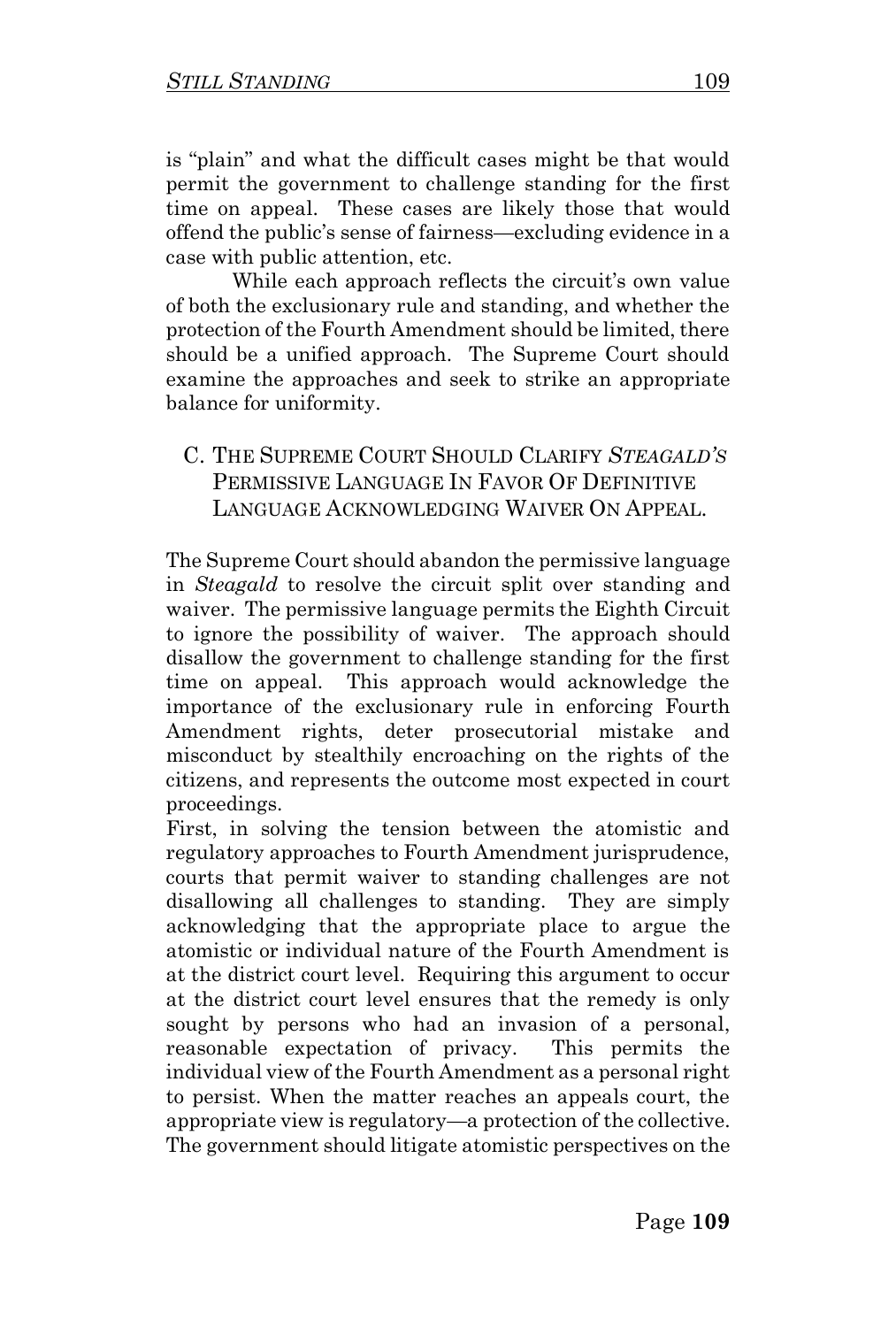is "plain" and what the difficult cases might be that would permit the government to challenge standing for the first time on appeal. These cases are likely those that would offend the public's sense of fairness—excluding evidence in a case with public attention, etc.

While each approach reflects the circuit's own value of both the exclusionary rule and standing, and whether the protection of the Fourth Amendment should be limited, there should be a unified approach. The Supreme Court should examine the approaches and seek to strike an appropriate balance for uniformity.

## C. THE SUPREME COURT SHOULD CLARIFY *STEAGALD'S* PERMISSIVE LANGUAGE IN FAVOR OF DEFINITIVE LANGUAGE ACKNOWLEDGING WAIVER ON APPEAL.

The Supreme Court should abandon the permissive language in *Steagald* to resolve the circuit split over standing and waiver. The permissive language permits the Eighth Circuit to ignore the possibility of waiver. The approach should disallow the government to challenge standing for the first time on appeal. This approach would acknowledge the importance of the exclusionary rule in enforcing Fourth Amendment rights, deter prosecutorial mistake and misconduct by stealthily encroaching on the rights of the citizens, and represents the outcome most expected in court proceedings.

First, in solving the tension between the atomistic and regulatory approaches to Fourth Amendment jurisprudence, courts that permit waiver to standing challenges are not disallowing all challenges to standing. They are simply acknowledging that the appropriate place to argue the atomistic or individual nature of the Fourth Amendment is at the district court level. Requiring this argument to occur at the district court level ensures that the remedy is only sought by persons who had an invasion of a personal, reasonable expectation of privacy. This permits the individual view of the Fourth Amendment as a personal right to persist. When the matter reaches an appeals court, the appropriate view is regulatory—a protection of the collective. The government should litigate atomistic perspectives on the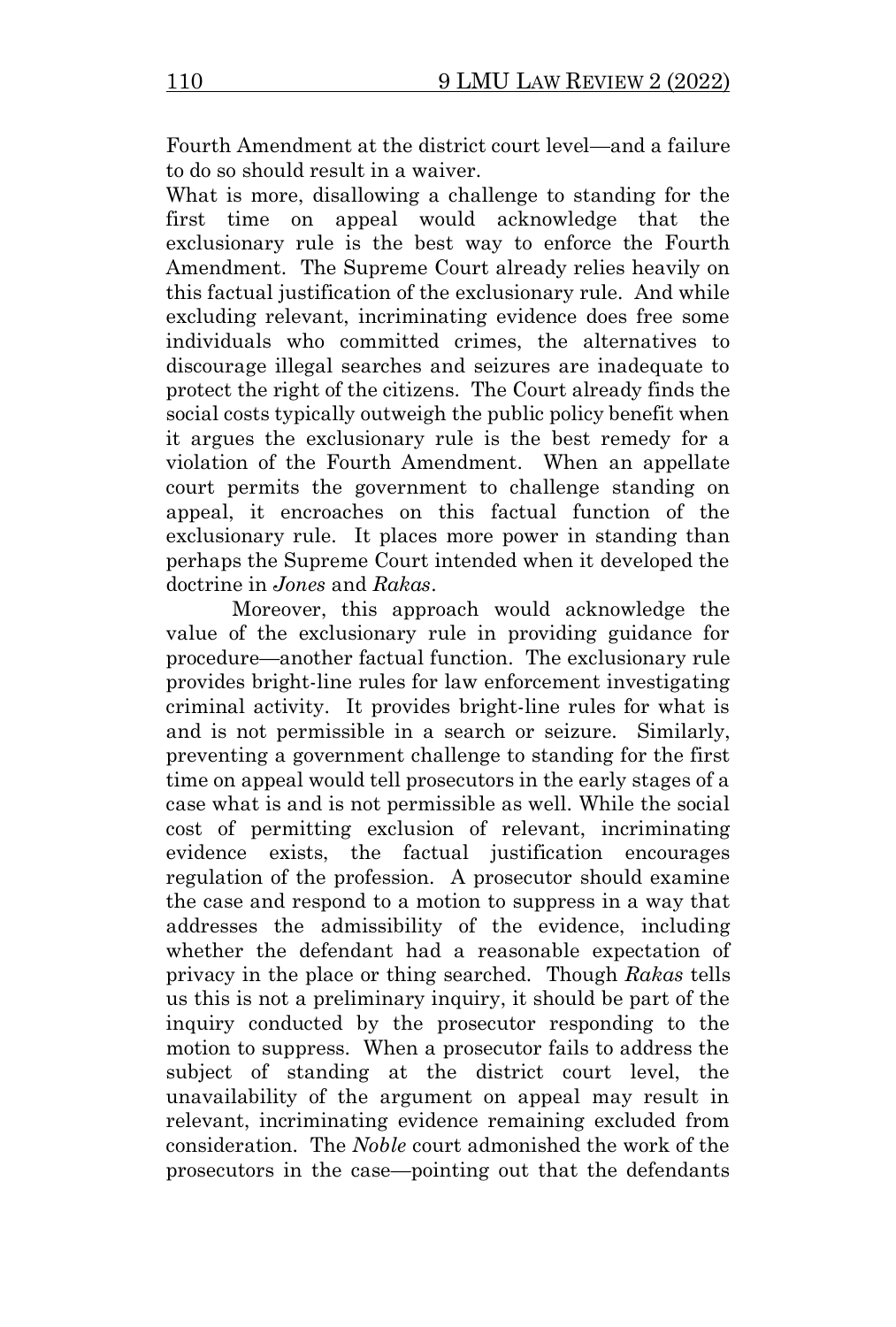Fourth Amendment at the district court level—and a failure to do so should result in a waiver.

What is more, disallowing a challenge to standing for the first time on appeal would acknowledge that the exclusionary rule is the best way to enforce the Fourth Amendment. The Supreme Court already relies heavily on this factual justification of the exclusionary rule. And while excluding relevant, incriminating evidence does free some individuals who committed crimes, the alternatives to discourage illegal searches and seizures are inadequate to protect the right of the citizens. The Court already finds the social costs typically outweigh the public policy benefit when it argues the exclusionary rule is the best remedy for a violation of the Fourth Amendment. When an appellate court permits the government to challenge standing on appeal, it encroaches on this factual function of the exclusionary rule. It places more power in standing than perhaps the Supreme Court intended when it developed the doctrine in *Jones* and *Rakas*.

Moreover, this approach would acknowledge the value of the exclusionary rule in providing guidance for procedure—another factual function. The exclusionary rule provides bright-line rules for law enforcement investigating criminal activity. It provides bright-line rules for what is and is not permissible in a search or seizure. Similarly, preventing a government challenge to standing for the first time on appeal would tell prosecutors in the early stages of a case what is and is not permissible as well. While the social cost of permitting exclusion of relevant, incriminating evidence exists, the factual justification encourages regulation of the profession. A prosecutor should examine the case and respond to a motion to suppress in a way that addresses the admissibility of the evidence, including whether the defendant had a reasonable expectation of privacy in the place or thing searched. Though *Rakas* tells us this is not a preliminary inquiry, it should be part of the inquiry conducted by the prosecutor responding to the motion to suppress. When a prosecutor fails to address the subject of standing at the district court level, the unavailability of the argument on appeal may result in relevant, incriminating evidence remaining excluded from consideration. The *Noble* court admonished the work of the prosecutors in the case—pointing out that the defendants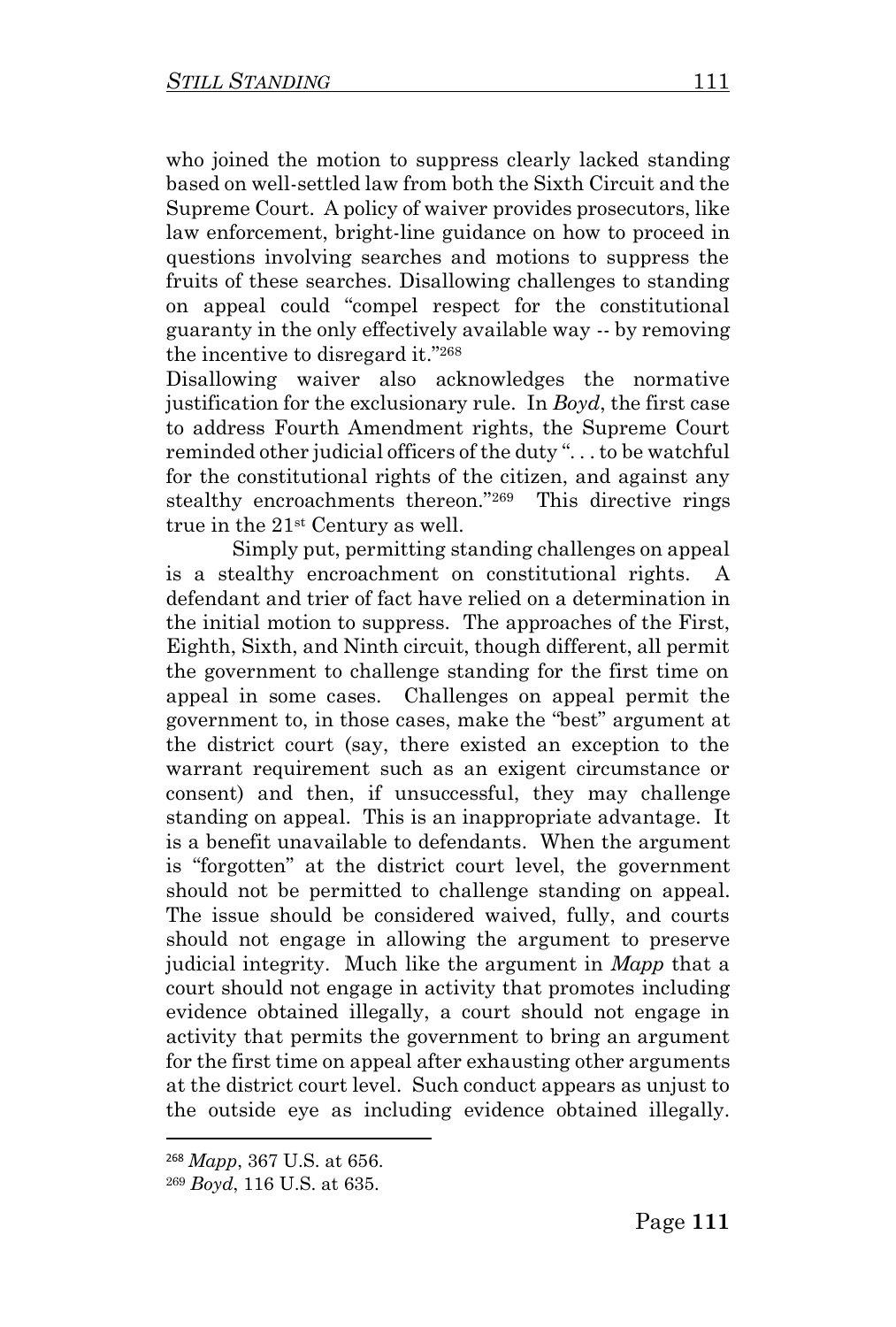who joined the motion to suppress clearly lacked standing based on well-settled law from both the Sixth Circuit and the Supreme Court. A policy of waiver provides prosecutors, like law enforcement, bright-line guidance on how to proceed in questions involving searches and motions to suppress the fruits of these searches. Disallowing challenges to standing on appeal could "compel respect for the constitutional guaranty in the only effectively available way -- by removing the incentive to disregard it."<sup>268</sup>

Disallowing waiver also acknowledges the normative justification for the exclusionary rule. In *Boyd*, the first case to address Fourth Amendment rights, the Supreme Court reminded other judicial officers of the duty ". . . to be watchful for the constitutional rights of the citizen, and against any stealthy encroachments thereon."<sup>269</sup> This directive rings true in the 21st Century as well.

Simply put, permitting standing challenges on appeal is a stealthy encroachment on constitutional rights. A defendant and trier of fact have relied on a determination in the initial motion to suppress. The approaches of the First, Eighth, Sixth, and Ninth circuit, though different, all permit the government to challenge standing for the first time on appeal in some cases. Challenges on appeal permit the government to, in those cases, make the "best" argument at the district court (say, there existed an exception to the warrant requirement such as an exigent circumstance or consent) and then, if unsuccessful, they may challenge standing on appeal. This is an inappropriate advantage. It is a benefit unavailable to defendants. When the argument is "forgotten" at the district court level, the government should not be permitted to challenge standing on appeal. The issue should be considered waived, fully, and courts should not engage in allowing the argument to preserve judicial integrity. Much like the argument in *Mapp* that a court should not engage in activity that promotes including evidence obtained illegally, a court should not engage in activity that permits the government to bring an argument for the first time on appeal after exhausting other arguments at the district court level. Such conduct appears as unjust to the outside eye as including evidence obtained illegally.

<sup>268</sup> *Mapp*, 367 U.S. at 656.

<sup>269</sup> *Boyd*, 116 U.S. at 635.